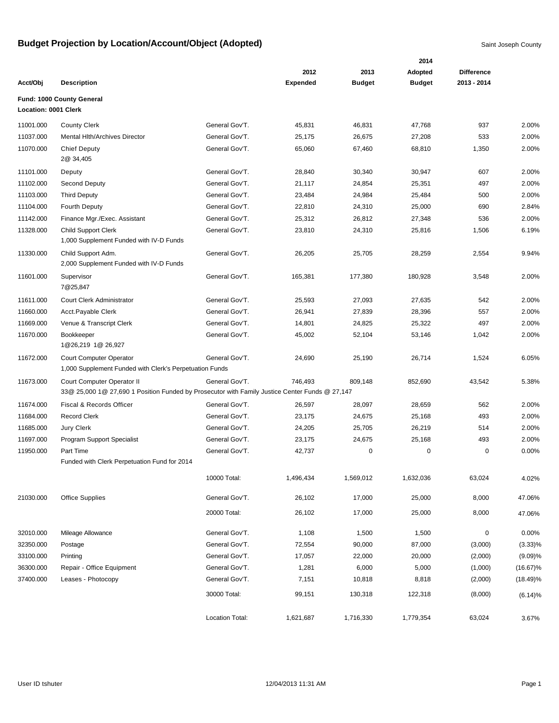|                      |                                                                                                                              |                 |                 |               | 2014          |                   |             |
|----------------------|------------------------------------------------------------------------------------------------------------------------------|-----------------|-----------------|---------------|---------------|-------------------|-------------|
|                      |                                                                                                                              |                 | 2012            | 2013          | Adopted       | <b>Difference</b> |             |
| Acct/Obj             | <b>Description</b>                                                                                                           |                 | <b>Expended</b> | <b>Budget</b> | <b>Budget</b> | 2013 - 2014       |             |
| Location: 0001 Clerk | Fund: 1000 County General                                                                                                    |                 |                 |               |               |                   |             |
| 11001.000            | <b>County Clerk</b>                                                                                                          | General Gov'T.  | 45,831          | 46,831        | 47,768        | 937               | 2.00%       |
| 11037.000            | Mental Hith/Archives Director                                                                                                | General Gov'T.  | 25,175          | 26,675        | 27,208        | 533               | 2.00%       |
| 11070.000            | <b>Chief Deputy</b><br>2@ 34,405                                                                                             | General Gov'T.  | 65,060          | 67,460        | 68,810        | 1,350             | 2.00%       |
| 11101.000            | Deputy                                                                                                                       | General Gov'T.  | 28,840          | 30,340        | 30,947        | 607               | 2.00%       |
| 11102.000            | Second Deputy                                                                                                                | General Gov'T.  | 21,117          | 24,854        | 25,351        | 497               | 2.00%       |
| 11103.000            | <b>Third Deputy</b>                                                                                                          | General Gov'T.  | 23,484          | 24,984        | 25,484        | 500               | 2.00%       |
| 11104.000            | Fourth Deputy                                                                                                                | General Gov'T.  | 22,810          | 24,310        | 25,000        | 690               | 2.84%       |
| 11142.000            | Finance Mgr./Exec. Assistant                                                                                                 | General Gov'T.  | 25,312          | 26,812        | 27,348        | 536               | 2.00%       |
| 11328.000            | <b>Child Support Clerk</b><br>1,000 Supplement Funded with IV-D Funds                                                        | General Gov'T.  | 23,810          | 24,310        | 25,816        | 1,506             | 6.19%       |
| 11330.000            | Child Support Adm.<br>2,000 Supplement Funded with IV-D Funds                                                                | General Gov'T.  | 26,205          | 25,705        | 28,259        | 2,554             | 9.94%       |
| 11601.000            | Supervisor<br>7@25,847                                                                                                       | General Gov'T.  | 165,381         | 177,380       | 180,928       | 3,548             | 2.00%       |
| 11611.000            | <b>Court Clerk Administrator</b>                                                                                             | General Gov'T.  | 25,593          | 27,093        | 27,635        | 542               | 2.00%       |
| 11660.000            | Acct.Payable Clerk                                                                                                           | General Gov'T.  | 26,941          | 27,839        | 28,396        | 557               | 2.00%       |
| 11669.000            | Venue & Transcript Clerk                                                                                                     | General Gov'T.  | 14,801          | 24,825        | 25,322        | 497               | 2.00%       |
| 11670.000            | Bookkeeper<br>1@26,219 1@ 26,927                                                                                             | General Gov'T.  | 45,002          | 52,104        | 53,146        | 1,042             | 2.00%       |
| 11672.000            | <b>Court Computer Operator</b><br>1,000 Supplement Funded with Clerk's Perpetuation Funds                                    | General Gov'T.  | 24,690          | 25,190        | 26,714        | 1,524             | 6.05%       |
| 11673.000            | Court Computer Operator II<br>33@ 25,000 1@ 27,690 1 Position Funded by Prosecutor with Family Justice Center Funds @ 27,147 | General Gov'T.  | 746,493         | 809,148       | 852,690       | 43,542            | 5.38%       |
| 11674.000            | Fiscal & Records Officer                                                                                                     | General Gov'T.  | 26,597          | 28,097        | 28,659        | 562               | 2.00%       |
| 11684.000            | <b>Record Clerk</b>                                                                                                          | General Gov'T.  | 23,175          | 24,675        | 25,168        | 493               | 2.00%       |
| 11685.000            | <b>Jury Clerk</b>                                                                                                            | General Gov'T.  | 24,205          | 25,705        | 26,219        | 514               | 2.00%       |
| 11697.000            | Program Support Specialist                                                                                                   | General Gov'T.  | 23,175          | 24,675        | 25,168        | 493               | 2.00%       |
| 11950.000            | Part Time<br>Funded with Clerk Perpetuation Fund for 2014                                                                    | General Gov'T.  | 42,737          | 0             | 0             | 0                 | 0.00%       |
|                      |                                                                                                                              | 10000 Total:    | 1,496,434       | 1,569,012     | 1,632,036     | 63,024            | 4.02%       |
| 21030.000            | <b>Office Supplies</b>                                                                                                       | General Gov'T.  | 26,102          | 17,000        | 25,000        | 8,000             | 47.06%      |
|                      |                                                                                                                              | 20000 Total:    | 26,102          | 17,000        | 25,000        | 8,000             | 47.06%      |
| 32010.000            | Mileage Allowance                                                                                                            | General Gov'T.  | 1,108           | 1,500         | 1,500         | 0                 | 0.00%       |
| 32350.000            | Postage                                                                                                                      | General Gov'T.  | 72,554          | 90,000        | 87,000        | (3,000)           | $(3.33)\%$  |
| 33100.000            | Printing                                                                                                                     | General Gov'T.  | 17,057          | 22,000        | 20,000        | (2,000)           | (9.09)%     |
| 36300.000            | Repair - Office Equipment                                                                                                    | General Gov'T.  | 1,281           | 6,000         | 5,000         | (1,000)           | $(16.67)\%$ |
| 37400.000            | Leases - Photocopy                                                                                                           | General Gov'T.  | 7,151           | 10,818        | 8,818         | (2,000)           | $(18.49)\%$ |
|                      |                                                                                                                              | 30000 Total:    | 99,151          | 130,318       | 122,318       | (8,000)           | (6.14)%     |
|                      |                                                                                                                              | Location Total: | 1,621,687       | 1,716,330     | 1,779,354     | 63,024            | 3.67%       |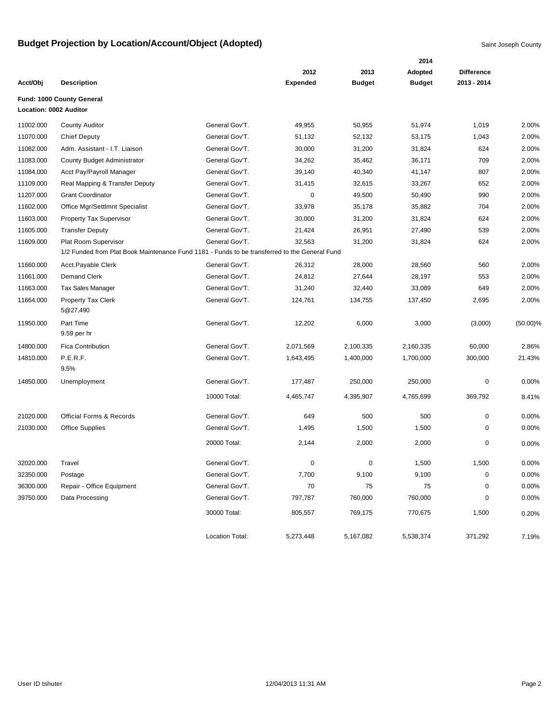|           |                                                                                               |                 |                 |               | 2014          |                   |             |
|-----------|-----------------------------------------------------------------------------------------------|-----------------|-----------------|---------------|---------------|-------------------|-------------|
|           |                                                                                               |                 | 2012            | 2013          | Adopted       | <b>Difference</b> |             |
| Acct/Obj  | <b>Description</b>                                                                            |                 | <b>Expended</b> | <b>Budget</b> | <b>Budget</b> | 2013 - 2014       |             |
|           | Fund: 1000 County General                                                                     |                 |                 |               |               |                   |             |
|           | Location: 0002 Auditor                                                                        |                 |                 |               |               |                   |             |
| 11002.000 | <b>County Auditor</b>                                                                         | General Gov'T.  | 49,955          | 50,955        | 51,974        | 1,019             | 2.00%       |
| 11070.000 | <b>Chief Deputy</b>                                                                           | General Gov'T.  | 51,132          | 52,132        | 53,175        | 1,043             | 2.00%       |
| 11082.000 | Adm. Assistant - I.T. Liaison                                                                 | General Gov'T.  | 30,000          | 31,200        | 31,824        | 624               | 2.00%       |
| 11083.000 | <b>County Budget Administrator</b>                                                            | General Gov'T.  | 34,262          | 35,462        | 36,171        | 709               | 2.00%       |
| 11084.000 | Acct Pay/Payroll Manager                                                                      | General Gov'T.  | 39,140          | 40,340        | 41,147        | 807               | 2.00%       |
| 11109.000 | Real Mapping & Transfer Deputy                                                                | General Gov'T.  | 31,415          | 32,615        | 33,267        | 652               | 2.00%       |
| 11207.000 | <b>Grant Coordinator</b>                                                                      | General Gov'T.  | $\mathbf 0$     | 49,500        | 50,490        | 990               | 2.00%       |
| 11602.000 | Office Mgr/Settlmnt Specialist                                                                | General Gov'T.  | 33,978          | 35,178        | 35,882        | 704               | 2.00%       |
| 11603.000 | Property Tax Supervisor                                                                       | General Gov'T.  | 30,000          | 31,200        | 31,824        | 624               | 2.00%       |
| 11605.000 | <b>Transfer Deputy</b>                                                                        | General Gov'T.  | 21,424          | 26,951        | 27,490        | 539               | 2.00%       |
| 11609.000 | Plat Room Supervisor                                                                          | General Gov'T.  | 32,563          | 31,200        | 31,824        | 624               | 2.00%       |
|           | 1/2 Funded from Plat Book Maintenance Fund 1181 - Funds to be transferred to the General Fund |                 |                 |               |               |                   |             |
| 11660.000 | Acct.Payable Clerk                                                                            | General Gov'T.  | 26,312          | 28,000        | 28,560        | 560               | 2.00%       |
| 11661.000 | <b>Demand Clerk</b>                                                                           | General Gov'T.  | 24,812          | 27,644        | 28,197        | 553               | 2.00%       |
| 11663.000 | <b>Tax Sales Manager</b>                                                                      | General Gov'T.  | 31,240          | 32,440        | 33,089        | 649               | 2.00%       |
| 11664.000 | <b>Property Tax Clerk</b><br>5@27,490                                                         | General Gov'T.  | 124,761         | 134,755       | 137,450       | 2,695             | 2.00%       |
| 11950.000 | Part Time<br>9.59 per hr                                                                      | General Gov'T.  | 12,202          | 6,000         | 3,000         | (3,000)           | $(50.00)\%$ |
| 14800.000 | <b>Fica Contribution</b>                                                                      | General Gov'T.  | 2,071,569       | 2,100,335     | 2,160,335     | 60,000            | 2.86%       |
| 14810.000 | P.E.R.F.<br>9.5%                                                                              | General Gov'T.  | 1,643,495       | 1,400,000     | 1,700,000     | 300,000           | 21.43%      |
| 14850.000 | Unemployment                                                                                  | General Gov'T.  | 177,487         | 250,000       | 250,000       | 0                 | 0.00%       |
|           |                                                                                               | 10000 Total:    | 4,465,747       | 4,395,907     | 4,765,699     | 369,792           | 8.41%       |
| 21020.000 | <b>Official Forms &amp; Records</b>                                                           | General Gov'T.  | 649             | 500           | 500           | 0                 | 0.00%       |
| 21030.000 | <b>Office Supplies</b>                                                                        | General Gov'T.  | 1,495           | 1,500         | 1,500         | 0                 | 0.00%       |
|           |                                                                                               | 20000 Total:    | 2,144           | 2,000         | 2,000         | 0                 | 0.00%       |
| 32020.000 | Travel                                                                                        | General Gov'T.  | 0               | 0             | 1,500         | 1,500             | 0.00%       |
| 32350.000 | Postage                                                                                       | General Gov'T.  | 7,700           | 9,100         | 9,100         | 0                 | 0.00%       |
| 36300.000 | Repair - Office Equipment                                                                     | General Gov'T.  | 70              | 75            | 75            | 0                 | 0.00%       |
| 39750.000 | Data Processing                                                                               | General Gov'T.  | 797,787         | 760,000       | 760,000       | 0                 | 0.00%       |
|           |                                                                                               | 30000 Total:    | 805,557         | 769,175       | 770,675       | 1,500             | 0.20%       |
|           |                                                                                               | Location Total: | 5,273,448       | 5,167,082     | 5,538,374     | 371,292           | 7.19%       |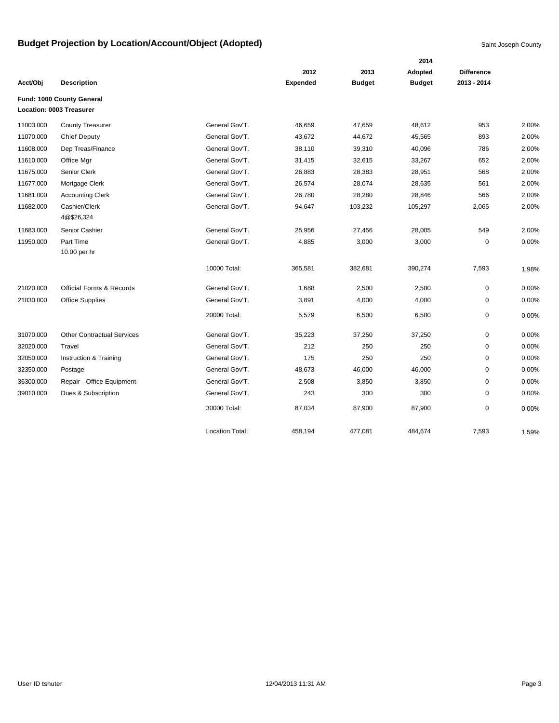|           |                                     |                        |                 |               | 2014          |                   |       |
|-----------|-------------------------------------|------------------------|-----------------|---------------|---------------|-------------------|-------|
|           |                                     |                        | 2012            | 2013          | Adopted       | <b>Difference</b> |       |
| Acct/Obj  | <b>Description</b>                  |                        | <b>Expended</b> | <b>Budget</b> | <b>Budget</b> | 2013 - 2014       |       |
|           | Fund: 1000 County General           |                        |                 |               |               |                   |       |
|           | Location: 0003 Treasurer            |                        |                 |               |               |                   |       |
| 11003.000 | <b>County Treasurer</b>             | General Gov'T.         | 46,659          | 47,659        | 48,612        | 953               | 2.00% |
| 11070.000 | <b>Chief Deputy</b>                 | General Gov'T.         | 43,672          | 44,672        | 45,565        | 893               | 2.00% |
| 11608.000 | Dep Treas/Finance                   | General Gov'T.         | 38,110          | 39,310        | 40,096        | 786               | 2.00% |
| 11610.000 | Office Mgr                          | General Gov'T.         | 31,415          | 32,615        | 33,267        | 652               | 2.00% |
| 11675.000 | Senior Clerk                        | General Gov'T.         | 26,883          | 28,383        | 28,951        | 568               | 2.00% |
| 11677.000 | Mortgage Clerk                      | General Gov'T.         | 26,574          | 28,074        | 28,635        | 561               | 2.00% |
| 11681.000 | <b>Accounting Clerk</b>             | General Gov'T.         | 26,780          | 28,280        | 28,846        | 566               | 2.00% |
| 11682.000 | Cashier/Clerk<br>4@\$26,324         | General Gov'T.         | 94,647          | 103,232       | 105,297       | 2,065             | 2.00% |
| 11683.000 | Senior Cashier                      | General Gov'T.         | 25,956          | 27,456        | 28,005        | 549               | 2.00% |
| 11950.000 | Part Time                           | General Gov'T.         | 4,885           | 3,000         | 3,000         | $\mathbf 0$       | 0.00% |
|           | 10.00 per hr                        |                        |                 |               |               |                   |       |
|           |                                     | 10000 Total:           | 365,581         | 382,681       | 390,274       | 7,593             | 1.98% |
| 21020.000 | <b>Official Forms &amp; Records</b> | General Gov'T.         | 1,688           | 2,500         | 2,500         | $\pmb{0}$         | 0.00% |
| 21030.000 | <b>Office Supplies</b>              | General Gov'T.         | 3,891           | 4,000         | 4,000         | 0                 | 0.00% |
|           |                                     | 20000 Total:           | 5,579           | 6,500         | 6,500         | 0                 | 0.00% |
| 31070.000 | <b>Other Contractual Services</b>   | General Gov'T.         | 35,223          | 37,250        | 37,250        | 0                 | 0.00% |
| 32020.000 | Travel                              | General Gov'T.         | 212             | 250           | 250           | 0                 | 0.00% |
| 32050.000 | Instruction & Training              | General Gov'T.         | 175             | 250           | 250           | $\mathbf 0$       | 0.00% |
| 32350.000 | Postage                             | General Gov'T.         | 48,673          | 46,000        | 46,000        | 0                 | 0.00% |
| 36300.000 | Repair - Office Equipment           | General Gov'T.         | 2,508           | 3,850         | 3,850         | $\mathbf 0$       | 0.00% |
| 39010.000 | Dues & Subscription                 | General Gov'T.         | 243             | 300           | 300           | $\mathbf 0$       | 0.00% |
|           |                                     | 30000 Total:           | 87,034          | 87,900        | 87,900        | 0                 | 0.00% |
|           |                                     | <b>Location Total:</b> | 458,194         | 477,081       | 484,674       | 7,593             | 1.59% |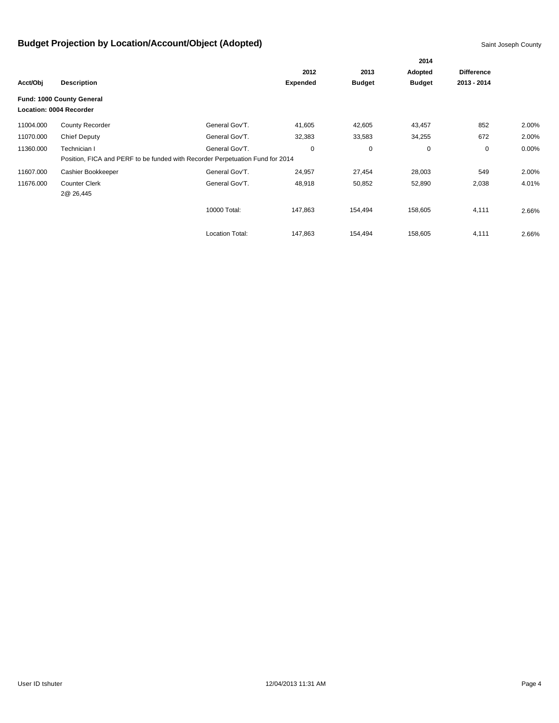|           |                           |                                                                               |                 |               | 2014          |                   |          |
|-----------|---------------------------|-------------------------------------------------------------------------------|-----------------|---------------|---------------|-------------------|----------|
|           |                           |                                                                               | 2012            |               | Adopted       | <b>Difference</b> |          |
| Acct/Obj  | <b>Description</b>        |                                                                               | <b>Expended</b> | <b>Budget</b> | <b>Budget</b> | 2013 - 2014       |          |
|           | Fund: 1000 County General |                                                                               |                 |               |               |                   |          |
|           | Location: 0004 Recorder   |                                                                               |                 |               |               |                   |          |
| 11004.000 | County Recorder           | General Gov'T.                                                                | 41,605          | 42,605        | 43,457        | 852               | 2.00%    |
| 11070.000 | <b>Chief Deputy</b>       | General Gov'T.                                                                | 32,383          | 33,583        | 34,255        | 672               | 2.00%    |
| 11360.000 | Technician I              | General Gov'T.                                                                | 0               | 0             | 0             | $\mathbf 0$       | $0.00\%$ |
|           |                           | Position, FICA and PERF to be funded with Recorder Perpetuation Fund for 2014 |                 |               |               |                   |          |
| 11607.000 | Cashier Bookkeeper        | General Gov'T.                                                                | 24,957          | 27,454        | 28,003        | 549               | 2.00%    |
| 11676.000 | <b>Counter Clerk</b>      | General Gov'T.                                                                | 48,918          | 50,852        | 52,890        | 2,038             | 4.01%    |
|           | 2@ 26,445                 |                                                                               |                 |               |               |                   |          |
|           |                           | 10000 Total:                                                                  | 147,863         | 154,494       | 158,605       | 4,111             | 2.66%    |
|           |                           |                                                                               |                 |               |               |                   |          |
|           |                           | <b>Location Total:</b>                                                        | 147,863         | 154,494       | 158,605       | 4,111             | 2.66%    |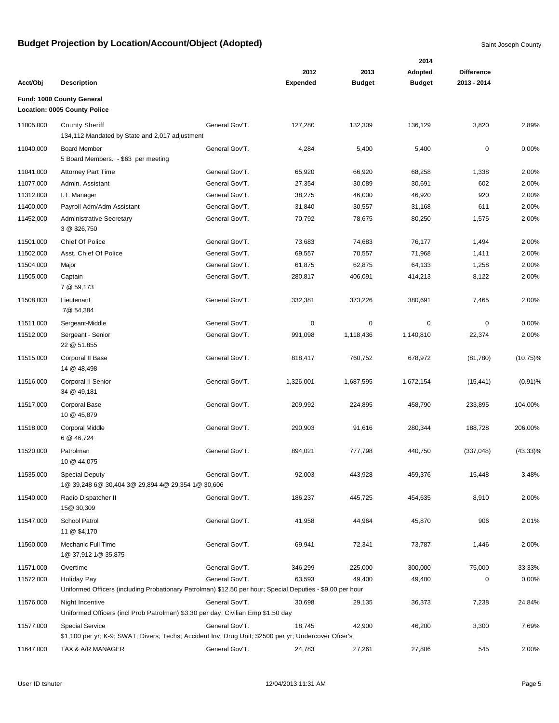|           |                                                                                                                                |                |                 |               | 2014          |                                  |             |
|-----------|--------------------------------------------------------------------------------------------------------------------------------|----------------|-----------------|---------------|---------------|----------------------------------|-------------|
|           |                                                                                                                                |                | 2012            | 2013          | Adopted       | <b>Difference</b><br>2013 - 2014 |             |
| Acct/Obj  | <b>Description</b>                                                                                                             |                | <b>Expended</b> | <b>Budget</b> | <b>Budget</b> |                                  |             |
|           | Fund: 1000 County General<br><b>Location: 0005 County Police</b>                                                               |                |                 |               |               |                                  |             |
| 11005.000 | <b>County Sheriff</b><br>134,112 Mandated by State and 2,017 adjustment                                                        | General Gov'T. | 127,280         | 132,309       | 136,129       | 3,820                            | 2.89%       |
| 11040.000 | <b>Board Member</b><br>5 Board Members. - \$63 per meeting                                                                     | General Gov'T. | 4,284           | 5,400         | 5,400         | 0                                | 0.00%       |
| 11041.000 | <b>Attorney Part Time</b>                                                                                                      | General Gov'T. | 65,920          | 66,920        | 68,258        | 1,338                            | 2.00%       |
| 11077.000 | Admin. Assistant                                                                                                               | General Gov'T. | 27,354          | 30,089        | 30,691        | 602                              | 2.00%       |
| 11312.000 | I.T. Manager                                                                                                                   | General Gov'T. | 38,275          | 46,000        | 46,920        | 920                              | 2.00%       |
| 11400.000 | Payroll Adm/Adm Assistant                                                                                                      | General Gov'T. | 31,840          | 30,557        | 31,168        | 611                              | 2.00%       |
| 11452.000 | <b>Administrative Secretary</b><br>3 @ \$26,750                                                                                | General Gov'T. | 70,792          | 78,675        | 80,250        | 1,575                            | 2.00%       |
| 11501.000 | Chief Of Police                                                                                                                | General Gov'T. | 73,683          | 74,683        | 76,177        | 1,494                            | 2.00%       |
| 11502.000 | Asst. Chief Of Police                                                                                                          | General Gov'T. | 69,557          | 70,557        | 71,968        | 1,411                            | 2.00%       |
| 11504.000 | Major                                                                                                                          | General Gov'T. | 61,875          | 62,875        | 64,133        | 1,258                            | 2.00%       |
| 11505.000 | Captain<br>7 @ 59,173                                                                                                          | General Gov'T. | 280,817         | 406,091       | 414,213       | 8,122                            | 2.00%       |
| 11508.000 | Lieutenant<br>7@ 54,384                                                                                                        | General Gov'T. | 332,381         | 373,226       | 380,691       | 7,465                            | 2.00%       |
| 11511.000 | Sergeant-Middle                                                                                                                | General Gov'T. | 0               | 0             | 0             | 0                                | 0.00%       |
| 11512.000 | Sergeant - Senior<br>22 @ 51.855                                                                                               | General Gov'T. | 991,098         | 1,118,436     | 1,140,810     | 22,374                           | 2.00%       |
| 11515.000 | Corporal II Base<br>14 @ 48,498                                                                                                | General Gov'T. | 818,417         | 760,752       | 678,972       | (81,780)                         | $(10.75)\%$ |
| 11516.000 | Corporal II Senior<br>34 @ 49,181                                                                                              | General Gov'T. | 1,326,001       | 1,687,595     | 1,672,154     | (15, 441)                        | $(0.91)\%$  |
| 11517.000 | <b>Corporal Base</b><br>10 @ 45,879                                                                                            | General Gov'T. | 209,992         | 224,895       | 458,790       | 233,895                          | 104.00%     |
| 11518.000 | <b>Corporal Middle</b><br>6 @ 46,724                                                                                           | General Gov'T. | 290,903         | 91,616        | 280,344       | 188,728                          | 206.00%     |
| 11520.000 | Patrolman<br>10 @ 44,075                                                                                                       | General Gov'T. | 894,021         | 777,798       | 440,750       | (337, 048)                       | $(43.33)\%$ |
| 11535.000 | <b>Special Deputy</b><br>1@ 39,248 6@ 30,404 3@ 29,894 4@ 29,354 1@ 30,606                                                     | General Gov'T. | 92,003          | 443,928       | 459,376       | 15,448                           | 3.48%       |
| 11540.000 | Radio Dispatcher II<br>15@ 30,309                                                                                              | General Gov'T. | 186,237         | 445,725       | 454,635       | 8,910                            | 2.00%       |
| 11547.000 | School Patrol<br>11 @ \$4,170                                                                                                  | General Gov'T. | 41,958          | 44,964        | 45,870        | 906                              | 2.01%       |
| 11560.000 | Mechanic Full Time<br>1@ 37,912 1@ 35,875                                                                                      | General Gov'T. | 69,941          | 72,341        | 73,787        | 1,446                            | 2.00%       |
| 11571.000 | Overtime                                                                                                                       | General Gov'T. | 346,299         | 225,000       | 300,000       | 75,000                           | 33.33%      |
| 11572.000 | Holiday Pay                                                                                                                    | General Gov'T. | 63,593          | 49,400        | 49,400        | 0                                | 0.00%       |
|           | Uniformed Officers (including Probationary Patrolman) \$12.50 per hour; Special Deputies - \$9.00 per hour                     |                |                 |               |               |                                  |             |
| 11576.000 | Night Incentive                                                                                                                | General Gov'T. | 30,698          | 29,135        | 36,373        | 7,238                            | 24.84%      |
|           | Uniformed Officers (incl Prob Patrolman) \$3.30 per day; Civilian Emp \$1.50 day                                               |                |                 |               |               |                                  |             |
| 11577.000 | <b>Special Service</b><br>\$1,100 per yr; K-9; SWAT; Divers; Techs; Accident Inv; Drug Unit; \$2500 per yr; Undercover Ofcer's | General Gov'T. | 18,745          | 42,900        | 46,200        | 3,300                            | 7.69%       |
| 11647.000 | TAX & A/R MANAGER                                                                                                              | General Gov'T. | 24,783          | 27,261        | 27,806        | 545                              | 2.00%       |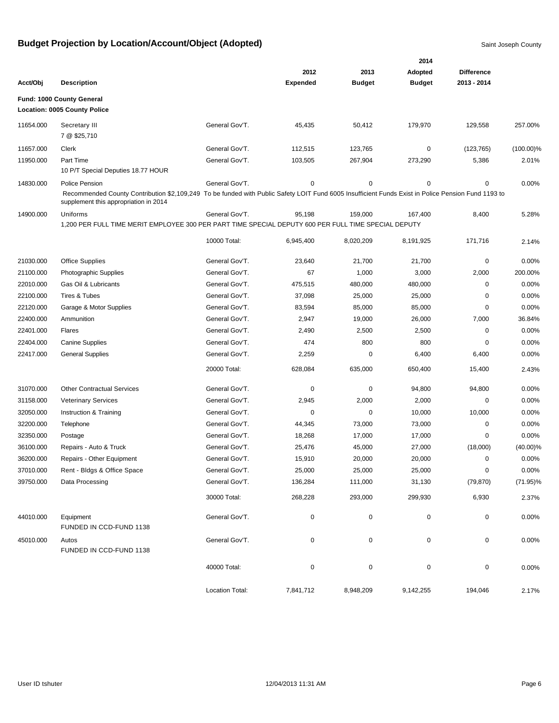|           |                                                                                                                                                                                             |                 |                 |               | 2014          |                   |              |
|-----------|---------------------------------------------------------------------------------------------------------------------------------------------------------------------------------------------|-----------------|-----------------|---------------|---------------|-------------------|--------------|
|           |                                                                                                                                                                                             |                 | 2012            | 2013          | Adopted       | <b>Difference</b> |              |
| Acct/Obj  | <b>Description</b>                                                                                                                                                                          |                 | <b>Expended</b> | <b>Budget</b> | <b>Budget</b> | 2013 - 2014       |              |
|           | Fund: 1000 County General<br><b>Location: 0005 County Police</b>                                                                                                                            |                 |                 |               |               |                   |              |
| 11654.000 | Secretary III<br>7 @ \$25,710                                                                                                                                                               | General Gov'T.  | 45,435          | 50,412        | 179,970       | 129,558           | 257.00%      |
| 11657.000 | Clerk                                                                                                                                                                                       | General Gov'T.  | 112,515         | 123,765       | 0             | (123, 765)        | $(100.00)\%$ |
| 11950.000 | Part Time<br>10 P/T Special Deputies 18.77 HOUR                                                                                                                                             | General Gov'T.  | 103,505         | 267,904       | 273,290       | 5,386             | 2.01%        |
| 14830.000 | Police Pension                                                                                                                                                                              | General Gov'T.  | 0               | 0             | 0             | 0                 | 0.00%        |
|           | Recommended County Contribution \$2,109,249 To be funded with Public Safety LOIT Fund 6005 Insufficient Funds Exist in Police Pension Fund 1193 to<br>supplement this appropriation in 2014 |                 |                 |               |               |                   |              |
| 14900.000 | Uniforms                                                                                                                                                                                    | General Gov'T.  | 95,198          | 159,000       | 167,400       | 8,400             | 5.28%        |
|           | 1,200 PER FULL TIME MERIT EMPLOYEE 300 PER PART TIME SPECIAL DEPUTY 600 PER FULL TIME SPECIAL DEPUTY                                                                                        |                 |                 |               |               |                   |              |
|           |                                                                                                                                                                                             | 10000 Total:    | 6,945,400       | 8,020,209     | 8,191,925     | 171,716           | 2.14%        |
| 21030.000 | <b>Office Supplies</b>                                                                                                                                                                      | General Gov'T.  | 23,640          | 21,700        | 21,700        | 0                 | 0.00%        |
| 21100.000 | Photographic Supplies                                                                                                                                                                       | General Gov'T.  | 67              | 1,000         | 3,000         | 2,000             | 200.00%      |
| 22010.000 | Gas Oil & Lubricants                                                                                                                                                                        | General Gov'T.  | 475,515         | 480,000       | 480,000       | 0                 | 0.00%        |
| 22100.000 | <b>Tires &amp; Tubes</b>                                                                                                                                                                    | General Gov'T.  | 37,098          | 25,000        | 25,000        | 0                 | 0.00%        |
| 22120.000 | Garage & Motor Supplies                                                                                                                                                                     | General Gov'T.  | 83,594          | 85,000        | 85,000        | 0                 | 0.00%        |
| 22400.000 | Ammunition                                                                                                                                                                                  | General Gov'T.  | 2,947           | 19,000        | 26,000        | 7,000             | 36.84%       |
| 22401.000 | Flares                                                                                                                                                                                      | General Gov'T.  | 2,490           | 2,500         | 2,500         | 0                 | 0.00%        |
| 22404.000 | <b>Canine Supplies</b>                                                                                                                                                                      | General Gov'T.  | 474             | 800           | 800           | 0                 | 0.00%        |
| 22417.000 | <b>General Supplies</b>                                                                                                                                                                     | General Gov'T.  | 2,259           | 0             | 6,400         | 6,400             | 0.00%        |
|           |                                                                                                                                                                                             | 20000 Total:    | 628,084         | 635,000       | 650,400       | 15,400            | 2.43%        |
| 31070.000 | <b>Other Contractual Services</b>                                                                                                                                                           | General Gov'T.  | 0               | 0             | 94,800        | 94,800            | 0.00%        |
| 31158.000 | <b>Veterinary Services</b>                                                                                                                                                                  | General Gov'T.  | 2,945           | 2,000         | 2,000         | 0                 | 0.00%        |
| 32050.000 | Instruction & Training                                                                                                                                                                      | General Gov'T.  | 0               | 0             | 10,000        | 10,000            | 0.00%        |
| 32200.000 | Telephone                                                                                                                                                                                   | General Gov'T.  | 44,345          | 73,000        | 73,000        | 0                 | 0.00%        |
| 32350.000 | Postage                                                                                                                                                                                     | General Gov'T.  | 18,268          | 17,000        | 17,000        | 0                 | 0.00%        |
| 36100.000 | Repairs - Auto & Truck                                                                                                                                                                      | General Gov'T.  | 25,476          | 45,000        | 27,000        | (18,000)          | $(40.00)\%$  |
| 36200.000 | Repairs - Other Equipment                                                                                                                                                                   | General Gov'T.  | 15,910          | 20,000        | 20,000        | 0                 | 0.00%        |
| 37010.000 | Rent - Bldgs & Office Space                                                                                                                                                                 | General Gov'T.  | 25,000          | 25,000        | 25,000        | 0                 | $0.00\%$     |
| 39750.000 | Data Processing                                                                                                                                                                             | General Gov'T.  | 136,284         | 111,000       | 31,130        | (79, 870)         | $(71.95)\%$  |
|           |                                                                                                                                                                                             | 30000 Total:    | 268,228         | 293,000       | 299,930       | 6,930             | 2.37%        |
| 44010.000 | Equipment<br>FUNDED IN CCD-FUND 1138                                                                                                                                                        | General Gov'T.  | 0               | $\pmb{0}$     | $\mathbf 0$   | $\pmb{0}$         | 0.00%        |
| 45010.000 | Autos<br>FUNDED IN CCD-FUND 1138                                                                                                                                                            | General Gov'T.  | 0               | $\pmb{0}$     | $\mathbf 0$   | 0                 | 0.00%        |
|           |                                                                                                                                                                                             | 40000 Total:    | $\pmb{0}$       | $\pmb{0}$     | 0             | 0                 | 0.00%        |
|           |                                                                                                                                                                                             | Location Total: | 7,841,712       | 8,948,209     | 9,142,255     | 194,046           | 2.17%        |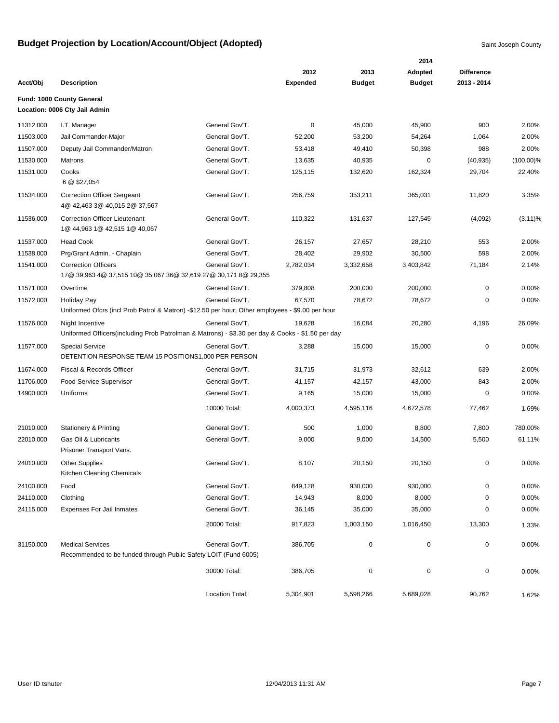|           |                                                                                                  |                 |                 |               | 2014          |                   |              |
|-----------|--------------------------------------------------------------------------------------------------|-----------------|-----------------|---------------|---------------|-------------------|--------------|
|           |                                                                                                  |                 | 2012            | 2013          | Adopted       | <b>Difference</b> |              |
| Acct/Obj  | <b>Description</b>                                                                               |                 | <b>Expended</b> | <b>Budget</b> | <b>Budget</b> | 2013 - 2014       |              |
|           | Fund: 1000 County General                                                                        |                 |                 |               |               |                   |              |
|           | Location: 0006 Cty Jail Admin                                                                    |                 |                 |               |               |                   |              |
| 11312.000 | I.T. Manager                                                                                     | General Gov'T.  | 0               | 45,000        | 45,900        | 900               | 2.00%        |
| 11503.000 | Jail Commander-Major                                                                             | General Gov'T.  | 52,200          | 53,200        | 54,264        | 1,064             | 2.00%        |
| 11507.000 | Deputy Jail Commander/Matron                                                                     | General Gov'T.  | 53,418          | 49,410        | 50,398        | 988               | 2.00%        |
| 11530.000 | Matrons                                                                                          | General Gov'T.  | 13,635          | 40,935        | 0             | (40, 935)         | $(100.00)\%$ |
| 11531.000 | Cooks                                                                                            | General Gov'T.  | 125,115         | 132,620       | 162,324       | 29,704            | 22.40%       |
|           | 6 @ \$27,054                                                                                     |                 |                 |               |               |                   |              |
| 11534.000 | <b>Correction Officer Sergeant</b><br>4@ 42,463 3@ 40,015 2@ 37,567                              | General Gov'T.  | 256,759         | 353,211       | 365,031       | 11,820            | 3.35%        |
| 11536.000 | Correction Officer Lieutenant<br>1@ 44,963 1@ 42,515 1@ 40,067                                   | General Gov'T.  | 110,322         | 131,637       | 127,545       | (4,092)           | $(3.11)\%$   |
| 11537.000 | <b>Head Cook</b>                                                                                 | General Gov'T.  | 26,157          | 27,657        | 28,210        | 553               | 2.00%        |
| 11538.000 | Prg/Grant Admin. - Chaplain                                                                      | General Gov'T.  | 28,402          | 29,902        | 30,500        | 598               | 2.00%        |
| 11541.000 | <b>Correction Officers</b>                                                                       | General Gov'T.  | 2,782,034       | 3,332,658     | 3,403,842     | 71,184            | 2.14%        |
|           | 17@ 39,963 4@ 37,515 10@ 35,067 36@ 32,619 27@ 30,171 8@ 29,355                                  |                 |                 |               |               |                   |              |
| 11571.000 | Overtime                                                                                         | General Gov'T.  | 379,808         | 200,000       | 200,000       | 0                 | 0.00%        |
| 11572.000 | <b>Holiday Pay</b>                                                                               | General Gov'T.  | 67,570          | 78,672        | 78,672        | 0                 | 0.00%        |
|           | Uniformed Ofcrs (incl Prob Patrol & Matron) -\$12.50 per hour; Other employees - \$9.00 per hour |                 |                 |               |               |                   |              |
| 11576.000 | Night Incentive                                                                                  | General Gov'T.  | 19,628          | 16,084        | 20,280        | 4,196             | 26.09%       |
|           | Uniformed Officers(including Prob Patrolman & Matrons) - \$3.30 per day & Cooks - \$1.50 per day |                 |                 |               |               |                   |              |
| 11577.000 | <b>Special Service</b><br>DETENTION RESPONSE TEAM 15 POSITIONS1,000 PER PERSON                   | General Gov'T.  | 3,288           | 15,000        | 15,000        | $\mathbf 0$       | 0.00%        |
| 11674.000 | Fiscal & Records Officer                                                                         | General Gov'T.  | 31,715          | 31,973        | 32,612        | 639               | 2.00%        |
| 11706.000 | <b>Food Service Supervisor</b>                                                                   | General Gov'T.  | 41,157          | 42,157        | 43,000        | 843               | 2.00%        |
| 14900.000 | Uniforms                                                                                         | General Gov'T.  | 9,165           | 15,000        | 15,000        | $\mathbf 0$       | 0.00%        |
|           |                                                                                                  | 10000 Total:    | 4,000,373       | 4,595,116     | 4,672,578     | 77,462            | 1.69%        |
| 21010.000 | <b>Stationery &amp; Printing</b>                                                                 | General Gov'T.  | 500             | 1,000         | 8,800         | 7,800             | 780.00%      |
| 22010.000 | Gas Oil & Lubricants                                                                             | General Gov'T.  | 9,000           | 9,000         | 14,500        | 5,500             | 61.11%       |
|           | Prisoner Transport Vans.                                                                         |                 |                 |               |               |                   |              |
| 24010.000 | <b>Other Supplies</b><br>Kitchen Cleaning Chemicals                                              | General Gov'T.  | 8,107           | 20,150        | 20,150        | 0                 | 0.00%        |
| 24100.000 | Food                                                                                             | General Gov'T.  | 849,128         | 930,000       | 930,000       | 0                 | 0.00%        |
| 24110.000 | Clothing                                                                                         | General Gov'T.  | 14,943          | 8,000         | 8,000         | 0                 | 0.00%        |
| 24115.000 | <b>Expenses For Jail Inmates</b>                                                                 | General Gov'T.  | 36,145          | 35,000        | 35,000        | 0                 | 0.00%        |
|           |                                                                                                  | 20000 Total:    | 917,823         | 1,003,150     | 1,016,450     | 13,300            | 1.33%        |
| 31150.000 | <b>Medical Services</b>                                                                          | General Gov'T.  | 386,705         | $\pmb{0}$     | 0             | 0                 | 0.00%        |
|           | Recommended to be funded through Public Safety LOIT (Fund 6005)                                  |                 |                 |               |               |                   |              |
|           |                                                                                                  | 30000 Total:    | 386,705         | $\pmb{0}$     | $\mathbf 0$   | $\pmb{0}$         | 0.00%        |
|           |                                                                                                  | Location Total: | 5,304,901       | 5,598,266     | 5,689,028     | 90,762            | 1.62%        |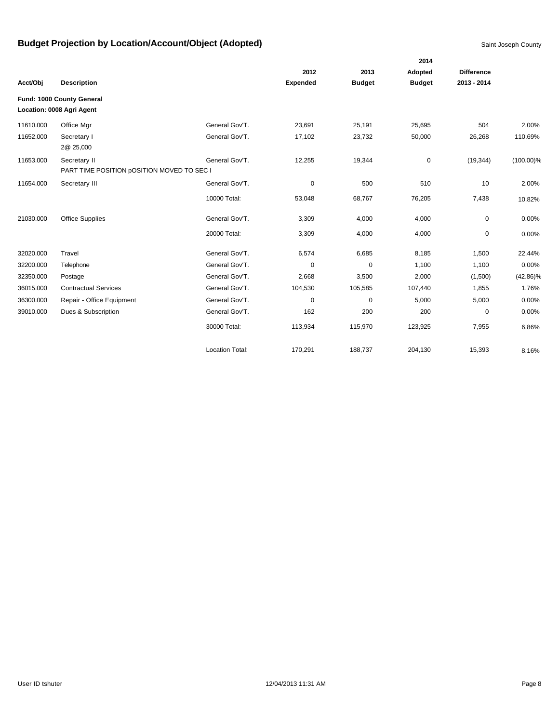|           |                                                        |                        |                 |               | 2014          |                   |              |
|-----------|--------------------------------------------------------|------------------------|-----------------|---------------|---------------|-------------------|--------------|
|           |                                                        |                        | 2012            | 2013          | Adopted       | <b>Difference</b> |              |
| Acct/Obj  | <b>Description</b>                                     |                        | <b>Expended</b> | <b>Budget</b> | <b>Budget</b> | 2013 - 2014       |              |
|           | Fund: 1000 County General<br>Location: 0008 Agri Agent |                        |                 |               |               |                   |              |
|           |                                                        |                        |                 |               |               |                   |              |
| 11610.000 | Office Mgr                                             | General Gov'T.         | 23,691          | 25,191        | 25,695        | 504               | 2.00%        |
| 11652.000 | Secretary I<br>2@ 25,000                               | General Gov'T.         | 17,102          | 23,732        | 50,000        | 26,268            | 110.69%      |
| 11653.000 | Secretary II                                           | General Gov'T.         | 12,255          | 19,344        | $\mathbf 0$   | (19, 344)         | $(100.00)\%$ |
|           | PART TIME POSITION pOSITION MOVED TO SEC I             |                        |                 |               |               |                   |              |
| 11654.000 | Secretary III                                          | General Gov'T.         | 0               | 500           | 510           | 10                | 2.00%        |
|           |                                                        | 10000 Total:           | 53,048          | 68,767        | 76,205        | 7,438             | 10.82%       |
| 21030.000 | <b>Office Supplies</b>                                 | General Gov'T.         | 3,309           | 4,000         | 4,000         | $\mathbf 0$       | 0.00%        |
|           |                                                        | 20000 Total:           | 3,309           | 4,000         | 4,000         | 0                 | 0.00%        |
| 32020.000 | Travel                                                 | General Gov'T.         | 6,574           | 6,685         | 8,185         | 1,500             | 22.44%       |
| 32200.000 | Telephone                                              | General Gov'T.         | $\mathbf 0$     | $\mathbf 0$   | 1,100         | 1,100             | 0.00%        |
| 32350.000 | Postage                                                | General Gov'T.         | 2,668           | 3,500         | 2,000         | (1,500)           | $(42.86)\%$  |
| 36015.000 | <b>Contractual Services</b>                            | General Gov'T.         | 104,530         | 105,585       | 107,440       | 1,855             | 1.76%        |
| 36300.000 | Repair - Office Equipment                              | General Gov'T.         | 0               | 0             | 5,000         | 5,000             | 0.00%        |
| 39010.000 | Dues & Subscription                                    | General Gov'T.         | 162             | 200           | 200           | 0                 | 0.00%        |
|           |                                                        | 30000 Total:           | 113,934         | 115,970       | 123,925       | 7,955             | 6.86%        |
|           |                                                        | <b>Location Total:</b> | 170,291         | 188,737       | 204,130       | 15,393            | 8.16%        |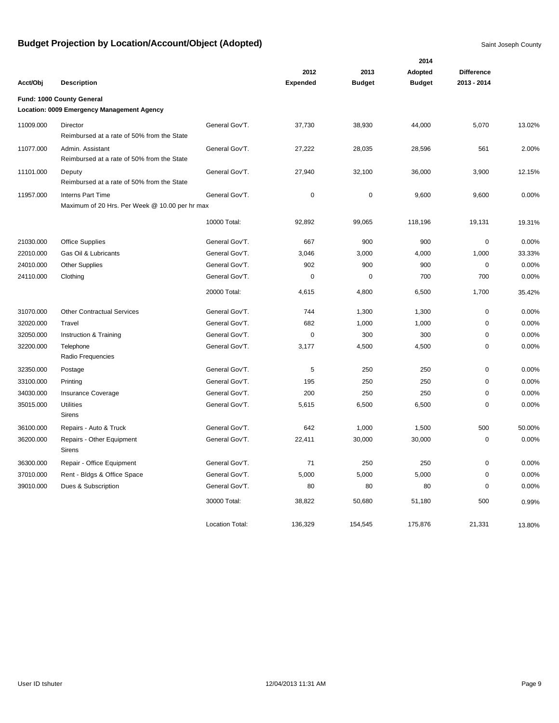|           |                                                                            |                        |                 |               | 2014          |                   |        |
|-----------|----------------------------------------------------------------------------|------------------------|-----------------|---------------|---------------|-------------------|--------|
|           |                                                                            |                        | 2012            | 2013          | Adopted       | <b>Difference</b> |        |
| Acct/Obj  | <b>Description</b>                                                         |                        | <b>Expended</b> | <b>Budget</b> | <b>Budget</b> | 2013 - 2014       |        |
|           | Fund: 1000 County General<br>Location: 0009 Emergency Management Agency    |                        |                 |               |               |                   |        |
| 11009.000 | Director<br>Reimbursed at a rate of 50% from the State                     | General Gov'T.         | 37,730          | 38,930        | 44,000        | 5,070             | 13.02% |
| 11077.000 | Admin. Assistant<br>Reimbursed at a rate of 50% from the State             | General Gov'T.         | 27,222          | 28,035        | 28,596        | 561               | 2.00%  |
| 11101.000 | Deputy<br>Reimbursed at a rate of 50% from the State                       | General Gov'T.         | 27,940          | 32,100        | 36,000        | 3,900             | 12.15% |
| 11957.000 | <b>Interns Part Time</b><br>Maximum of 20 Hrs. Per Week @ 10.00 per hr max | General Gov'T.         | $\pmb{0}$       | $\pmb{0}$     | 9,600         | 9,600             | 0.00%  |
|           |                                                                            | 10000 Total:           | 92,892          | 99,065        | 118,196       | 19,131            | 19.31% |
| 21030.000 | <b>Office Supplies</b>                                                     | General Gov'T.         | 667             | 900           | 900           | $\mathbf 0$       | 0.00%  |
| 22010.000 | Gas Oil & Lubricants                                                       | General Gov'T.         | 3,046           | 3,000         | 4,000         | 1,000             | 33.33% |
| 24010.000 | <b>Other Supplies</b>                                                      | General Gov'T.         | 902             | 900           | 900           | $\mathbf 0$       | 0.00%  |
| 24110.000 | Clothing                                                                   | General Gov'T.         | 0               | 0             | 700           | 700               | 0.00%  |
|           |                                                                            | 20000 Total:           | 4,615           | 4,800         | 6,500         | 1,700             | 35.42% |
| 31070.000 | <b>Other Contractual Services</b>                                          | General Gov'T.         | 744             | 1,300         | 1,300         | $\mathbf 0$       | 0.00%  |
| 32020.000 | Travel                                                                     | General Gov'T.         | 682             | 1,000         | 1,000         | $\pmb{0}$         | 0.00%  |
| 32050.000 | Instruction & Training                                                     | General Gov'T.         | $\mathbf 0$     | 300           | 300           | $\pmb{0}$         | 0.00%  |
| 32200.000 | Telephone<br>Radio Frequencies                                             | General Gov'T.         | 3,177           | 4,500         | 4,500         | $\mathbf 0$       | 0.00%  |
| 32350.000 | Postage                                                                    | General Gov'T.         | 5               | 250           | 250           | $\pmb{0}$         | 0.00%  |
| 33100.000 | Printing                                                                   | General Gov'T.         | 195             | 250           | 250           | $\pmb{0}$         | 0.00%  |
| 34030.000 | <b>Insurance Coverage</b>                                                  | General Gov'T.         | 200             | 250           | 250           | $\mathbf 0$       | 0.00%  |
| 35015.000 | <b>Utilities</b><br>Sirens                                                 | General Gov'T.         | 5,615           | 6,500         | 6,500         | $\mathbf 0$       | 0.00%  |
| 36100.000 | Repairs - Auto & Truck                                                     | General Gov'T.         | 642             | 1,000         | 1,500         | 500               | 50.00% |
| 36200.000 | Repairs - Other Equipment<br>Sirens                                        | General Gov'T.         | 22,411          | 30,000        | 30,000        | $\pmb{0}$         | 0.00%  |
| 36300.000 | Repair - Office Equipment                                                  | General Gov'T.         | 71              | 250           | 250           | $\pmb{0}$         | 0.00%  |
| 37010.000 | Rent - Bldgs & Office Space                                                | General Gov'T.         | 5,000           | 5,000         | 5,000         | $\pmb{0}$         | 0.00%  |
| 39010.000 | Dues & Subscription                                                        | General Gov'T.         | 80              | 80            | 80            | $\mathbf 0$       | 0.00%  |
|           |                                                                            | 30000 Total:           | 38,822          | 50,680        | 51,180        | 500               | 0.99%  |
|           |                                                                            | <b>Location Total:</b> | 136,329         | 154,545       | 175,876       | 21,331            | 13.80% |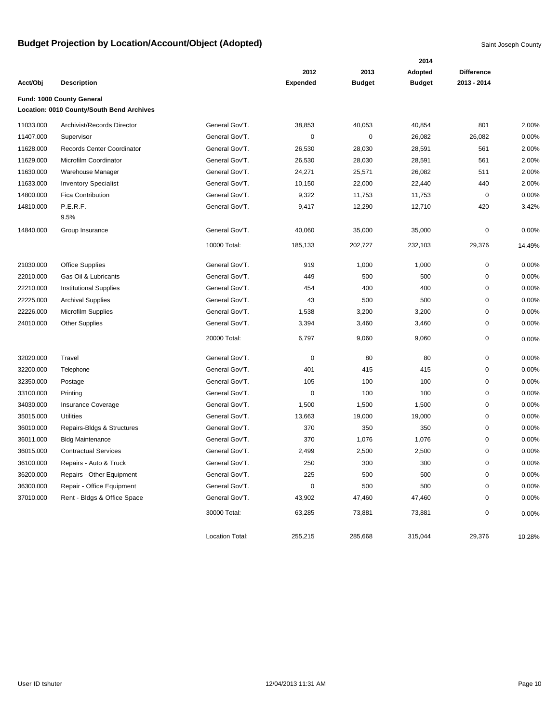|           |                                           |                 |                 |               | 2014          |                   |        |
|-----------|-------------------------------------------|-----------------|-----------------|---------------|---------------|-------------------|--------|
|           |                                           |                 | 2012            | 2013          | Adopted       | <b>Difference</b> |        |
| Acct/Obj  | <b>Description</b>                        |                 | <b>Expended</b> | <b>Budget</b> | <b>Budget</b> | 2013 - 2014       |        |
|           | Fund: 1000 County General                 |                 |                 |               |               |                   |        |
|           | Location: 0010 County/South Bend Archives |                 |                 |               |               |                   |        |
| 11033.000 | Archivist/Records Director                | General Gov'T.  | 38,853          | 40,053        | 40,854        | 801               | 2.00%  |
| 11407.000 | Supervisor                                | General Gov'T.  | 0               | 0             | 26,082        | 26,082            | 0.00%  |
| 11628.000 | Records Center Coordinator                | General Gov'T.  | 26,530          | 28,030        | 28,591        | 561               | 2.00%  |
| 11629.000 | Microfilm Coordinator                     | General Gov'T.  | 26,530          | 28,030        | 28,591        | 561               | 2.00%  |
| 11630.000 | Warehouse Manager                         | General Gov'T.  | 24,271          | 25,571        | 26,082        | 511               | 2.00%  |
| 11633.000 | <b>Inventory Specialist</b>               | General Gov'T.  | 10,150          | 22,000        | 22,440        | 440               | 2.00%  |
| 14800.000 | <b>Fica Contribution</b>                  | General Gov'T.  | 9,322           | 11,753        | 11,753        | $\pmb{0}$         | 0.00%  |
| 14810.000 | P.E.R.F.                                  | General Gov'T.  | 9,417           | 12,290        | 12,710        | 420               | 3.42%  |
|           | 9.5%                                      |                 |                 |               |               |                   |        |
| 14840.000 | Group Insurance                           | General Gov'T.  | 40,060          | 35,000        | 35,000        | $\mathbf 0$       | 0.00%  |
|           |                                           | 10000 Total:    | 185,133         | 202,727       | 232,103       | 29,376            | 14.49% |
| 21030.000 | <b>Office Supplies</b>                    | General Gov'T.  | 919             | 1,000         | 1,000         | $\pmb{0}$         | 0.00%  |
| 22010.000 | Gas Oil & Lubricants                      | General Gov'T.  | 449             | 500           | 500           | $\pmb{0}$         | 0.00%  |
| 22210.000 | <b>Institutional Supplies</b>             | General Gov'T.  | 454             | 400           | 400           | $\pmb{0}$         | 0.00%  |
| 22225.000 | <b>Archival Supplies</b>                  | General Gov'T.  | 43              | 500           | 500           | 0                 | 0.00%  |
| 22226.000 | Microfilm Supplies                        | General Gov'T.  | 1,538           | 3,200         | 3,200         | 0                 | 0.00%  |
| 24010.000 | <b>Other Supplies</b>                     | General Gov'T.  | 3,394           | 3,460         | 3,460         | 0                 | 0.00%  |
|           |                                           | 20000 Total:    | 6,797           | 9,060         | 9,060         | 0                 | 0.00%  |
| 32020.000 | Travel                                    | General Gov'T.  | 0               | 80            | 80            | 0                 | 0.00%  |
| 32200.000 | Telephone                                 | General Gov'T.  | 401             | 415           | 415           | $\pmb{0}$         | 0.00%  |
| 32350.000 | Postage                                   | General Gov'T.  | 105             | 100           | 100           | $\pmb{0}$         | 0.00%  |
| 33100.000 | Printing                                  | General Gov'T.  | 0               | 100           | 100           | 0                 | 0.00%  |
| 34030.000 | Insurance Coverage                        | General Gov'T.  | 1,500           | 1,500         | 1,500         | 0                 | 0.00%  |
| 35015.000 | <b>Utilities</b>                          | General Gov'T.  | 13,663          | 19,000        | 19,000        | $\mathbf 0$       | 0.00%  |
| 36010.000 | Repairs-Bldgs & Structures                | General Gov'T.  | 370             | 350           | 350           | $\mathbf 0$       | 0.00%  |
| 36011.000 | <b>Bldg Maintenance</b>                   | General Gov'T.  | 370             | 1,076         | 1,076         | 0                 | 0.00%  |
| 36015.000 | <b>Contractual Services</b>               | General Gov'T.  | 2,499           | 2,500         | 2,500         | 0                 | 0.00%  |
| 36100.000 | Repairs - Auto & Truck                    | General Gov'T.  | 250             | 300           | 300           | 0                 | 0.00%  |
| 36200.000 | Repairs - Other Equipment                 | General Gov'T.  | 225             | 500           | 500           | $\pmb{0}$         | 0.00%  |
| 36300.000 | Repair - Office Equipment                 | General Gov'T.  | 0               | 500           | 500           | 0                 | 0.00%  |
| 37010.000 | Rent - Bldgs & Office Space               | General Gov'T.  | 43,902          | 47,460        | 47,460        | 0                 | 0.00%  |
|           |                                           | 30000 Total:    | 63,285          | 73,881        | 73,881        | 0                 | 0.00%  |
|           |                                           | Location Total: | 255,215         | 285,668       | 315,044       | 29,376            | 10.28% |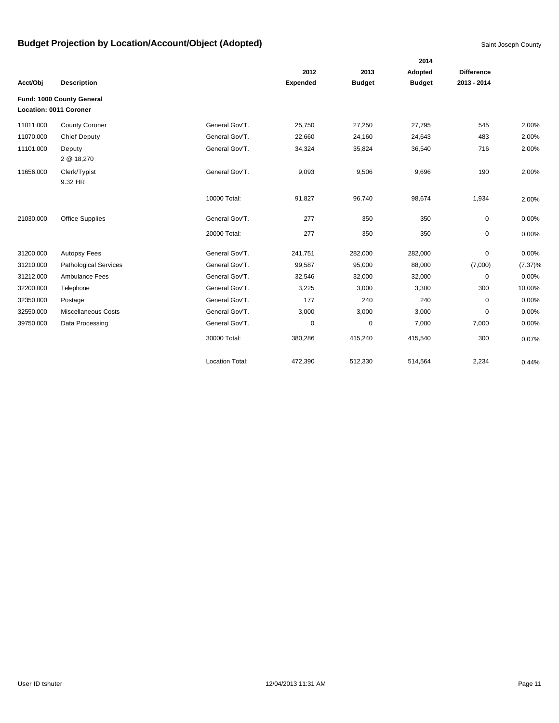|           |                              |                        |                 |               | 2014          |                   |            |
|-----------|------------------------------|------------------------|-----------------|---------------|---------------|-------------------|------------|
|           |                              |                        | 2012            | 2013          | Adopted       | <b>Difference</b> |            |
| Acct/Obj  | <b>Description</b>           |                        | <b>Expended</b> | <b>Budget</b> | <b>Budget</b> | 2013 - 2014       |            |
|           | Fund: 1000 County General    |                        |                 |               |               |                   |            |
|           | Location: 0011 Coroner       |                        |                 |               |               |                   |            |
| 11011.000 | <b>County Coroner</b>        | General Gov'T.         | 25,750          | 27,250        | 27,795        | 545               | 2.00%      |
| 11070.000 | <b>Chief Deputy</b>          | General Gov'T.         | 22,660          | 24,160        | 24,643        | 483               | 2.00%      |
| 11101.000 | Deputy                       | General Gov'T.         | 34,324          | 35,824        | 36,540        | 716               | 2.00%      |
|           | 2 @ 18,270                   |                        |                 |               |               |                   |            |
| 11656.000 | Clerk/Typist                 | General Gov'T.         | 9,093           | 9,506         | 9,696         | 190               | 2.00%      |
|           | 9.32 HR                      |                        |                 |               |               |                   |            |
|           |                              | 10000 Total:           | 91,827          | 96,740        | 98,674        | 1,934             | 2.00%      |
| 21030.000 | <b>Office Supplies</b>       | General Gov'T.         | 277             | 350           | 350           | 0                 | 0.00%      |
|           |                              |                        |                 |               |               |                   |            |
|           |                              | 20000 Total:           | 277             | 350           | 350           | 0                 | 0.00%      |
| 31200.000 | <b>Autopsy Fees</b>          | General Gov'T.         | 241,751         | 282,000       | 282,000       | 0                 | 0.00%      |
| 31210.000 | <b>Pathological Services</b> | General Gov'T.         | 99,587          | 95,000        | 88,000        | (7,000)           | $(7.37)\%$ |
| 31212.000 | Ambulance Fees               | General Gov'T.         | 32,546          | 32,000        | 32,000        | $\mathbf 0$       | 0.00%      |
| 32200.000 | Telephone                    | General Gov'T.         | 3,225           | 3,000         | 3,300         | 300               | 10.00%     |
| 32350.000 | Postage                      | General Gov'T.         | 177             | 240           | 240           | 0                 | 0.00%      |
| 32550.000 | Miscellaneous Costs          | General Gov'T.         | 3,000           | 3,000         | 3,000         | 0                 | 0.00%      |
| 39750.000 | Data Processing              | General Gov'T.         | $\mathbf 0$     | $\mathbf 0$   | 7,000         | 7,000             | 0.00%      |
|           |                              | 30000 Total:           | 380,286         | 415,240       | 415,540       | 300               | 0.07%      |
|           |                              | <b>Location Total:</b> | 472,390         | 512,330       | 514,564       | 2,234             | 0.44%      |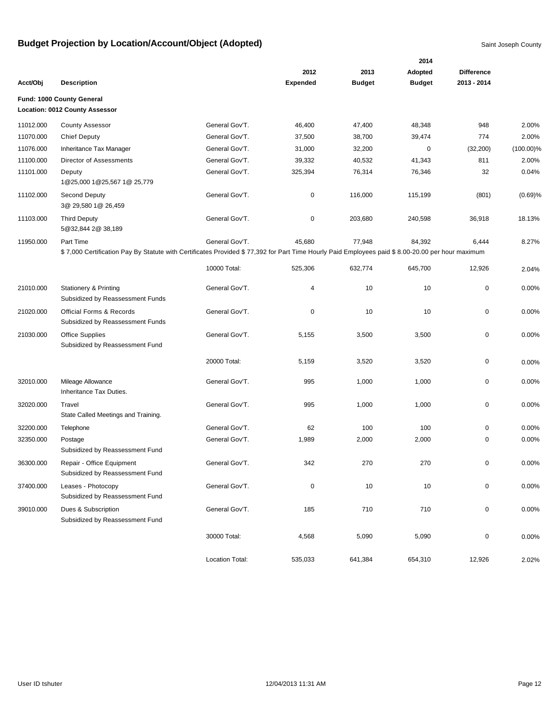|           |                                                                                                                                                 |                        |                 |               | 2014          |                   |              |
|-----------|-------------------------------------------------------------------------------------------------------------------------------------------------|------------------------|-----------------|---------------|---------------|-------------------|--------------|
|           |                                                                                                                                                 |                        | 2012            | 2013          | Adopted       | <b>Difference</b> |              |
| Acct/Obj  | <b>Description</b>                                                                                                                              |                        | <b>Expended</b> | <b>Budget</b> | <b>Budget</b> | 2013 - 2014       |              |
|           | Fund: 1000 County General                                                                                                                       |                        |                 |               |               |                   |              |
|           | Location: 0012 County Assessor                                                                                                                  |                        |                 |               |               |                   |              |
| 11012.000 | <b>County Assessor</b>                                                                                                                          | General Gov'T.         | 46,400          | 47,400        | 48,348        | 948               | 2.00%        |
| 11070.000 | <b>Chief Deputy</b>                                                                                                                             | General Gov'T.         | 37,500          | 38,700        | 39,474        | 774               | 2.00%        |
| 11076.000 | Inheritance Tax Manager                                                                                                                         | General Gov'T.         | 31,000          | 32,200        | 0             | (32, 200)         | $(100.00)\%$ |
| 11100.000 | Director of Assessments                                                                                                                         | General Gov'T.         | 39,332          | 40,532        | 41,343        | 811               | 2.00%        |
| 11101.000 | Deputy<br>1@25,000 1@25,567 1@ 25,779                                                                                                           | General Gov'T.         | 325,394         | 76,314        | 76,346        | 32                | 0.04%        |
| 11102.000 | Second Deputy<br>3@ 29,580 1@ 26,459                                                                                                            | General Gov'T.         | 0               | 116,000       | 115,199       | (801)             | (0.69)%      |
| 11103.000 | <b>Third Deputy</b><br>5@32,844 2@ 38,189                                                                                                       | General Gov'T.         | 0               | 203,680       | 240,598       | 36,918            | 18.13%       |
| 11950.000 | Part Time                                                                                                                                       | General Gov'T.         | 45,680          | 77,948        | 84,392        | 6,444             | 8.27%        |
|           | \$7,000 Certification Pay By Statute with Certificates Provided \$77,392 for Part Time Hourly Paid Employees paid \$8.00-20.00 per hour maximum |                        |                 |               |               |                   |              |
|           |                                                                                                                                                 | 10000 Total:           | 525,306         | 632,774       | 645,700       | 12,926            | 2.04%        |
| 21010.000 | <b>Stationery &amp; Printing</b><br>Subsidized by Reassessment Funds                                                                            | General Gov'T.         | 4               | 10            | 10            | 0                 | 0.00%        |
| 21020.000 | Official Forms & Records<br>Subsidized by Reassessment Funds                                                                                    | General Gov'T.         | 0               | 10            | 10            | 0                 | 0.00%        |
| 21030.000 | Office Supplies<br>Subsidized by Reassessment Fund                                                                                              | General Gov'T.         | 5,155           | 3,500         | 3,500         | 0                 | 0.00%        |
|           |                                                                                                                                                 | 20000 Total:           | 5,159           | 3,520         | 3,520         | 0                 | 0.00%        |
| 32010.000 | Mileage Allowance<br>Inheritance Tax Duties.                                                                                                    | General Gov'T.         | 995             | 1,000         | 1,000         | 0                 | 0.00%        |
| 32020.000 | Travel<br>State Called Meetings and Training.                                                                                                   | General Gov'T.         | 995             | 1,000         | 1,000         | 0                 | 0.00%        |
| 32200.000 | Telephone                                                                                                                                       | General Gov'T.         | 62              | 100           | 100           | 0                 | 0.00%        |
| 32350.000 | Postage<br>Subsidized by Reassessment Fund                                                                                                      | General Gov'T.         | 1,989           | 2,000         | 2,000         | 0                 | 0.00%        |
| 36300.000 | Repair - Office Equipment<br>Subsidized by Reassessment Fund                                                                                    | General Gov'T.         | 342             | 270           | 270           | 0                 | 0.00%        |
| 37400.000 | Leases - Photocopy<br>Subsidized by Reassessment Fund                                                                                           | General Gov'T.         | 0               | 10            | 10            | 0                 | 0.00%        |
| 39010.000 | Dues & Subscription<br>Subsidized by Reassessment Fund                                                                                          | General Gov'T.         | 185             | 710           | 710           | 0                 | 0.00%        |
|           |                                                                                                                                                 | 30000 Total:           | 4,568           | 5,090         | 5,090         | 0                 | 0.00%        |
|           |                                                                                                                                                 | <b>Location Total:</b> | 535,033         | 641,384       | 654,310       | 12,926            | 2.02%        |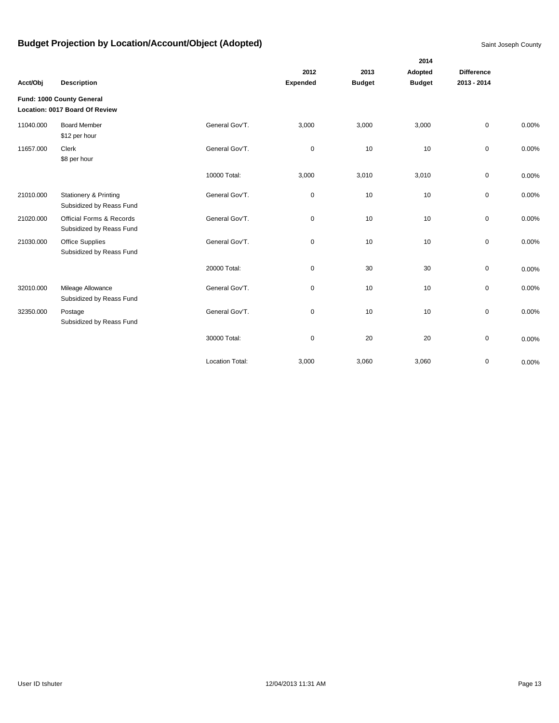|           |                                                              |                        |                 |               | 2014          |                   |       |
|-----------|--------------------------------------------------------------|------------------------|-----------------|---------------|---------------|-------------------|-------|
|           |                                                              |                        | 2012            | 2013          | Adopted       | <b>Difference</b> |       |
| Acct/Obj  | <b>Description</b>                                           |                        | <b>Expended</b> | <b>Budget</b> | <b>Budget</b> | 2013 - 2014       |       |
|           | Fund: 1000 County General<br>Location: 0017 Board Of Review  |                        |                 |               |               |                   |       |
| 11040.000 | <b>Board Member</b><br>\$12 per hour                         | General Gov'T.         | 3,000           | 3,000         | 3,000         | $\mathbf 0$       | 0.00% |
| 11657.000 | Clerk<br>\$8 per hour                                        | General Gov'T.         | $\pmb{0}$       | 10            | 10            | $\mathbf 0$       | 0.00% |
|           |                                                              | 10000 Total:           | 3,000           | 3,010         | 3,010         | $\mathbf 0$       | 0.00% |
| 21010.000 | <b>Stationery &amp; Printing</b><br>Subsidized by Reass Fund | General Gov'T.         | 0               | 10            | 10            | $\mathbf 0$       | 0.00% |
| 21020.000 | Official Forms & Records<br>Subsidized by Reass Fund         | General Gov'T.         | $\mathbf 0$     | 10            | 10            | $\mathbf 0$       | 0.00% |
| 21030.000 | <b>Office Supplies</b><br>Subsidized by Reass Fund           | General Gov'T.         | $\pmb{0}$       | 10            | 10            | $\mathbf 0$       | 0.00% |
|           |                                                              | 20000 Total:           | $\pmb{0}$       | 30            | 30            | $\mathbf 0$       | 0.00% |
| 32010.000 | Mileage Allowance<br>Subsidized by Reass Fund                | General Gov'T.         | 0               | 10            | 10            | 0                 | 0.00% |
| 32350.000 | Postage<br>Subsidized by Reass Fund                          | General Gov'T.         | $\mathbf 0$     | 10            | 10            | $\mathbf 0$       | 0.00% |
|           |                                                              | 30000 Total:           | 0               | 20            | 20            | $\mathbf 0$       | 0.00% |
|           |                                                              | <b>Location Total:</b> | 3,000           | 3,060         | 3,060         | 0                 | 0.00% |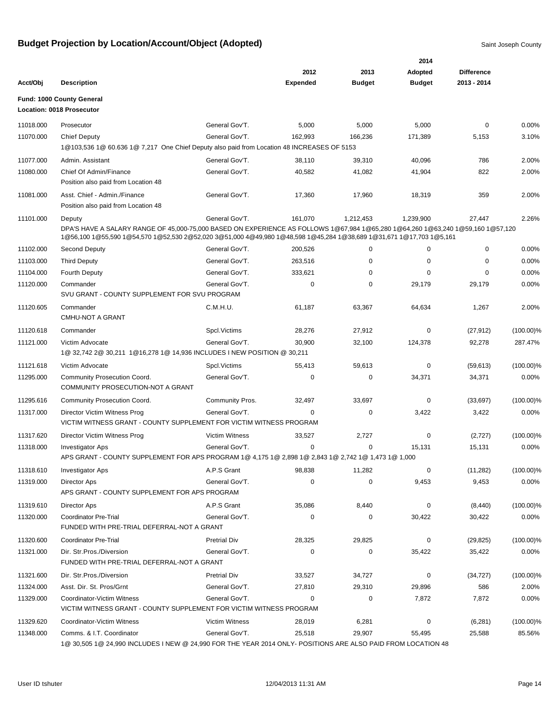|           |                                                                                                                                                                                                                                                        |                        |                 |               | 2014          |                   |              |
|-----------|--------------------------------------------------------------------------------------------------------------------------------------------------------------------------------------------------------------------------------------------------------|------------------------|-----------------|---------------|---------------|-------------------|--------------|
|           |                                                                                                                                                                                                                                                        |                        | 2012            | 2013          | Adopted       | <b>Difference</b> |              |
| Acct/Obj  | <b>Description</b>                                                                                                                                                                                                                                     |                        | <b>Expended</b> | <b>Budget</b> | <b>Budget</b> | 2013 - 2014       |              |
|           | Fund: 1000 County General<br><b>Location: 0018 Prosecutor</b>                                                                                                                                                                                          |                        |                 |               |               |                   |              |
| 11018.000 | Prosecutor                                                                                                                                                                                                                                             | General Gov'T.         | 5,000           | 5,000         | 5,000         | $\mathbf 0$       | 0.00%        |
| 11070.000 | Chief Deputy                                                                                                                                                                                                                                           | General Gov'T.         | 162,993         | 166,236       | 171,389       | 5,153             | 3.10%        |
|           | 1@103,536 1@ 60.636 1@ 7,217 One Chief Deputy also paid from Location 48 INCREASES OF 5153                                                                                                                                                             |                        |                 |               |               |                   |              |
| 11077.000 | Admin, Assistant                                                                                                                                                                                                                                       | General Gov'T.         | 38,110          | 39,310        | 40,096        | 786               | 2.00%        |
| 11080.000 | Chief Of Admin/Finance<br>Position also paid from Location 48                                                                                                                                                                                          | General Gov'T.         | 40,582          | 41,082        | 41,904        | 822               | 2.00%        |
| 11081.000 | Asst. Chief - Admin./Finance<br>Position also paid from Location 48                                                                                                                                                                                    | General Gov'T.         | 17,360          | 17,960        | 18,319        | 359               | 2.00%        |
| 11101.000 | Deputy                                                                                                                                                                                                                                                 | General Gov'T.         | 161,070         | 1,212,453     | 1,239,900     | 27,447            | 2.26%        |
|           | DPA'S HAVE A SALARY RANGE OF 45,000-75,000 BASED ON EXPERIENCE AS FOLLOWS 1@67,984 1@65,280 1@64,260 1@63,240 1@59,160 1@57,120<br>1@56,100 1@55,590 1@54,570 1@52,530 2@52,020 3@51,000 4@49,980 1@48,598 1@45,284 1@38,689 1@31,671 1@17,703 1@5,161 |                        |                 |               |               |                   |              |
| 11102.000 | Second Deputy                                                                                                                                                                                                                                          | General Gov'T.         | 200,526         | 0             | 0             | 0                 | 0.00%        |
| 11103.000 | <b>Third Deputy</b>                                                                                                                                                                                                                                    | General Gov'T.         | 263,516         | $\Omega$      | $\mathbf 0$   | 0                 | 0.00%        |
| 11104.000 | <b>Fourth Deputy</b>                                                                                                                                                                                                                                   | General Gov'T.         | 333,621         | 0             | $\Omega$      | 0                 | 0.00%        |
| 11120.000 | Commander<br>SVU GRANT - COUNTY SUPPLEMENT FOR SVU PROGRAM                                                                                                                                                                                             | General Gov'T.         | 0               | 0             | 29,179        | 29,179            | 0.00%        |
| 11120.605 | Commander<br>CMHU-NOT A GRANT                                                                                                                                                                                                                          | C.M.H.U.               | 61,187          | 63,367        | 64,634        | 1,267             | 2.00%        |
| 11120.618 | Commander                                                                                                                                                                                                                                              | Spcl. Victims          | 28,276          | 27,912        | 0             | (27, 912)         | $(100.00)\%$ |
| 11121.000 | Victim Advocate                                                                                                                                                                                                                                        | General Gov'T.         | 30,900          | 32,100        | 124,378       | 92,278            | 287.47%      |
|           | 1@ 32,742 2@ 30,211 1@16,278 1@ 14,936 INCLUDES I NEW POSITION @ 30,211                                                                                                                                                                                |                        |                 |               |               |                   |              |
| 11121.618 | Victim Advocate                                                                                                                                                                                                                                        | Spcl. Victims          | 55,413          | 59,613        | 0             | (59, 613)         | $(100.00)\%$ |
| 11295.000 | Community Prosecution Coord.<br>COMMUNITY PROSECUTION-NOT A GRANT                                                                                                                                                                                      | General Gov'T.         | 0               | 0             | 34,371        | 34,371            | 0.00%        |
| 11295.616 | Community Prosecution Coord.                                                                                                                                                                                                                           | <b>Community Pros.</b> | 32,497          | 33,697        | 0             | (33, 697)         | $(100.00)\%$ |
| 11317.000 | Director Victim Witness Prog<br>VICTIM WITNESS GRANT - COUNTY SUPPLEMENT FOR VICTIM WITNESS PROGRAM                                                                                                                                                    | General Gov'T.         | $\Omega$        | 0             | 3,422         | 3,422             | 0.00%        |
| 11317.620 | Director Victim Witness Prog                                                                                                                                                                                                                           | <b>Victim Witness</b>  | 33,527          | 2,727         | 0             | (2,727)           | $(100.00)\%$ |
| 11318.000 | Investigator Aps                                                                                                                                                                                                                                       | General Gov'T.         | 0               | 0             | 15,131        | 15,131            | 0.00%        |
|           | APS GRANT - COUNTY SUPPLEMENT FOR APS PROGRAM 1@ 4,175 1@ 2,898 1@ 2,843 1@ 2,742 1@ 1,473 1@ 1,000                                                                                                                                                    |                        |                 |               |               |                   |              |
| 11318.610 | Investigator Aps                                                                                                                                                                                                                                       | A.P.S Grant            | 98,838          | 11,282        | 0             | (11, 282)         | $(100.00)\%$ |
| 11319.000 | <b>Director Aps</b><br>APS GRANT - COUNTY SUPPLEMENT FOR APS PROGRAM                                                                                                                                                                                   | General Gov'T.         | 0               | 0             | 9,453         | 9,453             | 0.00%        |
| 11319.610 | <b>Director Aps</b>                                                                                                                                                                                                                                    | A.P.S Grant            | 35,086          | 8,440         | 0             | (8, 440)          | $(100.00)\%$ |
| 11320.000 | <b>Coordinator Pre-Trial</b><br>FUNDED WITH PRE-TRIAL DEFERRAL-NOT A GRANT                                                                                                                                                                             | General Gov'T.         | 0               | 0             | 30,422        | 30,422            | 0.00%        |
| 11320.600 | <b>Coordinator Pre-Trial</b>                                                                                                                                                                                                                           | <b>Pretrial Div</b>    | 28,325          | 29,825        | 0             | (29, 825)         | $(100.00)\%$ |
| 11321.000 | Dir. Str. Pros./Diversion<br>FUNDED WITH PRE-TRIAL DEFERRAL-NOT A GRANT                                                                                                                                                                                | General Gov'T.         | 0               | $\mathbf 0$   | 35,422        | 35,422            | 0.00%        |
| 11321.600 | Dir. Str. Pros./Diversion                                                                                                                                                                                                                              | <b>Pretrial Div</b>    | 33,527          | 34,727        | 0             | (34, 727)         | $(100.00)\%$ |
| 11324.000 | Asst. Dir. St. Pros/Grnt                                                                                                                                                                                                                               | General Gov'T.         | 27,810          | 29,310        | 29,896        | 586               | 2.00%        |
| 11329.000 | Coordinator-Victim Witness                                                                                                                                                                                                                             | General Gov'T.         | 0               | 0             | 7,872         | 7,872             | 0.00%        |
|           | VICTIM WITNESS GRANT - COUNTY SUPPLEMENT FOR VICTIM WITNESS PROGRAM                                                                                                                                                                                    |                        |                 |               |               |                   |              |
| 11329.620 | Coordinator-Victim Witness                                                                                                                                                                                                                             | <b>Victim Witness</b>  | 28,019          | 6,281         | 0             | (6, 281)          | $(100.00)\%$ |
| 11348.000 | Comms. & I.T. Coordinator                                                                                                                                                                                                                              | General Gov'T.         | 25,518          | 29,907        | 55,495        | 25,588            | 85.56%       |
|           | 1@ 30,505 1@ 24,990 INCLUDES I NEW @ 24,990 FOR THE YEAR 2014 ONLY- POSITIONS ARE ALSO PAID FROM LOCATION 48                                                                                                                                           |                        |                 |               |               |                   |              |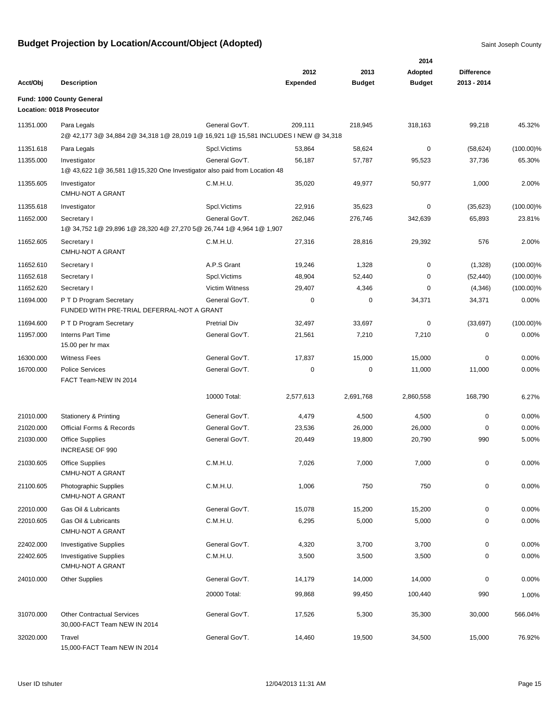|           |                                                                                                    |                       |                 |               | 2014          |                   |              |
|-----------|----------------------------------------------------------------------------------------------------|-----------------------|-----------------|---------------|---------------|-------------------|--------------|
|           |                                                                                                    |                       | 2012            | 2013          | Adopted       | <b>Difference</b> |              |
| Acct/Obj  | <b>Description</b>                                                                                 |                       | <b>Expended</b> | <b>Budget</b> | <b>Budget</b> | 2013 - 2014       |              |
|           | Fund: 1000 County General                                                                          |                       |                 |               |               |                   |              |
|           | Location: 0018 Prosecutor                                                                          |                       |                 |               |               |                   |              |
| 11351.000 | Para Legals<br>2@ 42,177 3@ 34,884 2@ 34,318 1@ 28,019 1@ 16,921 1@ 15,581 INCLUDES I NEW @ 34,318 | General Gov'T.        | 209,111         | 218,945       | 318,163       | 99,218            | 45.32%       |
| 11351.618 | Para Legals                                                                                        | Spcl.Victims          | 53,864          | 58,624        | 0             | (58, 624)         | $(100.00)\%$ |
| 11355.000 | Investigator<br>1@ 43,622 1@ 36,581 1@ 15,320 One Investigator also paid from Location 48          | General Gov'T.        | 56,187          | 57,787        | 95,523        | 37,736            | 65.30%       |
| 11355.605 | Investigator<br><b>CMHU-NOT A GRANT</b>                                                            | C.M.H.U.              | 35,020          | 49,977        | 50,977        | 1,000             | 2.00%        |
| 11355.618 | Investigator                                                                                       | Spcl. Victims         | 22,916          | 35,623        | $\mathbf 0$   | (35, 623)         | $(100.00)\%$ |
| 11652.000 | Secretary I                                                                                        | General Gov'T.        | 262,046         | 276,746       | 342,639       | 65,893            | 23.81%       |
|           | 1@ 34,752 1@ 29,896 1@ 28,320 4@ 27,270 5@ 26,744 1@ 4,964 1@ 1,907                                |                       |                 |               |               |                   |              |
| 11652.605 | Secretary I<br><b>CMHU-NOT A GRANT</b>                                                             | C.M.H.U.              | 27,316          | 28,816        | 29,392        | 576               | 2.00%        |
| 11652.610 | Secretary I                                                                                        | A.P.S Grant           | 19,246          | 1,328         | 0             | (1,328)           | $(100.00)\%$ |
| 11652.618 | Secretary I                                                                                        | Spcl.Victims          | 48,904          | 52,440        | 0             | (52, 440)         | $(100.00)\%$ |
| 11652.620 | Secretary I                                                                                        | <b>Victim Witness</b> | 29,407          | 4,346         | 0             | (4,346)           | $(100.00)\%$ |
| 11694.000 | P T D Program Secretary<br>FUNDED WITH PRE-TRIAL DEFERRAL-NOT A GRANT                              | General Gov'T.        | 0               | $\pmb{0}$     | 34,371        | 34,371            | 0.00%        |
| 11694.600 | P T D Program Secretary                                                                            | <b>Pretrial Div</b>   | 32,497          | 33,697        | $\mathbf 0$   | (33, 697)         | $(100.00)\%$ |
| 11957.000 | Interns Part Time<br>15.00 per hr max                                                              | General Gov'T.        | 21,561          | 7,210         | 7,210         | 0                 | 0.00%        |
| 16300.000 | <b>Witness Fees</b>                                                                                | General Gov'T.        | 17,837          | 15,000        | 15,000        | 0                 | 0.00%        |
| 16700.000 | <b>Police Services</b><br>FACT Team-NEW IN 2014                                                    | General Gov'T.        | 0               | $\mathbf 0$   | 11,000        | 11,000            | 0.00%        |
|           |                                                                                                    | 10000 Total:          | 2,577,613       | 2,691,768     | 2,860,558     | 168,790           | 6.27%        |
| 21010.000 | <b>Stationery &amp; Printing</b>                                                                   | General Gov'T.        | 4,479           | 4,500         | 4,500         | $\mathbf 0$       | 0.00%        |
| 21020.000 | Official Forms & Records                                                                           | General Gov'T.        | 23,536          | 26,000        | 26,000        | 0                 | 0.00%        |
| 21030.000 | Office Supplies<br>INCREASE OF 990                                                                 | General Gov'T.        | 20,449          | 19,800        | 20,790        | 990               | 5.00%        |
| 21030.605 | Office Supplies<br><b>CMHU-NOT A GRANT</b>                                                         | C.M.H.U.              | 7,026           | 7,000         | 7,000         | 0                 | 0.00%        |
| 21100.605 | Photographic Supplies<br>CMHU-NOT A GRANT                                                          | C.M.H.U.              | 1,006           | 750           | 750           | 0                 | 0.00%        |
| 22010.000 | Gas Oil & Lubricants                                                                               | General Gov'T.        | 15,078          | 15,200        | 15,200        | 0                 | 0.00%        |
| 22010.605 | Gas Oil & Lubricants<br>CMHU-NOT A GRANT                                                           | C.M.H.U.              | 6,295           | 5,000         | 5,000         | 0                 | 0.00%        |
| 22402.000 | <b>Investigative Supplies</b>                                                                      | General Gov'T.        | 4,320           | 3,700         | 3,700         | 0                 | 0.00%        |
| 22402.605 | <b>Investigative Supplies</b><br><b>CMHU-NOT A GRANT</b>                                           | C.M.H.U.              | 3,500           | 3,500         | 3,500         | 0                 | 0.00%        |
| 24010.000 | <b>Other Supplies</b>                                                                              | General Gov'T.        | 14,179          | 14,000        | 14,000        | 0                 | 0.00%        |
|           |                                                                                                    | 20000 Total:          | 99,868          | 99,450        | 100,440       | 990               | 1.00%        |
| 31070.000 | <b>Other Contractual Services</b><br>30,000-FACT Team NEW IN 2014                                  | General Gov'T.        | 17,526          | 5,300         | 35,300        | 30,000            | 566.04%      |
| 32020.000 | Travel<br>15,000-FACT Team NEW IN 2014                                                             | General Gov'T.        | 14,460          | 19,500        | 34,500        | 15,000            | 76.92%       |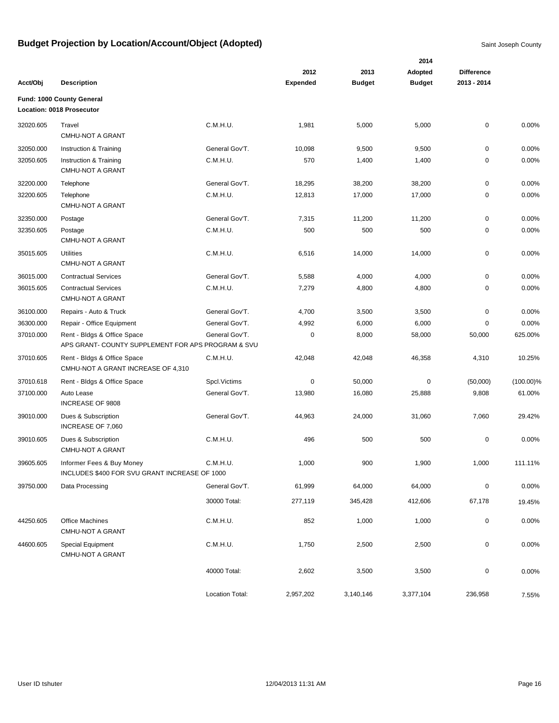|           |                                                                                   |                 |                 |               | 2014          |                   |              |
|-----------|-----------------------------------------------------------------------------------|-----------------|-----------------|---------------|---------------|-------------------|--------------|
|           |                                                                                   |                 | 2012            | 2013          | Adopted       | <b>Difference</b> |              |
| Acct/Obj  | <b>Description</b>                                                                |                 | <b>Expended</b> | <b>Budget</b> | <b>Budget</b> | 2013 - 2014       |              |
|           | Fund: 1000 County General<br>Location: 0018 Prosecutor                            |                 |                 |               |               |                   |              |
| 32020.605 | Travel<br><b>CMHU-NOT A GRANT</b>                                                 | C.M.H.U.        | 1,981           | 5,000         | 5,000         | $\pmb{0}$         | 0.00%        |
| 32050.000 | Instruction & Training                                                            | General Gov'T.  | 10,098          | 9,500         | 9,500         | $\mathbf 0$       | 0.00%        |
| 32050.605 | Instruction & Training<br>CMHU-NOT A GRANT                                        | C.M.H.U.        | 570             | 1,400         | 1,400         | 0                 | 0.00%        |
| 32200.000 | Telephone                                                                         | General Gov'T.  | 18,295          | 38,200        | 38,200        | $\pmb{0}$         | 0.00%        |
| 32200.605 | Telephone<br>CMHU-NOT A GRANT                                                     | C.M.H.U.        | 12,813          | 17,000        | 17,000        | $\mathbf 0$       | 0.00%        |
| 32350.000 | Postage                                                                           | General Gov'T.  | 7,315           | 11,200        | 11,200        | 0                 | 0.00%        |
| 32350.605 | Postage<br><b>CMHU-NOT A GRANT</b>                                                | C.M.H.U.        | 500             | 500           | 500           | 0                 | 0.00%        |
| 35015.605 | <b>Utilities</b><br><b>CMHU-NOT A GRANT</b>                                       | C.M.H.U.        | 6,516           | 14,000        | 14,000        | $\pmb{0}$         | 0.00%        |
| 36015.000 | <b>Contractual Services</b>                                                       | General Gov'T.  | 5,588           | 4,000         | 4,000         | 0                 | 0.00%        |
| 36015.605 | <b>Contractual Services</b><br>CMHU-NOT A GRANT                                   | C.M.H.U.        | 7,279           | 4,800         | 4,800         | $\pmb{0}$         | 0.00%        |
| 36100.000 | Repairs - Auto & Truck                                                            | General Gov'T.  | 4,700           | 3,500         | 3,500         | 0                 | 0.00%        |
| 36300.000 | Repair - Office Equipment                                                         | General Gov'T.  | 4,992           | 6,000         | 6,000         | 0                 | 0.00%        |
| 37010.000 | Rent - Bldgs & Office Space<br>APS GRANT- COUNTY SUPPLEMENT FOR APS PROGRAM & SVU | General Gov'T.  | 0               | 8,000         | 58,000        | 50,000            | 625.00%      |
| 37010.605 | Rent - Bldgs & Office Space<br>CMHU-NOT A GRANT INCREASE OF 4,310                 | C.M.H.U.        | 42,048          | 42,048        | 46,358        | 4,310             | 10.25%       |
| 37010.618 | Rent - Bldgs & Office Space                                                       | Spcl.Victims    | 0               | 50,000        | 0             | (50,000)          | $(100.00)\%$ |
| 37100.000 | Auto Lease<br>INCREASE OF 9808                                                    | General Gov'T.  | 13,980          | 16,080        | 25,888        | 9,808             | 61.00%       |
| 39010.000 | Dues & Subscription<br>INCREASE OF 7,060                                          | General Gov'T.  | 44,963          | 24,000        | 31,060        | 7,060             | 29.42%       |
| 39010.605 | Dues & Subscription<br><b>CMHU-NOT A GRANT</b>                                    | C.M.H.U.        | 496             | 500           | 500           | $\pmb{0}$         | 0.00%        |
| 39605.605 | Informer Fees & Buy Money<br>INCLUDES \$400 FOR SVU GRANT INCREASE OF 1000        | C.M.H.U.        | 1,000           | 900           | 1,900         | 1,000             | 111.11%      |
| 39750.000 | Data Processing                                                                   | General Gov'T.  | 61,999          | 64,000        | 64,000        | $\pmb{0}$         | 0.00%        |
|           |                                                                                   | 30000 Total:    | 277,119         | 345,428       | 412,606       | 67,178            | 19.45%       |
| 44250.605 | <b>Office Machines</b><br>CMHU-NOT A GRANT                                        | C.M.H.U.        | 852             | 1,000         | 1,000         | $\pmb{0}$         | 0.00%        |
| 44600.605 | Special Equipment<br><b>CMHU-NOT A GRANT</b>                                      | C.M.H.U.        | 1,750           | 2,500         | 2,500         | $\pmb{0}$         | 0.00%        |
|           |                                                                                   | 40000 Total:    | 2,602           | 3,500         | 3,500         | $\pmb{0}$         | 0.00%        |
|           |                                                                                   | Location Total: | 2,957,202       | 3,140,146     | 3,377,104     | 236,958           | 7.55%        |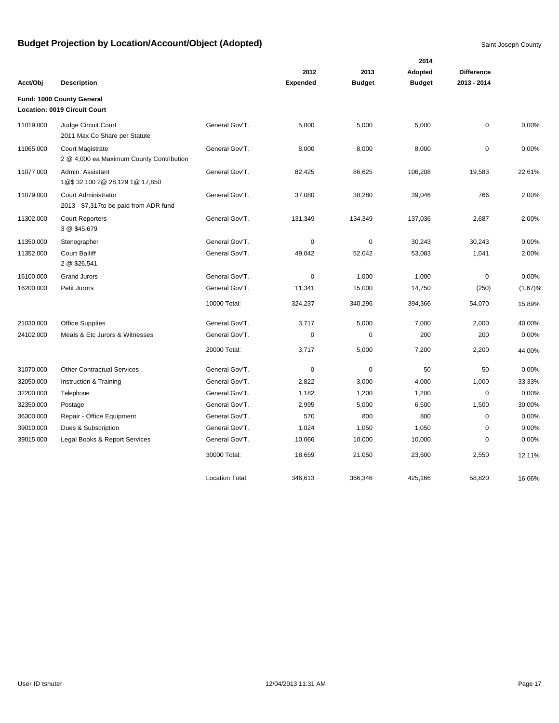|           |                                                                     |                        |                 |               | 2014          |                   |         |
|-----------|---------------------------------------------------------------------|------------------------|-----------------|---------------|---------------|-------------------|---------|
|           |                                                                     |                        | 2012            | 2013          | Adopted       | <b>Difference</b> |         |
| Acct/Obj  | <b>Description</b>                                                  |                        | <b>Expended</b> | <b>Budget</b> | <b>Budget</b> | 2013 - 2014       |         |
|           | Fund: 1000 County General<br><b>Location: 0019 Circuit Court</b>    |                        |                 |               |               |                   |         |
| 11019.000 | Judge Circuit Court<br>2011 Max Co Share per Statute                | General Gov'T.         | 5,000           | 5,000         | 5,000         | $\mathbf 0$       | 0.00%   |
| 11065.000 | <b>Court Magistrate</b><br>2 @ 4,000 ea Maximum County Contribution | General Gov'T.         | 8,000           | 8,000         | 8,000         | $\mathbf 0$       | 0.00%   |
| 11077.000 | Admin. Assistant<br>1@\$32,100 2@ 28,129 1@ 17,850                  | General Gov'T.         | 82,425          | 86,625        | 106,208       | 19,583            | 22.61%  |
| 11079.000 | Court Administrator<br>2013 - \$7,317to be paid from ADR fund       | General Gov'T.         | 37,080          | 38,280        | 39,046        | 766               | 2.00%   |
| 11302.000 | <b>Court Reporters</b><br>3 @ \$45,679                              | General Gov'T.         | 131,349         | 134,349       | 137,036       | 2,687             | 2.00%   |
| 11350.000 | Stenographer                                                        | General Gov'T.         | 0               | 0             | 30,243        | 30,243            | 0.00%   |
| 11352.000 | <b>Court Bailiff</b><br>2 @ \$26,541                                | General Gov'T.         | 49,042          | 52,042        | 53,083        | 1,041             | 2.00%   |
| 16100.000 | <b>Grand Jurors</b>                                                 | General Gov'T.         | 0               | 1,000         | 1,000         | $\mathbf 0$       | 0.00%   |
| 16200.000 | Petit Jurors                                                        | General Gov'T.         | 11,341          | 15,000        | 14,750        | (250)             | (1.67)% |
|           |                                                                     | 10000 Total:           | 324,237         | 340,296       | 394,366       | 54,070            | 15.89%  |
| 21030.000 | <b>Office Supplies</b>                                              | General Gov'T.         | 3,717           | 5,000         | 7,000         | 2,000             | 40.00%  |
| 24102.000 | Meals & Etc Jurors & Witnesses                                      | General Gov'T.         | 0               | 0             | 200           | 200               | 0.00%   |
|           |                                                                     | 20000 Total:           | 3,717           | 5,000         | 7,200         | 2,200             | 44.00%  |
| 31070.000 | <b>Other Contractual Services</b>                                   | General Gov'T.         | $\mathbf 0$     | 0             | 50            | 50                | 0.00%   |
| 32050.000 | Instruction & Training                                              | General Gov'T.         | 2,822           | 3,000         | 4,000         | 1,000             | 33.33%  |
| 32200.000 | Telephone                                                           | General Gov'T.         | 1,182           | 1,200         | 1,200         | $\mathbf 0$       | 0.00%   |
| 32350.000 | Postage                                                             | General Gov'T.         | 2,995           | 5,000         | 6,500         | 1,500             | 30.00%  |
| 36300.000 | Repair - Office Equipment                                           | General Gov'T.         | 570             | 800           | 800           | $\mathbf 0$       | 0.00%   |
| 39010.000 | Dues & Subscription                                                 | General Gov'T.         | 1,024           | 1,050         | 1,050         | $\mathbf 0$       | 0.00%   |
| 39015.000 | Legal Books & Report Services                                       | General Gov'T.         | 10,066          | 10,000        | 10,000        | $\mathbf 0$       | 0.00%   |
|           |                                                                     | 30000 Total:           | 18,659          | 21,050        | 23,600        | 2,550             | 12.11%  |
|           |                                                                     | <b>Location Total:</b> | 346,613         | 366,346       | 425,166       | 58,820            | 16.06%  |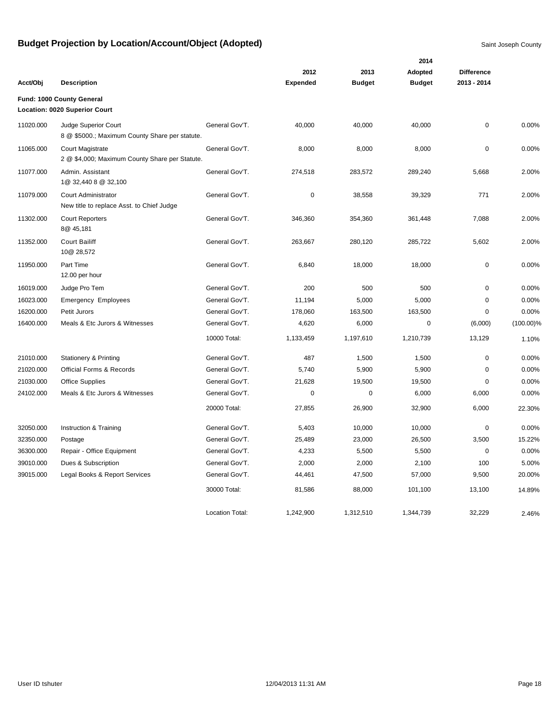|           |                                                                           |                        | 2014            |               |               |                   |              |  |
|-----------|---------------------------------------------------------------------------|------------------------|-----------------|---------------|---------------|-------------------|--------------|--|
|           |                                                                           |                        | 2012            | 2013          | Adopted       | <b>Difference</b> |              |  |
| Acct/Obj  | <b>Description</b>                                                        |                        | <b>Expended</b> | <b>Budget</b> | <b>Budget</b> | 2013 - 2014       |              |  |
|           | Fund: 1000 County General<br>Location: 0020 Superior Court                |                        |                 |               |               |                   |              |  |
| 11020.000 | Judge Superior Court<br>8 @ \$5000.; Maximum County Share per statute.    | General Gov'T.         | 40,000          | 40,000        | 40,000        | 0                 | 0.00%        |  |
| 11065.000 | <b>Court Magistrate</b><br>2 @ \$4,000; Maximum County Share per Statute. | General Gov'T.         | 8,000           | 8,000         | 8,000         | $\mathbf 0$       | 0.00%        |  |
| 11077.000 | Admin. Assistant<br>1@ 32,440 8 @ 32,100                                  | General Gov'T.         | 274,518         | 283,572       | 289,240       | 5,668             | 2.00%        |  |
| 11079.000 | Court Administrator<br>New title to replace Asst. to Chief Judge          | General Gov'T.         | $\pmb{0}$       | 38,558        | 39,329        | 771               | 2.00%        |  |
| 11302.000 | <b>Court Reporters</b><br>8@ 45,181                                       | General Gov'T.         | 346,360         | 354,360       | 361,448       | 7,088             | 2.00%        |  |
| 11352.000 | <b>Court Bailiff</b><br>10@ 28,572                                        | General Gov'T.         | 263,667         | 280,120       | 285,722       | 5,602             | 2.00%        |  |
| 11950.000 | Part Time<br>12.00 per hour                                               | General Gov'T.         | 6,840           | 18,000        | 18,000        | 0                 | 0.00%        |  |
| 16019.000 | Judge Pro Tem                                                             | General Gov'T.         | 200             | 500           | 500           | 0                 | 0.00%        |  |
| 16023.000 | <b>Emergency Employees</b>                                                | General Gov'T.         | 11,194          | 5,000         | 5,000         | 0                 | 0.00%        |  |
| 16200.000 | Petit Jurors                                                              | General Gov'T.         | 178,060         | 163,500       | 163,500       | 0                 | 0.00%        |  |
| 16400.000 | Meals & Etc Jurors & Witnesses                                            | General Gov'T.         | 4,620           | 6,000         | 0             | (6,000)           | $(100.00)\%$ |  |
|           |                                                                           | 10000 Total:           | 1,133,459       | 1,197,610     | 1,210,739     | 13,129            | 1.10%        |  |
| 21010.000 | <b>Stationery &amp; Printing</b>                                          | General Gov'T.         | 487             | 1,500         | 1,500         | 0                 | 0.00%        |  |
| 21020.000 | Official Forms & Records                                                  | General Gov'T.         | 5,740           | 5,900         | 5,900         | $\mathbf 0$       | 0.00%        |  |
| 21030.000 | <b>Office Supplies</b>                                                    | General Gov'T.         | 21,628          | 19,500        | 19,500        | $\mathbf 0$       | 0.00%        |  |
| 24102.000 | Meals & Etc Jurors & Witnesses                                            | General Gov'T.         | 0               | $\mathbf 0$   | 6,000         | 6,000             | 0.00%        |  |
|           |                                                                           | 20000 Total:           | 27,855          | 26,900        | 32,900        | 6,000             | 22.30%       |  |
| 32050.000 | Instruction & Training                                                    | General Gov'T.         | 5,403           | 10,000        | 10,000        | 0                 | 0.00%        |  |
| 32350.000 | Postage                                                                   | General Gov'T.         | 25,489          | 23,000        | 26,500        | 3,500             | 15.22%       |  |
| 36300.000 | Repair - Office Equipment                                                 | General Gov'T.         | 4,233           | 5,500         | 5,500         | 0                 | 0.00%        |  |
| 39010.000 | Dues & Subscription                                                       | General Gov'T.         | 2,000           | 2,000         | 2,100         | 100               | 5.00%        |  |
| 39015.000 | Legal Books & Report Services                                             | General Gov'T.         | 44,461          | 47,500        | 57,000        | 9,500             | 20.00%       |  |
|           |                                                                           | 30000 Total:           | 81,586          | 88,000        | 101,100       | 13,100            | 14.89%       |  |
|           |                                                                           | <b>Location Total:</b> | 1,242,900       | 1,312,510     | 1,344,739     | 32,229            | 2.46%        |  |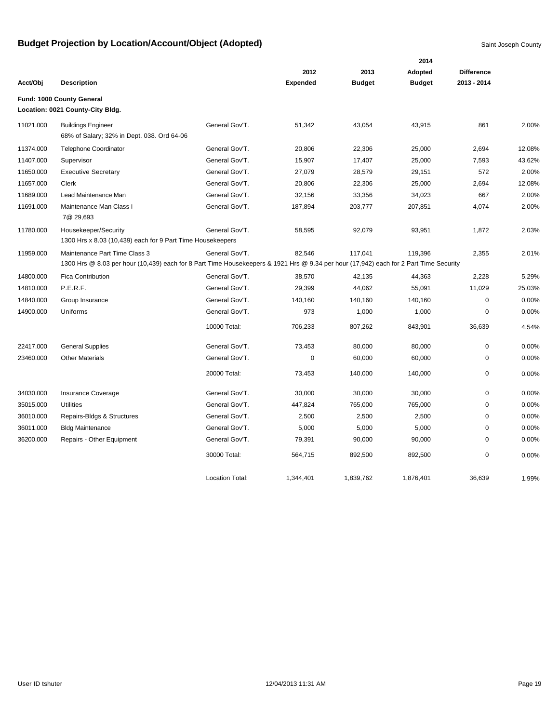|           |                                                                                                                                                                        |                        | 2014            |               |               |                   |        |  |  |  |
|-----------|------------------------------------------------------------------------------------------------------------------------------------------------------------------------|------------------------|-----------------|---------------|---------------|-------------------|--------|--|--|--|
|           |                                                                                                                                                                        |                        | 2012            | 2013          | Adopted       | <b>Difference</b> |        |  |  |  |
| Acct/Obj  | <b>Description</b>                                                                                                                                                     |                        | <b>Expended</b> | <b>Budget</b> | <b>Budget</b> | 2013 - 2014       |        |  |  |  |
|           | Fund: 1000 County General<br>Location: 0021 County-City Bldg.                                                                                                          |                        |                 |               |               |                   |        |  |  |  |
| 11021.000 | <b>Buildings Engineer</b><br>68% of Salary; 32% in Dept. 038. Ord 64-06                                                                                                | General Gov'T.         | 51,342          | 43,054        | 43,915        | 861               | 2.00%  |  |  |  |
| 11374.000 | <b>Telephone Coordinator</b>                                                                                                                                           | General Gov'T.         | 20,806          | 22,306        | 25,000        | 2,694             | 12.08% |  |  |  |
| 11407.000 | Supervisor                                                                                                                                                             | General Gov'T.         | 15,907          | 17,407        | 25,000        | 7,593             | 43.62% |  |  |  |
| 11650.000 | <b>Executive Secretary</b>                                                                                                                                             | General Gov'T.         | 27,079          | 28,579        | 29,151        | 572               | 2.00%  |  |  |  |
| 11657.000 | Clerk                                                                                                                                                                  | General Gov'T.         | 20,806          | 22,306        | 25,000        | 2,694             | 12.08% |  |  |  |
| 11689.000 | Lead Maintenance Man                                                                                                                                                   | General Gov'T.         | 32,156          | 33,356        | 34,023        | 667               | 2.00%  |  |  |  |
| 11691.000 | Maintenance Man Class I<br>7@ 29,693                                                                                                                                   | General Gov'T.         | 187,894         | 203,777       | 207,851       | 4,074             | 2.00%  |  |  |  |
| 11780.000 | Housekeeper/Security<br>1300 Hrs x 8.03 (10,439) each for 9 Part Time Housekeepers                                                                                     | General Gov'T.         | 58,595          | 92,079        | 93,951        | 1,872             | 2.03%  |  |  |  |
| 11959.000 | Maintenance Part Time Class 3<br>1300 Hrs @ 8.03 per hour (10,439) each for 8 Part Time Housekeepers & 1921 Hrs @ 9.34 per hour (17,942) each for 2 Part Time Security | General Gov'T.         | 82,546          | 117,041       | 119,396       | 2,355             | 2.01%  |  |  |  |
| 14800.000 | Fica Contribution                                                                                                                                                      | General Gov'T.         | 38,570          | 42,135        | 44,363        | 2,228             | 5.29%  |  |  |  |
| 14810.000 | P.E.R.F.                                                                                                                                                               | General Gov'T.         | 29,399          | 44,062        | 55,091        | 11,029            | 25.03% |  |  |  |
| 14840.000 | Group Insurance                                                                                                                                                        | General Gov'T.         | 140,160         | 140,160       | 140,160       | $\mathbf 0$       | 0.00%  |  |  |  |
| 14900.000 | Uniforms                                                                                                                                                               | General Gov'T.         | 973             | 1,000         | 1,000         | $\mathbf 0$       | 0.00%  |  |  |  |
|           |                                                                                                                                                                        | 10000 Total:           | 706,233         | 807,262       | 843,901       | 36,639            | 4.54%  |  |  |  |
| 22417.000 | <b>General Supplies</b>                                                                                                                                                | General Gov'T.         | 73,453          | 80,000        | 80,000        | $\pmb{0}$         | 0.00%  |  |  |  |
| 23460.000 | <b>Other Materials</b>                                                                                                                                                 | General Gov'T.         | 0               | 60,000        | 60,000        | 0                 | 0.00%  |  |  |  |
|           |                                                                                                                                                                        | 20000 Total:           | 73,453          | 140,000       | 140,000       | 0                 | 0.00%  |  |  |  |
| 34030.000 | Insurance Coverage                                                                                                                                                     | General Gov'T.         | 30,000          | 30,000        | 30,000        | 0                 | 0.00%  |  |  |  |
| 35015.000 | <b>Utilities</b>                                                                                                                                                       | General Gov'T.         | 447,824         | 765,000       | 765,000       | 0                 | 0.00%  |  |  |  |
| 36010.000 | Repairs-Bldgs & Structures                                                                                                                                             | General Gov'T.         | 2,500           | 2,500         | 2,500         | 0                 | 0.00%  |  |  |  |
| 36011.000 | <b>Bldg Maintenance</b>                                                                                                                                                | General Gov'T.         | 5,000           | 5,000         | 5,000         | $\mathbf 0$       | 0.00%  |  |  |  |
| 36200.000 | Repairs - Other Equipment                                                                                                                                              | General Gov'T.         | 79,391          | 90,000        | 90,000        | $\mathbf 0$       | 0.00%  |  |  |  |
|           |                                                                                                                                                                        | 30000 Total:           | 564,715         | 892,500       | 892,500       | $\mathbf 0$       | 0.00%  |  |  |  |
|           |                                                                                                                                                                        | <b>Location Total:</b> | 1,344,401       | 1,839,762     | 1,876,401     | 36,639            | 1.99%  |  |  |  |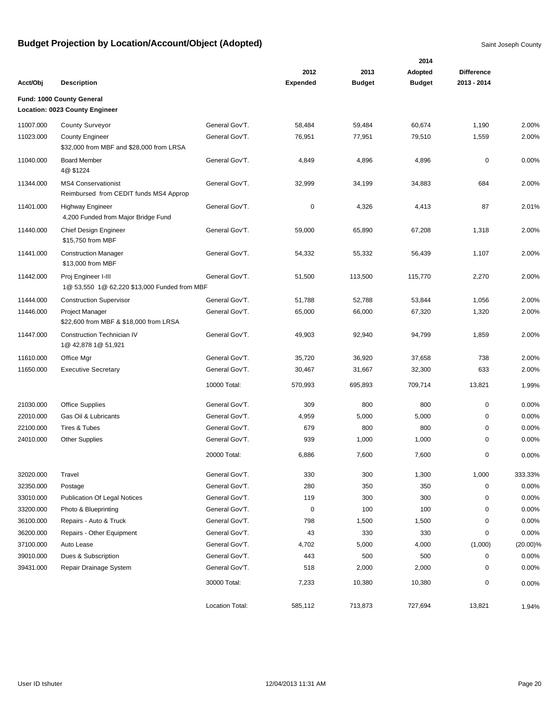|           |                                                                      |                 |                 |               | 2014          |                   |             |
|-----------|----------------------------------------------------------------------|-----------------|-----------------|---------------|---------------|-------------------|-------------|
|           |                                                                      |                 | 2012            | 2013          | Adopted       | <b>Difference</b> |             |
| Acct/Obj  | <b>Description</b>                                                   |                 | <b>Expended</b> | <b>Budget</b> | <b>Budget</b> | 2013 - 2014       |             |
|           | Fund: 1000 County General<br>Location: 0023 County Engineer          |                 |                 |               |               |                   |             |
| 11007.000 | <b>County Surveyor</b>                                               | General Gov'T.  | 58,484          | 59,484        | 60,674        | 1,190             | 2.00%       |
| 11023.000 | <b>County Engineer</b><br>\$32,000 from MBF and \$28,000 from LRSA   | General Gov'T.  | 76,951          | 77,951        | 79,510        | 1,559             | 2.00%       |
| 11040.000 | <b>Board Member</b><br>4@ \$1224                                     | General Gov'T.  | 4,849           | 4,896         | 4,896         | 0                 | 0.00%       |
| 11344.000 | <b>MS4 Conservationist</b><br>Reimbursed from CEDIT funds MS4 Approp | General Gov'T.  | 32,999          | 34,199        | 34,883        | 684               | 2.00%       |
| 11401.000 | <b>Highway Engineer</b><br>4,200 Funded from Major Bridge Fund       | General Gov'T.  | 0               | 4,326         | 4,413         | 87                | 2.01%       |
| 11440.000 | Chief Design Engineer<br>\$15,750 from MBF                           | General Gov'T.  | 59,000          | 65,890        | 67,208        | 1,318             | 2.00%       |
| 11441.000 | <b>Construction Manager</b><br>\$13,000 from MBF                     | General Gov'T.  | 54,332          | 55,332        | 56,439        | 1,107             | 2.00%       |
| 11442.000 | Proj Engineer I-III<br>1@ 53,550 1@ 62,220 \$13,000 Funded from MBF  | General Gov'T.  | 51,500          | 113,500       | 115,770       | 2,270             | 2.00%       |
| 11444.000 | <b>Construction Supervisor</b>                                       | General Gov'T.  | 51,788          | 52,788        | 53,844        | 1,056             | 2.00%       |
| 11446.000 | <b>Project Manager</b><br>\$22,600 from MBF & \$18,000 from LRSA     | General Gov'T.  | 65,000          | 66,000        | 67,320        | 1,320             | 2.00%       |
| 11447.000 | <b>Construction Technician IV</b><br>1@ 42,878 1@ 51,921             | General Gov'T.  | 49,903          | 92,940        | 94,799        | 1,859             | 2.00%       |
| 11610.000 | Office Mgr                                                           | General Gov'T.  | 35,720          | 36,920        | 37,658        | 738               | 2.00%       |
| 11650.000 | <b>Executive Secretary</b>                                           | General Gov'T.  | 30,467          | 31,667        | 32,300        | 633               | 2.00%       |
|           |                                                                      | 10000 Total:    | 570,993         | 695,893       | 709,714       | 13,821            | 1.99%       |
| 21030.000 | Office Supplies                                                      | General Gov'T.  | 309             | 800           | 800           | 0                 | 0.00%       |
| 22010.000 | Gas Oil & Lubricants                                                 | General Gov'T.  | 4,959           | 5,000         | 5,000         | 0                 | 0.00%       |
| 22100.000 | Tires & Tubes                                                        | General Gov'T.  | 679             | 800           | 800           | 0                 | 0.00%       |
| 24010.000 | <b>Other Supplies</b>                                                | General Gov'T.  | 939             | 1,000         | 1,000         | 0                 | 0.00%       |
|           |                                                                      | 20000 Total:    | 6,886           | 7,600         | 7,600         | 0                 | 0.00%       |
| 32020.000 | Travel                                                               | General Gov'T.  | 330             | 300           | 1,300         | 1,000             | 333.33%     |
| 32350.000 | Postage                                                              | General Gov'T.  | 280             | 350           | 350           | 0                 | 0.00%       |
| 33010.000 | <b>Publication Of Legal Notices</b>                                  | General Gov'T.  | 119             | 300           | 300           | 0                 | 0.00%       |
| 33200.000 | Photo & Blueprinting                                                 | General Gov'T.  | 0               | 100           | 100           | 0                 | 0.00%       |
| 36100.000 | Repairs - Auto & Truck                                               | General Gov'T.  | 798             | 1,500         | 1,500         | 0                 | 0.00%       |
| 36200.000 | Repairs - Other Equipment                                            | General Gov'T.  | 43              | 330           | 330           | 0                 | 0.00%       |
| 37100.000 | Auto Lease                                                           | General Gov'T.  | 4,702           | 5,000         | 4,000         | (1,000)           | $(20.00)\%$ |
| 39010.000 | Dues & Subscription                                                  | General Gov'T.  | 443             | 500           | 500           | 0                 | 0.00%       |
| 39431.000 | Repair Drainage System                                               | General Gov'T.  | 518             | 2,000         | 2,000         | 0                 | 0.00%       |
|           |                                                                      | 30000 Total:    | 7,233           | 10,380        | 10,380        | 0                 | 0.00%       |
|           |                                                                      | Location Total: | 585,112         | 713,873       | 727,694       | 13,821            | 1.94%       |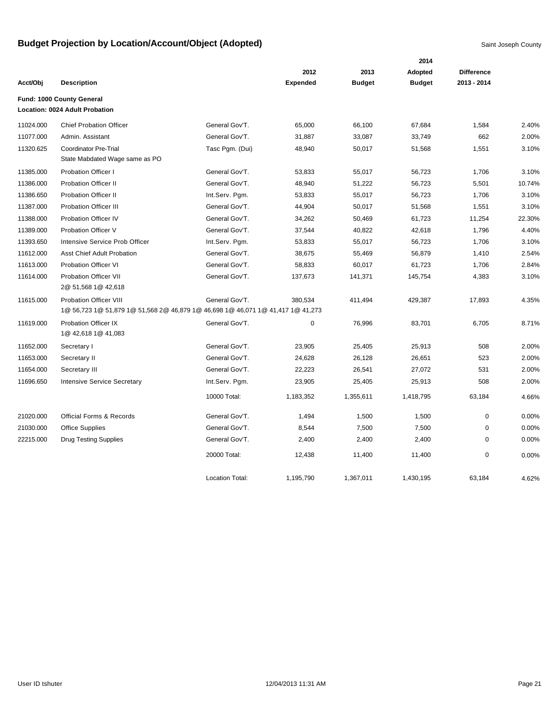|           |                                                                                                           |                 |                 |               | 2014          |                   |        |
|-----------|-----------------------------------------------------------------------------------------------------------|-----------------|-----------------|---------------|---------------|-------------------|--------|
|           |                                                                                                           |                 | 2012            | 2013          | Adopted       | <b>Difference</b> |        |
| Acct/Obj  | <b>Description</b>                                                                                        |                 | <b>Expended</b> | <b>Budget</b> | <b>Budget</b> | 2013 - 2014       |        |
|           | Fund: 1000 County General                                                                                 |                 |                 |               |               |                   |        |
|           | Location: 0024 Adult Probation                                                                            |                 |                 |               |               |                   |        |
| 11024.000 | <b>Chief Probation Officer</b>                                                                            | General Gov'T.  | 65,000          | 66,100        | 67,684        | 1,584             | 2.40%  |
| 11077.000 | Admin. Assistant                                                                                          | General Gov'T.  | 31,887          | 33,087        | 33,749        | 662               | 2.00%  |
| 11320.625 | <b>Coordinator Pre-Trial</b><br>State Mabdated Wage same as PO                                            | Tasc Pgm. (Dui) | 48,940          | 50,017        | 51,568        | 1,551             | 3.10%  |
| 11385.000 | <b>Probation Officer I</b>                                                                                | General Gov'T.  | 53,833          | 55,017        | 56,723        | 1,706             | 3.10%  |
| 11386.000 | <b>Probation Officer II</b>                                                                               | General Gov'T.  | 48,940          | 51,222        | 56,723        | 5,501             | 10.74% |
| 11386.650 | <b>Probation Officer II</b>                                                                               | Int.Serv. Pgm.  | 53,833          | 55,017        | 56,723        | 1,706             | 3.10%  |
| 11387.000 | <b>Probation Officer III</b>                                                                              | General Gov'T.  | 44,904          | 50,017        | 51,568        | 1,551             | 3.10%  |
| 11388.000 | Probation Officer IV                                                                                      | General Gov'T.  | 34,262          | 50,469        | 61,723        | 11,254            | 22.30% |
| 11389.000 | Probation Officer V                                                                                       | General Gov'T.  | 37,544          | 40,822        | 42,618        | 1,796             | 4.40%  |
| 11393.650 | Intensive Service Prob Officer                                                                            | Int.Serv. Pgm.  | 53,833          | 55,017        | 56,723        | 1,706             | 3.10%  |
| 11612.000 | <b>Asst Chief Adult Probation</b>                                                                         | General Gov'T.  | 38,675          | 55,469        | 56,879        | 1,410             | 2.54%  |
| 11613.000 | <b>Probation Officer VI</b>                                                                               | General Gov'T.  | 58,833          | 60,017        | 61,723        | 1,706             | 2.84%  |
| 11614.000 | <b>Probation Officer VII</b><br>2@ 51,568 1@ 42,618                                                       | General Gov'T.  | 137,673         | 141,371       | 145,754       | 4,383             | 3.10%  |
| 11615.000 | Probation Officer VIII<br>1@ 56,723 1@ 51,879 1@ 51,568 2@ 46,879 1@ 46,698 1@ 46,071 1@ 41,417 1@ 41,273 | General Gov'T.  | 380,534         | 411,494       | 429,387       | 17,893            | 4.35%  |
| 11619.000 | Probation Officer IX<br>1@ 42,618 1@ 41,083                                                               | General Gov'T.  | 0               | 76,996        | 83,701        | 6,705             | 8.71%  |
| 11652.000 | Secretary I                                                                                               | General Gov'T.  | 23,905          | 25,405        | 25,913        | 508               | 2.00%  |
| 11653.000 | Secretary II                                                                                              | General Gov'T.  | 24,628          | 26,128        | 26,651        | 523               | 2.00%  |
| 11654.000 | Secretary III                                                                                             | General Gov'T.  | 22,223          | 26,541        | 27,072        | 531               | 2.00%  |
| 11696.650 | <b>Intensive Service Secretary</b>                                                                        | Int.Serv. Pgm.  | 23,905          | 25,405        | 25,913        | 508               | 2.00%  |
|           |                                                                                                           | 10000 Total:    | 1,183,352       | 1,355,611     | 1,418,795     | 63,184            | 4.66%  |
| 21020.000 | <b>Official Forms &amp; Records</b>                                                                       | General Gov'T.  | 1,494           | 1,500         | 1,500         | 0                 | 0.00%  |
| 21030.000 | <b>Office Supplies</b>                                                                                    | General Gov'T.  | 8,544           | 7,500         | 7,500         | 0                 | 0.00%  |
| 22215.000 | <b>Drug Testing Supplies</b>                                                                              | General Gov'T.  | 2,400           | 2,400         | 2,400         | $\mathbf 0$       | 0.00%  |
|           |                                                                                                           | 20000 Total:    | 12,438          | 11,400        | 11,400        | 0                 | 0.00%  |
|           |                                                                                                           | Location Total: | 1,195,790       | 1,367,011     | 1,430,195     | 63,184            | 4.62%  |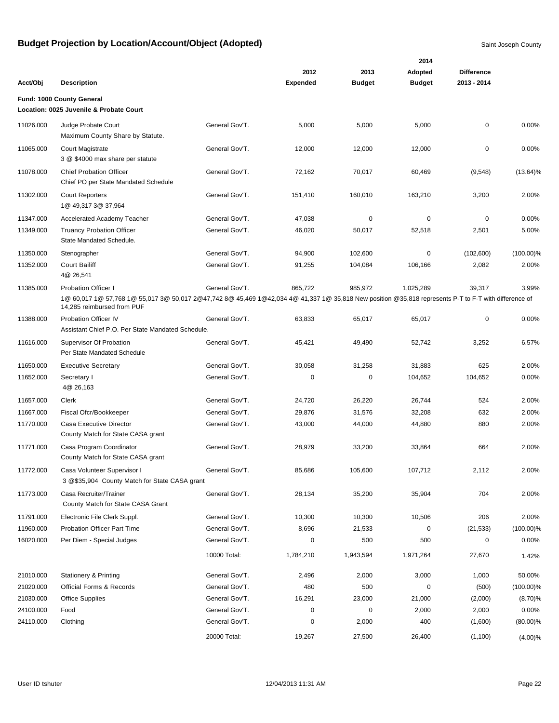|           |                                                                                                                                                                                     |                |                 |               | 2014          |                   |              |
|-----------|-------------------------------------------------------------------------------------------------------------------------------------------------------------------------------------|----------------|-----------------|---------------|---------------|-------------------|--------------|
|           |                                                                                                                                                                                     |                | 2012            | 2013          | Adopted       | <b>Difference</b> |              |
| Acct/Obj  | <b>Description</b>                                                                                                                                                                  |                | <b>Expended</b> | <b>Budget</b> | <b>Budget</b> | 2013 - 2014       |              |
|           | Fund: 1000 County General                                                                                                                                                           |                |                 |               |               |                   |              |
|           | Location: 0025 Juvenile & Probate Court                                                                                                                                             |                |                 |               |               |                   |              |
| 11026.000 | Judge Probate Court<br>Maximum County Share by Statute.                                                                                                                             | General Gov'T. | 5,000           | 5,000         | 5,000         | $\mathbf 0$       | 0.00%        |
| 11065.000 | <b>Court Magistrate</b><br>3 @ \$4000 max share per statute                                                                                                                         | General Gov'T. | 12,000          | 12,000        | 12,000        | $\mathbf 0$       | 0.00%        |
| 11078.000 | <b>Chief Probation Officer</b><br>Chief PO per State Mandated Schedule                                                                                                              | General Gov'T. | 72,162          | 70,017        | 60,469        | (9,548)           | $(13.64)\%$  |
| 11302.000 | <b>Court Reporters</b><br>1@ 49,317 3@ 37,964                                                                                                                                       | General Gov'T. | 151,410         | 160,010       | 163,210       | 3,200             | 2.00%        |
| 11347.000 | <b>Accelerated Academy Teacher</b>                                                                                                                                                  | General Gov'T. | 47,038          | 0             | $\mathbf 0$   | 0                 | 0.00%        |
| 11349.000 | <b>Truancy Probation Officer</b><br>State Mandated Schedule.                                                                                                                        | General Gov'T. | 46,020          | 50,017        | 52,518        | 2,501             | 5.00%        |
| 11350.000 | Stenographer                                                                                                                                                                        | General Gov'T. | 94,900          | 102,600       | 0             | (102,600)         | $(100.00)\%$ |
| 11352.000 | <b>Court Bailiff</b><br>4@ 26,541                                                                                                                                                   | General Gov'T. | 91,255          | 104,084       | 106,166       | 2,082             | 2.00%        |
| 11385.000 | <b>Probation Officer I</b>                                                                                                                                                          | General Gov'T. | 865,722         | 985,972       | 1,025,289     | 39,317            | 3.99%        |
|           | 1@ 60,017 1@ 57,768 1@ 55,017 3@ 50,017 2@47,742 8@ 45,469 1@42,034 4@ 41,337 1@ 35,818 New position @35,818 represents P-T to F-T with difference of<br>14,285 reimbursed from PUF |                |                 |               |               |                   |              |
| 11388.000 | Probation Officer IV<br>Assistant Chief P.O. Per State Mandated Schedule.                                                                                                           | General Gov'T. | 63,833          | 65,017        | 65,017        | 0                 | 0.00%        |
| 11616.000 | Supervisor Of Probation<br>Per State Mandated Schedule                                                                                                                              | General Gov'T. | 45,421          | 49,490        | 52,742        | 3,252             | 6.57%        |
| 11650.000 | <b>Executive Secretary</b>                                                                                                                                                          | General Gov'T. | 30,058          | 31,258        | 31,883        | 625               | 2.00%        |
| 11652.000 | Secretary I<br>4@ 26,163                                                                                                                                                            | General Gov'T. | 0               | 0             | 104,652       | 104,652           | 0.00%        |
| 11657.000 | Clerk                                                                                                                                                                               | General Gov'T. | 24,720          | 26,220        | 26,744        | 524               | 2.00%        |
| 11667.000 | Fiscal Ofcr/Bookkeeper                                                                                                                                                              | General Gov'T. | 29,876          | 31,576        | 32,208        | 632               | 2.00%        |
| 11770.000 | Casa Executive Director<br>County Match for State CASA grant                                                                                                                        | General Gov'T. | 43,000          | 44,000        | 44,880        | 880               | 2.00%        |
| 11771.000 | Casa Program Coordinator<br>County Match for State CASA grant                                                                                                                       | General Gov'T. | 28,979          | 33,200        | 33,864        | 664               | 2.00%        |
| 11772.000 | Casa Volunteer Supervisor I<br>3 @\$35,904 County Match for State CASA grant                                                                                                        | General Gov'T. | 85,686          | 105,600       | 107,712       | 2,112             | 2.00%        |
| 11773.000 | Casa Recruiter/Trainer<br>County Match for State CASA Grant                                                                                                                         | General Gov'T. | 28,134          | 35,200        | 35,904        | 704               | 2.00%        |
| 11791.000 | Electronic File Clerk Suppl.                                                                                                                                                        | General Gov'T. | 10,300          | 10,300        | 10,506        | 206               | 2.00%        |
| 11960.000 | Probation Officer Part Time                                                                                                                                                         | General Gov'T. | 8,696           | 21,533        | 0             | (21, 533)         | $(100.00)\%$ |
| 16020.000 | Per Diem - Special Judges                                                                                                                                                           | General Gov'T. | 0               | 500           | 500           | 0                 | 0.00%        |
|           |                                                                                                                                                                                     | 10000 Total:   | 1,784,210       | 1,943,594     | 1,971,264     | 27,670            | 1.42%        |
| 21010.000 | <b>Stationery &amp; Printing</b>                                                                                                                                                    | General Gov'T. | 2,496           | 2,000         | 3,000         | 1,000             | 50.00%       |
| 21020.000 | <b>Official Forms &amp; Records</b>                                                                                                                                                 | General Gov'T. | 480             | 500           | 0             | (500)             | $(100.00)\%$ |
| 21030.000 | <b>Office Supplies</b>                                                                                                                                                              | General Gov'T. | 16,291          | 23,000        | 21,000        | (2,000)           | (8.70)%      |
| 24100.000 | Food                                                                                                                                                                                | General Gov'T. | 0               | 0             | 2,000         | 2,000             | 0.00%        |
| 24110.000 | Clothing                                                                                                                                                                            | General Gov'T. | 0               | 2,000         | 400           | (1,600)           | $(80.00)\%$  |
|           |                                                                                                                                                                                     | 20000 Total:   | 19,267          | 27,500        | 26,400        | (1,100)           | $(4.00)\%$   |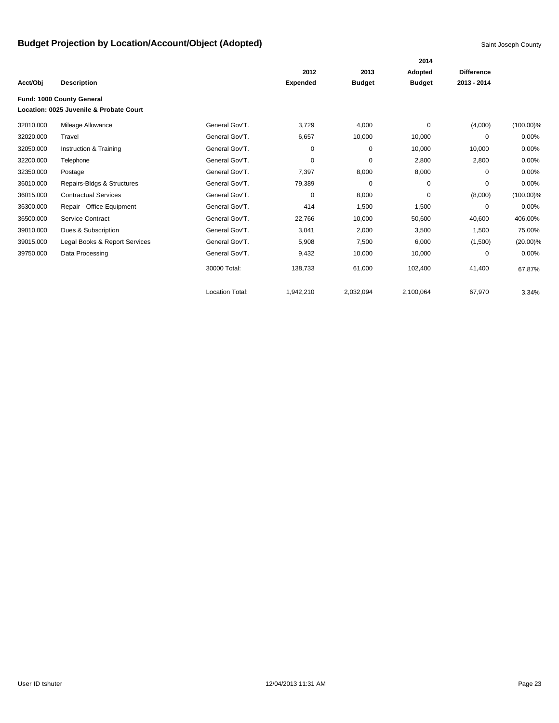|           |                                         |                        |                 |               | 2014          |                   |              |
|-----------|-----------------------------------------|------------------------|-----------------|---------------|---------------|-------------------|--------------|
|           |                                         |                        | 2012            | 2013          | Adopted       | <b>Difference</b> |              |
| Acct/Obj  | <b>Description</b>                      |                        | <b>Expended</b> | <b>Budget</b> | <b>Budget</b> | 2013 - 2014       |              |
|           | Fund: 1000 County General               |                        |                 |               |               |                   |              |
|           | Location: 0025 Juvenile & Probate Court |                        |                 |               |               |                   |              |
| 32010.000 | Mileage Allowance                       | General Gov'T.         | 3,729           | 4,000         | 0             | (4,000)           | $(100.00)\%$ |
| 32020.000 | Travel                                  | General Gov'T.         | 6,657           | 10,000        | 10,000        | 0                 | 0.00%        |
| 32050.000 | Instruction & Training                  | General Gov'T.         | 0               | $\mathbf 0$   | 10,000        | 10,000            | 0.00%        |
| 32200.000 | Telephone                               | General Gov'T.         | 0               | $\mathbf 0$   | 2,800         | 2,800             | 0.00%        |
| 32350.000 | Postage                                 | General Gov'T.         | 7,397           | 8,000         | 8,000         | 0                 | 0.00%        |
| 36010.000 | Repairs-Bldgs & Structures              | General Gov'T.         | 79,389          | $\mathbf 0$   | $\mathbf 0$   | 0                 | 0.00%        |
| 36015.000 | <b>Contractual Services</b>             | General Gov'T.         | 0               | 8,000         | 0             | (8,000)           | $(100.00)\%$ |
| 36300.000 | Repair - Office Equipment               | General Gov'T.         | 414             | 1,500         | 1,500         | 0                 | 0.00%        |
| 36500.000 | Service Contract                        | General Gov'T.         | 22,766          | 10,000        | 50,600        | 40,600            | 406.00%      |
| 39010.000 | Dues & Subscription                     | General Gov'T.         | 3,041           | 2,000         | 3,500         | 1,500             | 75.00%       |
| 39015.000 | Legal Books & Report Services           | General Gov'T.         | 5,908           | 7,500         | 6,000         | (1,500)           | $(20.00)\%$  |
| 39750.000 | Data Processing                         | General Gov'T.         | 9,432           | 10,000        | 10,000        | 0                 | 0.00%        |
|           |                                         | 30000 Total:           | 138,733         | 61,000        | 102,400       | 41,400            | 67.87%       |
|           |                                         | <b>Location Total:</b> | 1,942,210       | 2,032,094     | 2,100,064     | 67,970            | 3.34%        |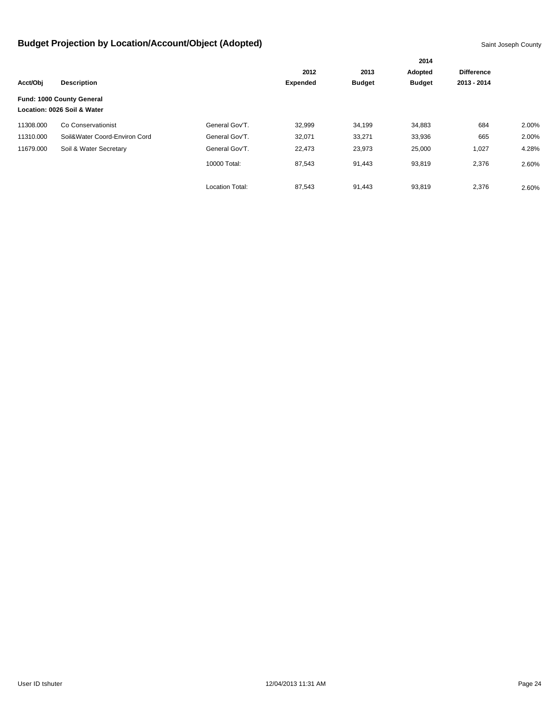|           |                               |                        |                 |               | 2014          | <b>Difference</b><br>2013 - 2014 |       |
|-----------|-------------------------------|------------------------|-----------------|---------------|---------------|----------------------------------|-------|
|           | <b>Description</b>            |                        | 2012            | 2013          | Adopted       |                                  |       |
| Acct/Obj  |                               |                        | <b>Expended</b> | <b>Budget</b> | <b>Budget</b> |                                  |       |
|           | Fund: 1000 County General     |                        |                 |               |               |                                  |       |
|           | Location: 0026 Soil & Water   |                        |                 |               |               |                                  |       |
| 11308.000 | Co Conservationist            | General Gov'T.         | 32,999          | 34,199        | 34,883        | 684                              | 2.00% |
| 11310.000 | Soil&Water Coord-Environ Cord | General Gov'T.         | 32,071          | 33,271        | 33,936        | 665                              | 2.00% |
| 11679.000 | Soil & Water Secretary        | General Gov'T.         | 22,473          | 23,973        | 25,000        | 1,027                            | 4.28% |
|           |                               | 10000 Total:           | 87,543          | 91,443        | 93,819        | 2,376                            | 2.60% |
|           |                               | <b>Location Total:</b> | 87,543          | 91,443        | 93,819        | 2,376                            | 2.60% |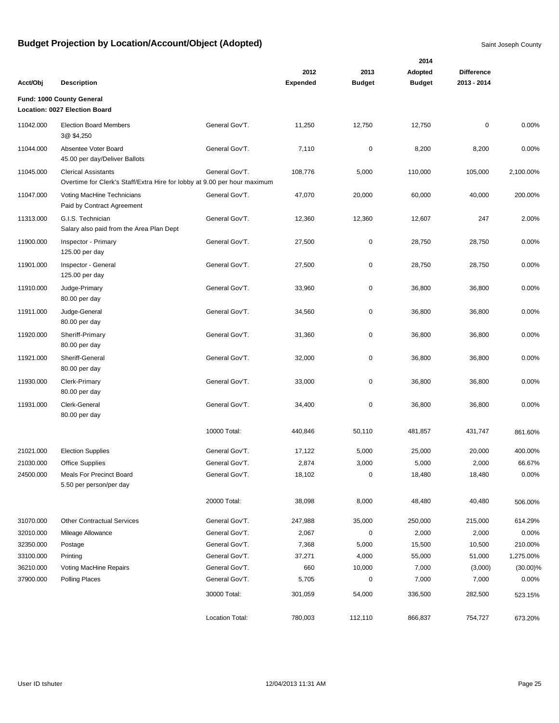|           |                                                                                                        |                 | 2012            | 2013          | 2014<br>Adopted | <b>Difference</b> |             |
|-----------|--------------------------------------------------------------------------------------------------------|-----------------|-----------------|---------------|-----------------|-------------------|-------------|
| Acct/Obj  | <b>Description</b>                                                                                     |                 | <b>Expended</b> | <b>Budget</b> | <b>Budget</b>   | 2013 - 2014       |             |
|           | Fund: 1000 County General<br>Location: 0027 Election Board                                             |                 |                 |               |                 |                   |             |
| 11042.000 | <b>Election Board Members</b><br>3@ \$4,250                                                            | General Gov'T.  | 11,250          | 12,750        | 12,750          | 0                 | 0.00%       |
| 11044.000 | Absentee Voter Board<br>45.00 per day/Deliver Ballots                                                  | General Gov'T.  | 7,110           | $\pmb{0}$     | 8,200           | 8,200             | 0.00%       |
| 11045.000 | <b>Clerical Assistants</b><br>Overtime for Clerk's Staff/Extra Hire for lobby at 9.00 per hour maximum | General Gov'T.  | 108,776         | 5,000         | 110,000         | 105,000           | 2,100.00%   |
| 11047.000 | Voting MacHine Technicians<br>Paid by Contract Agreement                                               | General Gov'T.  | 47,070          | 20,000        | 60,000          | 40,000            | 200.00%     |
| 11313.000 | G.I.S. Technician<br>Salary also paid from the Area Plan Dept                                          | General Gov'T.  | 12,360          | 12,360        | 12,607          | 247               | 2.00%       |
| 11900.000 | Inspector - Primary<br>125.00 per day                                                                  | General Gov'T.  | 27,500          | $\pmb{0}$     | 28,750          | 28,750            | 0.00%       |
| 11901.000 | Inspector - General<br>125.00 per day                                                                  | General Gov'T.  | 27,500          | $\pmb{0}$     | 28,750          | 28,750            | 0.00%       |
| 11910.000 | Judge-Primary<br>80.00 per day                                                                         | General Gov'T.  | 33,960          | $\pmb{0}$     | 36,800          | 36,800            | 0.00%       |
| 11911.000 | Judge-General<br>80.00 per day                                                                         | General Gov'T.  | 34,560          | $\pmb{0}$     | 36,800          | 36,800            | 0.00%       |
| 11920.000 | Sheriff-Primary<br>80.00 per day                                                                       | General Gov'T.  | 31,360          | $\pmb{0}$     | 36,800          | 36,800            | 0.00%       |
| 11921.000 | Sheriff-General<br>80.00 per day                                                                       | General Gov'T.  | 32,000          | $\pmb{0}$     | 36,800          | 36,800            | 0.00%       |
| 11930.000 | Clerk-Primary<br>80.00 per day                                                                         | General Gov'T.  | 33,000          | $\mathbf 0$   | 36,800          | 36,800            | 0.00%       |
| 11931.000 | Clerk-General<br>80.00 per day                                                                         | General Gov'T.  | 34,400          | $\mathbf 0$   | 36,800          | 36,800            | 0.00%       |
|           |                                                                                                        | 10000 Total:    | 440,846         | 50,110        | 481,857         | 431,747           | 861.60%     |
| 21021.000 | <b>Election Supplies</b>                                                                               | General Gov'T.  | 17,122          | 5,000         | 25,000          | 20,000            | 400.00%     |
| 21030.000 | <b>Office Supplies</b>                                                                                 | General Gov'T.  | 2,874           | 3,000         | 5,000           | 2,000             | 66.67%      |
| 24500.000 | Meals For Precinct Board<br>5.50 per person/per day                                                    | General Gov'T.  | 18,102          | $\pmb{0}$     | 18,480          | 18,480            | 0.00%       |
|           |                                                                                                        | 20000 Total:    | 38,098          | 8,000         | 48,480          | 40,480            | 506.00%     |
| 31070.000 | <b>Other Contractual Services</b>                                                                      | General Gov'T.  | 247,988         | 35,000        | 250,000         | 215,000           | 614.29%     |
| 32010.000 | Mileage Allowance                                                                                      | General Gov'T.  | 2,067           | $\pmb{0}$     | 2,000           | 2,000             | 0.00%       |
| 32350.000 | Postage                                                                                                | General Gov'T.  | 7,368           | 5,000         | 15,500          | 10,500            | 210.00%     |
| 33100.000 | Printing                                                                                               | General Gov'T.  | 37,271          | 4,000         | 55,000          | 51,000            | 1,275.00%   |
| 36210.000 | Voting MacHine Repairs                                                                                 | General Gov'T.  | 660             | 10,000        | 7,000           | (3,000)           | $(30.00)\%$ |
| 37900.000 | Polling Places                                                                                         | General Gov'T.  | 5,705           | $\pmb{0}$     | 7,000           | 7,000             | 0.00%       |
|           |                                                                                                        | 30000 Total:    | 301,059         | 54,000        | 336,500         | 282,500           | 523.15%     |
|           |                                                                                                        | Location Total: | 780,003         | 112,110       | 866,837         | 754,727           | 673.20%     |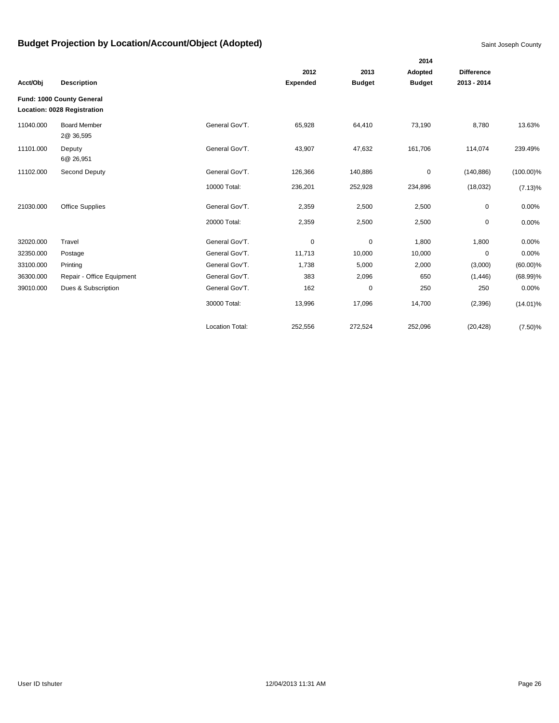|           |                                                          |                        |                 |               | 2014          |                   |              |
|-----------|----------------------------------------------------------|------------------------|-----------------|---------------|---------------|-------------------|--------------|
|           |                                                          |                        | 2012            | 2013          | Adopted       | <b>Difference</b> |              |
| Acct/Obj  | <b>Description</b>                                       |                        | <b>Expended</b> | <b>Budget</b> | <b>Budget</b> | 2013 - 2014       |              |
|           | Fund: 1000 County General<br>Location: 0028 Registration |                        |                 |               |               |                   |              |
| 11040.000 | <b>Board Member</b><br>2@ 36,595                         | General Gov'T.         | 65,928          | 64,410        | 73,190        | 8,780             | 13.63%       |
| 11101.000 | Deputy<br>6@ 26,951                                      | General Gov'T.         | 43,907          | 47,632        | 161,706       | 114,074           | 239.49%      |
| 11102.000 | Second Deputy                                            | General Gov'T.         | 126,366         | 140,886       | 0             | (140, 886)        | $(100.00)\%$ |
|           |                                                          | 10000 Total:           | 236,201         | 252,928       | 234,896       | (18,032)          | $(7.13)\%$   |
| 21030.000 | <b>Office Supplies</b>                                   | General Gov'T.         | 2,359           | 2,500         | 2,500         | 0                 | 0.00%        |
|           |                                                          | 20000 Total:           | 2,359           | 2,500         | 2,500         | 0                 | 0.00%        |
| 32020.000 | Travel                                                   | General Gov'T.         | 0               | $\mathbf 0$   | 1,800         | 1,800             | 0.00%        |
| 32350.000 | Postage                                                  | General Gov'T.         | 11,713          | 10,000        | 10,000        | $\mathbf 0$       | 0.00%        |
| 33100.000 | Printing                                                 | General Gov'T.         | 1,738           | 5,000         | 2,000         | (3,000)           | $(60.00)\%$  |
| 36300.000 | Repair - Office Equipment                                | General Gov'T.         | 383             | 2,096         | 650           | (1, 446)          | $(68.99)\%$  |
| 39010.000 | Dues & Subscription                                      | General Gov'T.         | 162             | $\mathbf 0$   | 250           | 250               | 0.00%        |
|           |                                                          | 30000 Total:           | 13,996          | 17,096        | 14,700        | (2,396)           | $(14.01)\%$  |
|           |                                                          | <b>Location Total:</b> | 252,556         | 272,524       | 252,096       | (20, 428)         | $(7.50)$ %   |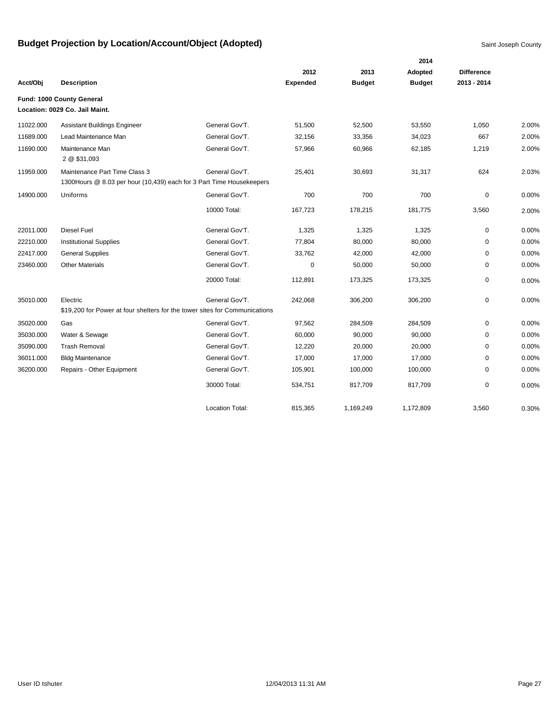|           |                                                                                                        |                        |                 |               | 2014          |                   |       |
|-----------|--------------------------------------------------------------------------------------------------------|------------------------|-----------------|---------------|---------------|-------------------|-------|
|           |                                                                                                        |                        | 2012            | 2013          | Adopted       | <b>Difference</b> |       |
| Acct/Obj  | <b>Description</b>                                                                                     |                        | <b>Expended</b> | <b>Budget</b> | <b>Budget</b> | 2013 - 2014       |       |
|           | Fund: 1000 County General<br>Location: 0029 Co. Jail Maint.                                            |                        |                 |               |               |                   |       |
| 11022.000 | <b>Assistant Buildings Engineer</b>                                                                    | General Gov'T.         | 51,500          | 52,500        | 53,550        | 1,050             | 2.00% |
| 11689.000 | Lead Maintenance Man                                                                                   | General Gov'T.         | 32,156          | 33,356        | 34,023        | 667               | 2.00% |
| 11690.000 | Maintenance Man<br>2 @ \$31,093                                                                        | General Gov'T.         | 57,966          | 60,966        | 62,185        | 1,219             | 2.00% |
| 11959.000 | Maintenance Part Time Class 3<br>1300 Hours @ 8.03 per hour (10,439) each for 3 Part Time Housekeepers | General Gov'T.         | 25,401          | 30,693        | 31,317        | 624               | 2.03% |
| 14900.000 | Uniforms                                                                                               | General Gov'T.         | 700             | 700           | 700           | 0                 | 0.00% |
|           |                                                                                                        | 10000 Total:           | 167,723         | 178,215       | 181,775       | 3,560             | 2.00% |
| 22011.000 | Diesel Fuel                                                                                            | General Gov'T.         | 1,325           | 1,325         | 1,325         | 0                 | 0.00% |
| 22210.000 | <b>Institutional Supplies</b>                                                                          | General Gov'T.         | 77,804          | 80,000        | 80,000        | 0                 | 0.00% |
| 22417.000 | <b>General Supplies</b>                                                                                | General Gov'T.         | 33,762          | 42,000        | 42,000        | 0                 | 0.00% |
| 23460.000 | <b>Other Materials</b>                                                                                 | General Gov'T.         | 0               | 50,000        | 50,000        | 0                 | 0.00% |
|           |                                                                                                        | 20000 Total:           | 112,891         | 173,325       | 173,325       | 0                 | 0.00% |
| 35010.000 | Electric                                                                                               | General Gov'T.         | 242,068         | 306,200       | 306,200       | 0                 | 0.00% |
|           | \$19,200 for Power at four shelters for the tower sites for Communications                             |                        |                 |               |               |                   |       |
| 35020.000 | Gas                                                                                                    | General Gov'T.         | 97,562          | 284,509       | 284,509       | 0                 | 0.00% |
| 35030.000 | Water & Sewage                                                                                         | General Gov'T.         | 60,000          | 90,000        | 90,000        | 0                 | 0.00% |
| 35090.000 | <b>Trash Removal</b>                                                                                   | General Gov'T.         | 12,220          | 20,000        | 20,000        | $\mathbf 0$       | 0.00% |
| 36011.000 | <b>Bldg Maintenance</b>                                                                                | General Gov'T.         | 17,000          | 17,000        | 17,000        | 0                 | 0.00% |
| 36200.000 | Repairs - Other Equipment                                                                              | General Gov'T.         | 105,901         | 100,000       | 100,000       | 0                 | 0.00% |
|           |                                                                                                        | 30000 Total:           | 534,751         | 817,709       | 817,709       | $\mathbf 0$       | 0.00% |
|           |                                                                                                        | <b>Location Total:</b> | 815,365         | 1,169,249     | 1,172,809     | 3,560             | 0.30% |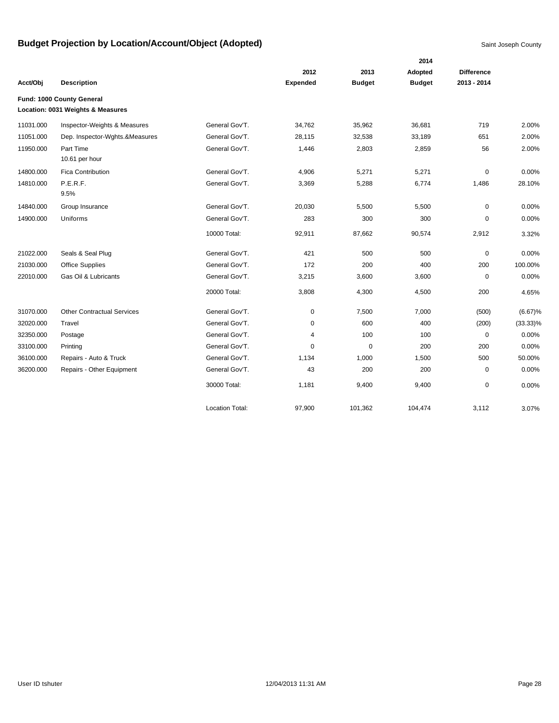|           |                                   |                        |                 |               | 2014          |                   |             |
|-----------|-----------------------------------|------------------------|-----------------|---------------|---------------|-------------------|-------------|
|           |                                   |                        | 2012            | 2013          | Adopted       | <b>Difference</b> |             |
| Acct/Obj  | <b>Description</b>                |                        | <b>Expended</b> | <b>Budget</b> | <b>Budget</b> | 2013 - 2014       |             |
|           | Fund: 1000 County General         |                        |                 |               |               |                   |             |
|           | Location: 0031 Weights & Measures |                        |                 |               |               |                   |             |
| 11031.000 | Inspector-Weights & Measures      | General Gov'T.         | 34,762          | 35,962        | 36,681        | 719               | 2.00%       |
| 11051.000 | Dep. Inspector-Wghts.&Measures    | General Gov'T.         | 28,115          | 32,538        | 33,189        | 651               | 2.00%       |
| 11950.000 | Part Time                         | General Gov'T.         | 1,446           | 2,803         | 2,859         | 56                | 2.00%       |
|           | 10.61 per hour                    |                        |                 |               |               |                   |             |
| 14800.000 | <b>Fica Contribution</b>          | General Gov'T.         | 4,906           | 5,271         | 5,271         | 0                 | 0.00%       |
| 14810.000 | P.E.R.F.<br>9.5%                  | General Gov'T.         | 3,369           | 5,288         | 6,774         | 1,486             | 28.10%      |
| 14840.000 | Group Insurance                   | General Gov'T.         | 20,030          | 5,500         | 5,500         | $\mathbf 0$       | 0.00%       |
| 14900.000 | Uniforms                          | General Gov'T.         | 283             | 300           | 300           | 0                 | 0.00%       |
|           |                                   | 10000 Total:           | 92,911          | 87,662        | 90,574        | 2,912             | 3.32%       |
| 21022.000 | Seals & Seal Plug                 | General Gov'T.         | 421             | 500           | 500           | 0                 | 0.00%       |
| 21030.000 | <b>Office Supplies</b>            | General Gov'T.         | 172             | 200           | 400           | 200               | 100.00%     |
| 22010.000 | Gas Oil & Lubricants              | General Gov'T.         | 3,215           | 3,600         | 3,600         | $\mathbf 0$       | 0.00%       |
|           |                                   | 20000 Total:           | 3,808           | 4,300         | 4,500         | 200               | 4.65%       |
| 31070.000 | <b>Other Contractual Services</b> | General Gov'T.         | $\mathbf 0$     | 7,500         | 7,000         | (500)             | (6.67)%     |
| 32020.000 | Travel                            | General Gov'T.         | 0               | 600           | 400           | (200)             | $(33.33)\%$ |
| 32350.000 | Postage                           | General Gov'T.         | 4               | 100           | 100           | $\mathbf 0$       | 0.00%       |
| 33100.000 | Printing                          | General Gov'T.         | 0               | $\mathbf 0$   | 200           | 200               | 0.00%       |
| 36100.000 | Repairs - Auto & Truck            | General Gov'T.         | 1,134           | 1,000         | 1,500         | 500               | 50.00%      |
| 36200.000 | Repairs - Other Equipment         | General Gov'T.         | 43              | 200           | 200           | $\mathbf 0$       | 0.00%       |
|           |                                   | 30000 Total:           | 1,181           | 9,400         | 9,400         | 0                 | 0.00%       |
|           |                                   | <b>Location Total:</b> | 97,900          | 101,362       | 104,474       | 3,112             | 3.07%       |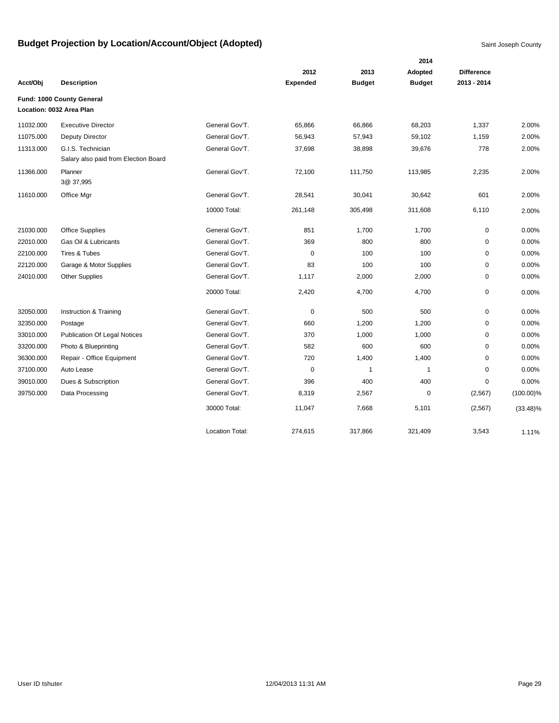|           |                                                           |                 | 2014            |               |               |                   |              |  |
|-----------|-----------------------------------------------------------|-----------------|-----------------|---------------|---------------|-------------------|--------------|--|
|           |                                                           |                 | 2012            | 2013          | Adopted       | <b>Difference</b> |              |  |
| Acct/Obj  | <b>Description</b>                                        |                 | <b>Expended</b> | <b>Budget</b> | <b>Budget</b> | 2013 - 2014       |              |  |
|           | Fund: 1000 County General                                 |                 |                 |               |               |                   |              |  |
|           | Location: 0032 Area Plan                                  |                 |                 |               |               |                   |              |  |
| 11032.000 | <b>Executive Director</b>                                 | General Gov'T.  | 65,866          | 66,866        | 68,203        | 1,337             | 2.00%        |  |
| 11075.000 | Deputy Director                                           | General Gov'T.  | 56,943          | 57,943        | 59,102        | 1,159             | 2.00%        |  |
| 11313.000 | G.I.S. Technician<br>Salary also paid from Election Board | General Gov'T.  | 37,698          | 38,898        | 39,676        | 778               | 2.00%        |  |
| 11366.000 | Planner<br>3@ 37,995                                      | General Gov'T.  | 72,100          | 111,750       | 113,985       | 2,235             | 2.00%        |  |
| 11610.000 | Office Mgr                                                | General Gov'T.  | 28,541          | 30,041        | 30,642        | 601               | 2.00%        |  |
|           |                                                           | 10000 Total:    | 261,148         | 305,498       | 311,608       | 6,110             | 2.00%        |  |
| 21030.000 | <b>Office Supplies</b>                                    | General Gov'T.  | 851             | 1,700         | 1,700         | 0                 | 0.00%        |  |
| 22010.000 | Gas Oil & Lubricants                                      | General Gov'T.  | 369             | 800           | 800           | 0                 | 0.00%        |  |
| 22100.000 | Tires & Tubes                                             | General Gov'T.  | $\mathbf 0$     | 100           | 100           | $\mathbf 0$       | 0.00%        |  |
| 22120.000 | Garage & Motor Supplies                                   | General Gov'T.  | 83              | 100           | 100           | 0                 | 0.00%        |  |
| 24010.000 | <b>Other Supplies</b>                                     | General Gov'T.  | 1,117           | 2,000         | 2,000         | $\mathbf 0$       | 0.00%        |  |
|           |                                                           | 20000 Total:    | 2,420           | 4,700         | 4,700         | 0                 | 0.00%        |  |
| 32050.000 | Instruction & Training                                    | General Gov'T.  | $\mathbf 0$     | 500           | 500           | 0                 | 0.00%        |  |
| 32350.000 | Postage                                                   | General Gov'T.  | 660             | 1,200         | 1,200         | $\mathbf 0$       | 0.00%        |  |
| 33010.000 | <b>Publication Of Legal Notices</b>                       | General Gov'T.  | 370             | 1,000         | 1,000         | 0                 | 0.00%        |  |
| 33200.000 | Photo & Blueprinting                                      | General Gov'T.  | 582             | 600           | 600           | 0                 | 0.00%        |  |
| 36300.000 | Repair - Office Equipment                                 | General Gov'T.  | 720             | 1,400         | 1,400         | $\mathbf 0$       | 0.00%        |  |
| 37100.000 | Auto Lease                                                | General Gov'T.  | $\mathbf 0$     | $\mathbf{1}$  | $\mathbf{1}$  | 0                 | 0.00%        |  |
| 39010.000 | Dues & Subscription                                       | General Gov'T.  | 396             | 400           | 400           | 0                 | 0.00%        |  |
| 39750.000 | Data Processing                                           | General Gov'T.  | 8,319           | 2,567         | $\mathbf 0$   | (2,567)           | $(100.00)\%$ |  |
|           |                                                           | 30000 Total:    | 11,047          | 7,668         | 5,101         | (2, 567)          | $(33.48)\%$  |  |
|           |                                                           | Location Total: | 274,615         | 317,866       | 321,409       | 3,543             | 1.11%        |  |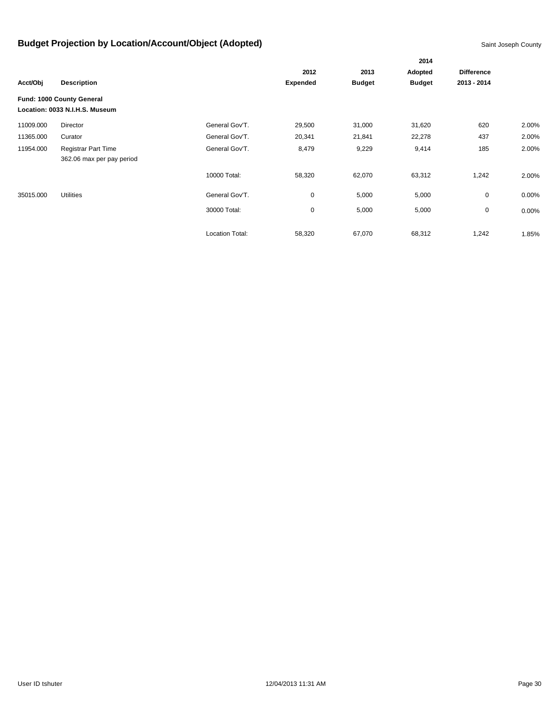|           |                                |                        |                 |               | 2014          |                   |       |
|-----------|--------------------------------|------------------------|-----------------|---------------|---------------|-------------------|-------|
|           |                                |                        | 2012            |               | Adopted       | <b>Difference</b> |       |
| Acct/Obj  | <b>Description</b>             |                        | <b>Expended</b> | <b>Budget</b> | <b>Budget</b> | 2013 - 2014       |       |
|           | Fund: 1000 County General      |                        |                 |               |               |                   |       |
|           | Location: 0033 N.I.H.S. Museum |                        |                 |               |               |                   |       |
| 11009.000 | Director                       | General Gov'T.         | 29,500          | 31,000        | 31,620        | 620               | 2.00% |
| 11365.000 | Curator                        | General Gov'T.         | 20,341          | 21,841        | 22,278        | 437               | 2.00% |
| 11954.000 | <b>Registrar Part Time</b>     | General Gov'T.         | 8,479           | 9,229         | 9,414         | 185               | 2.00% |
|           | 362.06 max per pay period      |                        |                 |               |               |                   |       |
|           |                                | 10000 Total:           | 58,320          | 62,070        | 63,312        | 1,242             | 2.00% |
| 35015.000 | <b>Utilities</b>               | General Gov'T.         | 0               | 5,000         | 5,000         | 0                 | 0.00% |
|           |                                | 30000 Total:           | 0               | 5,000         | 5,000         | 0                 | 0.00% |
|           |                                | <b>Location Total:</b> | 58,320          | 67,070        | 68,312        | 1,242             | 1.85% |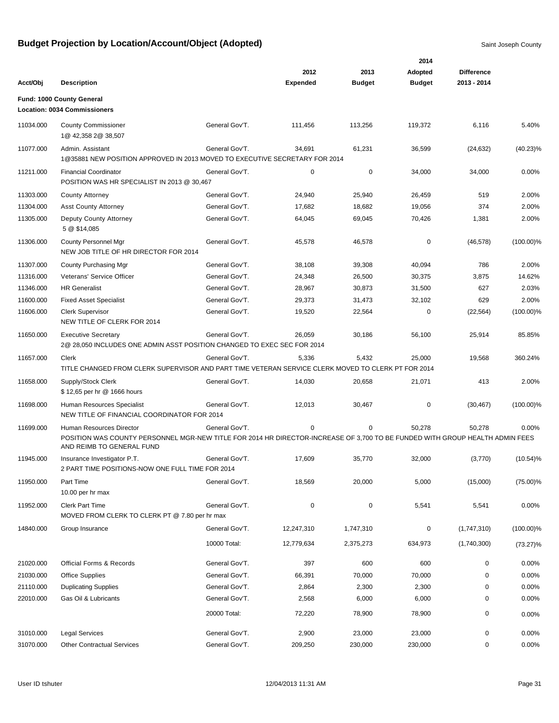|           |                                                                                                                                                           |                |                 |               | 2014          |                   |              |
|-----------|-----------------------------------------------------------------------------------------------------------------------------------------------------------|----------------|-----------------|---------------|---------------|-------------------|--------------|
|           |                                                                                                                                                           |                | 2012            | 2013          | Adopted       | <b>Difference</b> |              |
| Acct/Obj  | <b>Description</b>                                                                                                                                        |                | <b>Expended</b> | <b>Budget</b> | <b>Budget</b> | 2013 - 2014       |              |
|           | Fund: 1000 County General<br><b>Location: 0034 Commissioners</b>                                                                                          |                |                 |               |               |                   |              |
| 11034.000 | <b>County Commissioner</b><br>1@ 42,358 2@ 38,507                                                                                                         | General Gov'T. | 111,456         | 113,256       | 119,372       | 6,116             | 5.40%        |
| 11077.000 | Admin. Assistant<br>1@35881 NEW POSITION APPROVED IN 2013 MOVED TO EXECUTIVE SECRETARY FOR 2014                                                           | General Gov'T. | 34,691          | 61,231        | 36,599        | (24, 632)         | $(40.23)\%$  |
| 11211.000 | <b>Financial Coordinator</b><br>POSITION WAS HR SPECIALIST IN 2013 @ 30,467                                                                               | General Gov'T. | 0               | $\pmb{0}$     | 34,000        | 34,000            | 0.00%        |
| 11303.000 | <b>County Attorney</b>                                                                                                                                    | General Gov'T. | 24,940          | 25,940        | 26,459        | 519               | 2.00%        |
| 11304.000 | <b>Asst County Attorney</b>                                                                                                                               | General Gov'T. | 17,682          | 18,682        | 19,056        | 374               | 2.00%        |
| 11305.000 | Deputy County Attorney<br>5 @ \$14,085                                                                                                                    | General Gov'T. | 64,045          | 69,045        | 70,426        | 1,381             | 2.00%        |
| 11306.000 | County Personnel Mgr<br>NEW JOB TITLE OF HR DIRECTOR FOR 2014                                                                                             | General Gov'T. | 45,578          | 46,578        | 0             | (46, 578)         | $(100.00)\%$ |
| 11307.000 | County Purchasing Mgr                                                                                                                                     | General Gov'T. | 38,108          | 39,308        | 40,094        | 786               | 2.00%        |
| 11316.000 | Veterans' Service Officer                                                                                                                                 | General Gov'T. | 24,348          | 26,500        | 30,375        | 3,875             | 14.62%       |
| 11346.000 | <b>HR Generalist</b>                                                                                                                                      | General Gov'T. | 28,967          | 30,873        | 31,500        | 627               | 2.03%        |
| 11600.000 | <b>Fixed Asset Specialist</b>                                                                                                                             | General Gov'T. | 29,373          | 31,473        | 32,102        | 629               | 2.00%        |
| 11606.000 | <b>Clerk Supervisor</b><br>NEW TITLE OF CLERK FOR 2014                                                                                                    | General Gov'T. | 19,520          | 22,564        | 0             | (22, 564)         | $(100.00)\%$ |
| 11650.000 | <b>Executive Secretary</b><br>2@ 28,050 INCLUDES ONE ADMIN ASST POSITION CHANGED TO EXEC SEC FOR 2014                                                     | General Gov'T. | 26,059          | 30,186        | 56,100        | 25,914            | 85.85%       |
| 11657.000 | Clerk<br>TITLE CHANGED FROM CLERK SUPERVISOR AND PART TIME VETERAN SERVICE CLERK MOVED TO CLERK PT FOR 2014                                               | General Gov'T. | 5,336           | 5,432         | 25,000        | 19,568            | 360.24%      |
| 11658.000 | Supply/Stock Clerk<br>\$12,65 per hr @ 1666 hours                                                                                                         | General Gov'T. | 14,030          | 20,658        | 21,071        | 413               | 2.00%        |
| 11698.000 | Human Resources Specialist<br>NEW TITLE OF FINANCIAL COORDINATOR FOR 2014                                                                                 | General Gov'T. | 12,013          | 30,467        | 0             | (30, 467)         | $(100.00)\%$ |
| 11699.000 | Human Resources Director                                                                                                                                  | General Gov'T. | 0               | 0             | 50,278        | 50,278            | 0.00%        |
|           | POSITION WAS COUNTY PERSONNEL MGR-NEW TITLE FOR 2014 HR DIRECTOR-INCREASE OF 3.700 TO BE FUNDED WITH GROUP HEALTH ADMIN FEES<br>AND REIMB TO GENERAL FUND |                |                 |               |               |                   |              |
| 11945.000 | Insurance Investigator P.T.<br>2 PART TIME POSITIONS-NOW ONE FULL TIME FOR 2014                                                                           | General Gov'T. | 17,609          | 35,770        | 32,000        | (3,770)           | $(10.54)\%$  |
| 11950.000 | Part Time<br>10.00 per hr max                                                                                                                             | General Gov'T. | 18,569          | 20,000        | 5,000         | (15,000)          | $(75.00)\%$  |
| 11952.000 | <b>Clerk Part Time</b><br>MOVED FROM CLERK TO CLERK PT @ 7.80 per hr max                                                                                  | General Gov'T. | 0               | $\pmb{0}$     | 5,541         | 5,541             | 0.00%        |
| 14840.000 | Group Insurance                                                                                                                                           | General Gov'T. | 12,247,310      | 1,747,310     | 0             | (1,747,310)       | $(100.00)\%$ |
|           |                                                                                                                                                           | 10000 Total:   | 12,779,634      | 2,375,273     | 634,973       | (1,740,300)       | $(73.27)\%$  |
| 21020.000 | <b>Official Forms &amp; Records</b>                                                                                                                       | General Gov'T. | 397             | 600           | 600           | $\pmb{0}$         | 0.00%        |
| 21030.000 | <b>Office Supplies</b>                                                                                                                                    | General Gov'T. | 66,391          | 70,000        | 70,000        | 0                 | 0.00%        |
| 21110.000 | <b>Duplicating Supplies</b>                                                                                                                               | General Gov'T. | 2,864           | 2,300         | 2,300         | 0                 | 0.00%        |
| 22010.000 | Gas Oil & Lubricants                                                                                                                                      | General Gov'T. | 2,568           | 6,000         | 6,000         | 0                 | 0.00%        |
|           |                                                                                                                                                           | 20000 Total:   | 72,220          | 78,900        | 78,900        | 0                 | 0.00%        |
| 31010.000 | <b>Legal Services</b>                                                                                                                                     | General Gov'T. | 2,900           | 23,000        | 23,000        | 0                 | 0.00%        |
| 31070.000 | <b>Other Contractual Services</b>                                                                                                                         | General Gov'T. | 209,250         | 230,000       | 230,000       | 0                 | $0.00\%$     |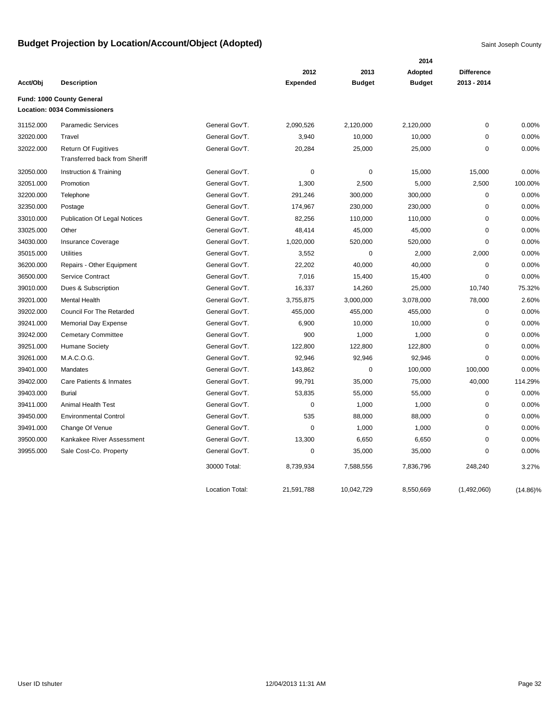|           |                                                                    |                        |                 |               | 2014          |                   |             |
|-----------|--------------------------------------------------------------------|------------------------|-----------------|---------------|---------------|-------------------|-------------|
|           |                                                                    |                        | 2012            | 2013          | Adopted       | <b>Difference</b> |             |
| Acct/Obj  | <b>Description</b>                                                 |                        | <b>Expended</b> | <b>Budget</b> | <b>Budget</b> | 2013 - 2014       |             |
|           | Fund: 1000 County General                                          |                        |                 |               |               |                   |             |
|           | Location: 0034 Commissioners                                       |                        |                 |               |               |                   |             |
| 31152.000 | <b>Paramedic Services</b>                                          | General Gov'T.         | 2,090,526       | 2,120,000     | 2,120,000     | 0                 | 0.00%       |
| 32020.000 | Travel                                                             | General Gov'T.         | 3,940           | 10,000        | 10,000        | $\mathbf 0$       | 0.00%       |
| 32022.000 | <b>Return Of Fugitives</b><br><b>Transferred back from Sheriff</b> | General Gov'T.         | 20,284          | 25,000        | 25,000        | 0                 | 0.00%       |
| 32050.000 | Instruction & Training                                             | General Gov'T.         | $\mathbf 0$     | $\mathbf 0$   | 15,000        | 15,000            | 0.00%       |
| 32051.000 | Promotion                                                          | General Gov'T.         | 1,300           | 2,500         | 5,000         | 2,500             | 100.00%     |
| 32200.000 | Telephone                                                          | General Gov'T.         | 291,246         | 300,000       | 300,000       | 0                 | 0.00%       |
| 32350.000 | Postage                                                            | General Gov'T.         | 174,967         | 230,000       | 230,000       | 0                 | 0.00%       |
| 33010.000 | <b>Publication Of Legal Notices</b>                                | General Gov'T.         | 82,256          | 110,000       | 110,000       | 0                 | 0.00%       |
| 33025.000 | Other                                                              | General Gov'T.         | 48,414          | 45,000        | 45,000        | $\mathbf 0$       | 0.00%       |
| 34030.000 | <b>Insurance Coverage</b>                                          | General Gov'T.         | 1,020,000       | 520,000       | 520,000       | $\mathbf 0$       | 0.00%       |
| 35015.000 | <b>Utilities</b>                                                   | General Gov'T.         | 3,552           | $\mathbf 0$   | 2,000         | 2,000             | 0.00%       |
| 36200.000 | Repairs - Other Equipment                                          | General Gov'T.         | 22,202          | 40,000        | 40,000        | $\mathbf 0$       | 0.00%       |
| 36500.000 | Service Contract                                                   | General Gov'T.         | 7,016           | 15,400        | 15,400        | 0                 | 0.00%       |
| 39010.000 | Dues & Subscription                                                | General Gov'T.         | 16,337          | 14,260        | 25,000        | 10,740            | 75.32%      |
| 39201.000 | <b>Mental Health</b>                                               | General Gov'T.         | 3,755,875       | 3,000,000     | 3,078,000     | 78,000            | 2.60%       |
| 39202.000 | <b>Council For The Retarded</b>                                    | General Gov'T.         | 455,000         | 455,000       | 455,000       | 0                 | 0.00%       |
| 39241.000 | <b>Memorial Day Expense</b>                                        | General Gov'T.         | 6,900           | 10,000        | 10,000        | $\mathbf 0$       | 0.00%       |
| 39242.000 | <b>Cemetary Committee</b>                                          | General Gov'T.         | 900             | 1,000         | 1,000         | $\mathbf 0$       | 0.00%       |
| 39251.000 | <b>Humane Society</b>                                              | General Gov'T.         | 122,800         | 122,800       | 122,800       | 0                 | 0.00%       |
| 39261.000 | M.A.C.O.G.                                                         | General Gov'T.         | 92,946          | 92,946        | 92,946        | $\mathbf 0$       | 0.00%       |
| 39401.000 | Mandates                                                           | General Gov'T.         | 143,862         | $\pmb{0}$     | 100,000       | 100,000           | 0.00%       |
| 39402.000 | Care Patients & Inmates                                            | General Gov'T.         | 99,791          | 35,000        | 75,000        | 40,000            | 114.29%     |
| 39403.000 | <b>Burial</b>                                                      | General Gov'T.         | 53,835          | 55,000        | 55,000        | $\mathbf 0$       | 0.00%       |
| 39411.000 | <b>Animal Health Test</b>                                          | General Gov'T.         | 0               | 1,000         | 1,000         | 0                 | 0.00%       |
| 39450.000 | <b>Environmental Control</b>                                       | General Gov'T.         | 535             | 88,000        | 88,000        | $\mathbf 0$       | 0.00%       |
| 39491.000 | Change Of Venue                                                    | General Gov'T.         | 0               | 1,000         | 1,000         | $\Omega$          | 0.00%       |
| 39500.000 | Kankakee River Assessment                                          | General Gov'T.         | 13,300          | 6,650         | 6,650         | $\mathbf 0$       | 0.00%       |
| 39955.000 | Sale Cost-Co. Property                                             | General Gov'T.         | 0               | 35,000        | 35,000        | $\Omega$          | 0.00%       |
|           |                                                                    | 30000 Total:           | 8,739,934       | 7,588,556     | 7,836,796     | 248,240           | 3.27%       |
|           |                                                                    | <b>Location Total:</b> | 21,591,788      | 10,042,729    | 8,550,669     | (1,492,060)       | $(14.86)\%$ |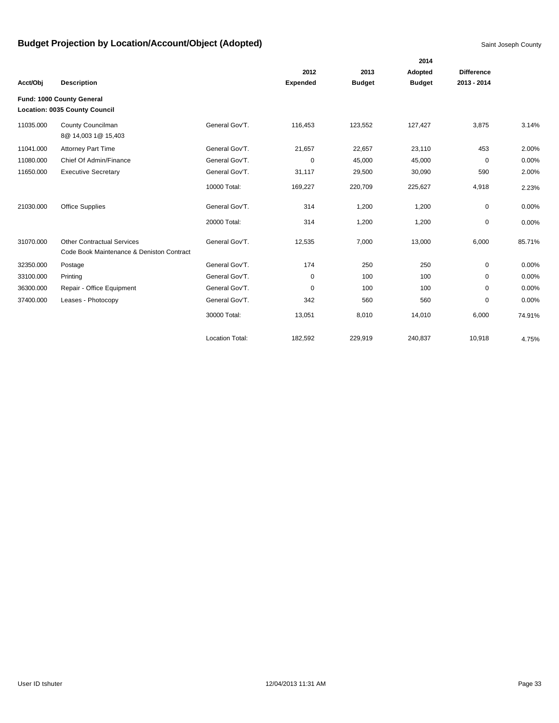|           |                                                                                |                        |                 |               | 2014          |                   |        |
|-----------|--------------------------------------------------------------------------------|------------------------|-----------------|---------------|---------------|-------------------|--------|
|           |                                                                                |                        | 2012            | 2013          | Adopted       | <b>Difference</b> |        |
| Acct/Obj  | <b>Description</b>                                                             |                        | <b>Expended</b> | <b>Budget</b> | <b>Budget</b> | 2013 - 2014       |        |
|           | Fund: 1000 County General                                                      |                        |                 |               |               |                   |        |
|           | <b>Location: 0035 County Council</b>                                           |                        |                 |               |               |                   |        |
| 11035.000 | County Councilman<br>8@ 14,003 1@ 15,403                                       | General Gov'T.         | 116,453         | 123,552       | 127,427       | 3,875             | 3.14%  |
| 11041.000 | <b>Attorney Part Time</b>                                                      | General Gov'T.         | 21,657          | 22,657        | 23,110        | 453               | 2.00%  |
| 11080.000 | Chief Of Admin/Finance                                                         | General Gov'T.         | 0               | 45,000        | 45,000        | 0                 | 0.00%  |
| 11650.000 | <b>Executive Secretary</b>                                                     | General Gov'T.         | 31,117          | 29,500        | 30,090        | 590               | 2.00%  |
|           |                                                                                | 10000 Total:           | 169,227         | 220,709       | 225,627       | 4,918             | 2.23%  |
| 21030.000 | <b>Office Supplies</b>                                                         | General Gov'T.         | 314             | 1,200         | 1,200         | 0                 | 0.00%  |
|           |                                                                                | 20000 Total:           | 314             | 1,200         | 1,200         | 0                 | 0.00%  |
| 31070.000 | <b>Other Contractual Services</b><br>Code Book Maintenance & Deniston Contract | General Gov'T.         | 12,535          | 7,000         | 13,000        | 6,000             | 85.71% |
| 32350.000 | Postage                                                                        | General Gov'T.         | 174             | 250           | 250           | 0                 | 0.00%  |
| 33100.000 | Printing                                                                       | General Gov'T.         | 0               | 100           | 100           | $\Omega$          | 0.00%  |
| 36300.000 | Repair - Office Equipment                                                      | General Gov'T.         | 0               | 100           | 100           | 0                 | 0.00%  |
| 37400.000 | Leases - Photocopy                                                             | General Gov'T.         | 342             | 560           | 560           | 0                 | 0.00%  |
|           |                                                                                | 30000 Total:           | 13,051          | 8,010         | 14,010        | 6,000             | 74.91% |
|           |                                                                                | <b>Location Total:</b> | 182,592         | 229,919       | 240,837       | 10,918            | 4.75%  |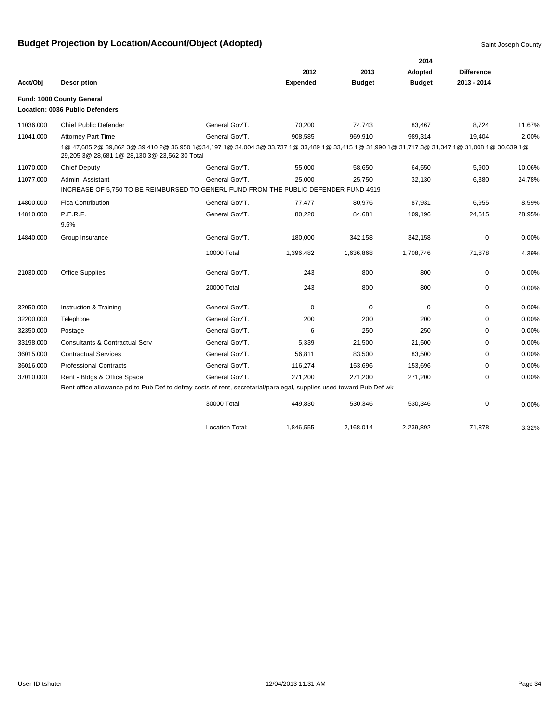|           |                                                                                                                                                                                                |                        |                 |               | 2014          |                   |          |
|-----------|------------------------------------------------------------------------------------------------------------------------------------------------------------------------------------------------|------------------------|-----------------|---------------|---------------|-------------------|----------|
|           |                                                                                                                                                                                                |                        | 2012            | 2013          | Adopted       | <b>Difference</b> |          |
| Acct/Obj  | <b>Description</b>                                                                                                                                                                             |                        | <b>Expended</b> | <b>Budget</b> | <b>Budget</b> | 2013 - 2014       |          |
|           | Fund: 1000 County General<br><b>Location: 0036 Public Defenders</b>                                                                                                                            |                        |                 |               |               |                   |          |
| 11036.000 | <b>Chief Public Defender</b>                                                                                                                                                                   | General Gov'T.         | 70,200          | 74,743        | 83,467        | 8,724             | 11.67%   |
| 11041.000 | <b>Attorney Part Time</b>                                                                                                                                                                      | General Gov'T.         | 908,585         | 969,910       | 989,314       | 19,404            | 2.00%    |
|           | 1@ 47,685 2@ 39,862 3@ 39,410 2@ 36,950 1@34,197 1@ 34,004 3@ 33,737 1@ 33,489 1@ 33,415 1@ 31,990 1@ 31,717 3@ 31,347 1@ 31,008 1@ 30,639 1@<br>29,205 3@ 28,681 1@ 28,130 3@ 23,562 30 Total |                        |                 |               |               |                   |          |
| 11070.000 | <b>Chief Deputy</b>                                                                                                                                                                            | General Gov'T.         | 55,000          | 58,650        | 64,550        | 5,900             | 10.06%   |
| 11077.000 | Admin, Assistant                                                                                                                                                                               | General Gov'T.         | 25,000          | 25,750        | 32,130        | 6,380             | 24.78%   |
|           | INCREASE OF 5,750 TO BE REIMBURSED TO GENERL FUND FROM THE PUBLIC DEFENDER FUND 4919                                                                                                           |                        |                 |               |               |                   |          |
| 14800.000 | <b>Fica Contribution</b>                                                                                                                                                                       | General Gov'T.         | 77,477          | 80,976        | 87,931        | 6,955             | 8.59%    |
| 14810.000 | P.E.R.F.                                                                                                                                                                                       | General Gov'T.         | 80,220          | 84,681        | 109,196       | 24,515            | 28.95%   |
|           | 9.5%                                                                                                                                                                                           |                        |                 |               |               |                   |          |
| 14840.000 | Group Insurance                                                                                                                                                                                | General Gov'T.         | 180,000         | 342,158       | 342,158       | 0                 | 0.00%    |
|           |                                                                                                                                                                                                | 10000 Total:           | 1,396,482       | 1,636,868     | 1,708,746     | 71,878            | 4.39%    |
| 21030.000 | <b>Office Supplies</b>                                                                                                                                                                         | General Gov'T.         | 243             | 800           | 800           | 0                 | $0.00\%$ |
|           |                                                                                                                                                                                                | 20000 Total:           | 243             | 800           | 800           | 0                 | 0.00%    |
| 32050.000 | Instruction & Training                                                                                                                                                                         | General Gov'T.         | 0               | $\mathbf 0$   | 0             | 0                 | 0.00%    |
| 32200.000 | Telephone                                                                                                                                                                                      | General Gov'T.         | 200             | 200           | 200           | 0                 | 0.00%    |
| 32350.000 | Postage                                                                                                                                                                                        | General Gov'T.         | 6               | 250           | 250           | $\Omega$          | 0.00%    |
| 33198.000 | <b>Consultants &amp; Contractual Serv</b>                                                                                                                                                      | General Gov'T.         | 5,339           | 21,500        | 21,500        | 0                 | 0.00%    |
| 36015.000 | <b>Contractual Services</b>                                                                                                                                                                    | General Gov'T.         | 56,811          | 83,500        | 83,500        | 0                 | 0.00%    |
| 36016.000 | <b>Professional Contracts</b>                                                                                                                                                                  | General Gov'T.         | 116,274         | 153,696       | 153,696       | 0                 | 0.00%    |
| 37010.000 | Rent - Bldgs & Office Space                                                                                                                                                                    | General Gov'T.         | 271,200         | 271,200       | 271,200       | 0                 | 0.00%    |
|           | Rent office allowance pd to Pub Def to defray costs of rent, secretarial/paralegal, supplies used toward Pub Def wk                                                                            |                        |                 |               |               |                   |          |
|           |                                                                                                                                                                                                | 30000 Total:           | 449,830         | 530,346       | 530,346       | 0                 | 0.00%    |
|           |                                                                                                                                                                                                | <b>Location Total:</b> | 1,846,555       | 2,168,014     | 2,239,892     | 71,878            | 3.32%    |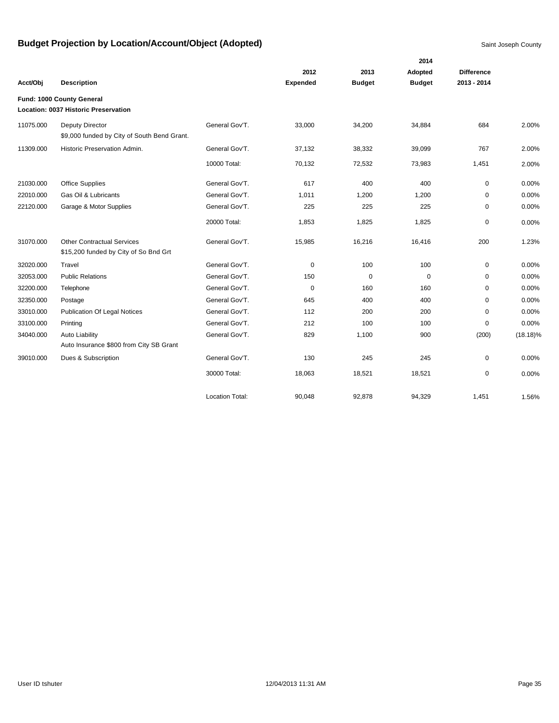|           |                                                                            |                        |                 |               | 2014          |                   |             |
|-----------|----------------------------------------------------------------------------|------------------------|-----------------|---------------|---------------|-------------------|-------------|
|           |                                                                            |                        | 2012            | 2013          | Adopted       | <b>Difference</b> |             |
| Acct/Obj  | <b>Description</b>                                                         |                        | <b>Expended</b> | <b>Budget</b> | <b>Budget</b> | 2013 - 2014       |             |
|           | Fund: 1000 County General                                                  |                        |                 |               |               |                   |             |
|           | Location: 0037 Historic Preservation                                       |                        |                 |               |               |                   |             |
| 11075.000 | Deputy Director<br>\$9,000 funded by City of South Bend Grant.             | General Gov'T.         | 33,000          | 34,200        | 34,884        | 684               | 2.00%       |
| 11309.000 | Historic Preservation Admin.                                               | General Gov'T.         | 37,132          | 38,332        | 39,099        | 767               | 2.00%       |
|           |                                                                            | 10000 Total:           | 70,132          | 72,532        | 73,983        | 1,451             | 2.00%       |
| 21030.000 | Office Supplies                                                            | General Gov'T.         | 617             | 400           | 400           | 0                 | 0.00%       |
| 22010.000 | Gas Oil & Lubricants                                                       | General Gov'T.         | 1,011           | 1,200         | 1,200         | 0                 | 0.00%       |
| 22120.000 | Garage & Motor Supplies                                                    | General Gov'T.         | 225             | 225           | 225           | 0                 | 0.00%       |
|           |                                                                            | 20000 Total:           | 1,853           | 1,825         | 1,825         | $\mathbf 0$       | 0.00%       |
| 31070.000 | <b>Other Contractual Services</b><br>\$15,200 funded by City of So Bnd Grt | General Gov'T.         | 15,985          | 16,216        | 16,416        | 200               | 1.23%       |
| 32020.000 | Travel                                                                     | General Gov'T.         | 0               | 100           | 100           | 0                 | 0.00%       |
| 32053.000 | <b>Public Relations</b>                                                    | General Gov'T.         | 150             | $\mathbf 0$   | $\mathbf 0$   | $\mathbf 0$       | 0.00%       |
| 32200.000 | Telephone                                                                  | General Gov'T.         | 0               | 160           | 160           | 0                 | 0.00%       |
| 32350.000 | Postage                                                                    | General Gov'T.         | 645             | 400           | 400           | $\mathbf 0$       | 0.00%       |
| 33010.000 | <b>Publication Of Legal Notices</b>                                        | General Gov'T.         | 112             | 200           | 200           | $\mathbf 0$       | 0.00%       |
| 33100.000 | Printing                                                                   | General Gov'T.         | 212             | 100           | 100           | $\mathbf 0$       | 0.00%       |
| 34040.000 | <b>Auto Liability</b>                                                      | General Gov'T.         | 829             | 1,100         | 900           | (200)             | $(18.18)\%$ |
|           | Auto Insurance \$800 from City SB Grant                                    |                        |                 |               |               |                   |             |
| 39010.000 | Dues & Subscription                                                        | General Gov'T.         | 130             | 245           | 245           | 0                 | 0.00%       |
|           |                                                                            | 30000 Total:           | 18,063          | 18,521        | 18,521        | $\mathbf 0$       | 0.00%       |
|           |                                                                            | <b>Location Total:</b> | 90.048          | 92.878        | 94.329        | 1.451             | 1.56%       |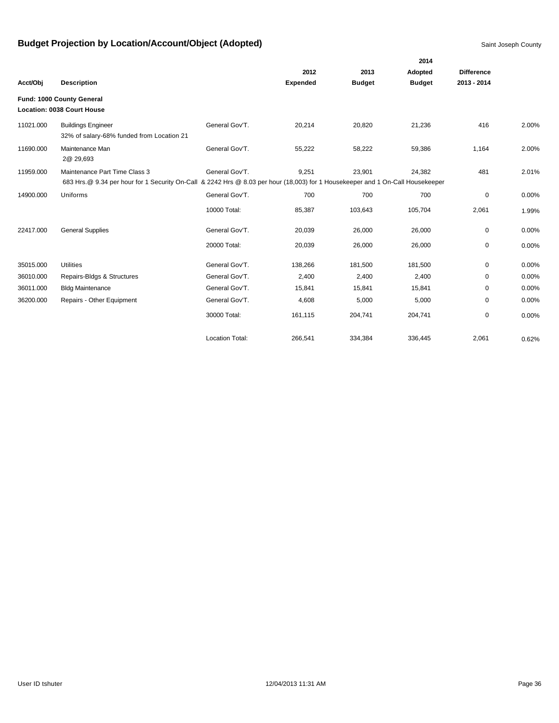|           |                                                                                                                                | 2014                   |                 |               |               |                   |       |  |  |
|-----------|--------------------------------------------------------------------------------------------------------------------------------|------------------------|-----------------|---------------|---------------|-------------------|-------|--|--|
|           |                                                                                                                                |                        | 2012            | 2013          | Adopted       | <b>Difference</b> |       |  |  |
| Acct/Obj  | <b>Description</b>                                                                                                             |                        | <b>Expended</b> | <b>Budget</b> | <b>Budget</b> | 2013 - 2014       |       |  |  |
|           | Fund: 1000 County General                                                                                                      |                        |                 |               |               |                   |       |  |  |
|           | <b>Location: 0038 Court House</b>                                                                                              |                        |                 |               |               |                   |       |  |  |
| 11021.000 | <b>Buildings Engineer</b><br>32% of salary-68% funded from Location 21                                                         | General Gov'T.         | 20,214          | 20,820        | 21,236        | 416               | 2.00% |  |  |
| 11690.000 | Maintenance Man<br>2@ 29,693                                                                                                   | General Gov'T.         | 55,222          | 58,222        | 59,386        | 1,164             | 2.00% |  |  |
| 11959.000 | Maintenance Part Time Class 3                                                                                                  | General Gov'T.         | 9,251           | 23,901        | 24,382        | 481               | 2.01% |  |  |
|           | 683 Hrs.@ 9.34 per hour for 1 Security On-Call & 2242 Hrs @ 8.03 per hour (18,003) for 1 Housekeeper and 1 On-Call Housekeeper |                        |                 |               |               |                   |       |  |  |
| 14900.000 | Uniforms                                                                                                                       | General Gov'T.         | 700             | 700           | 700           | 0                 | 0.00% |  |  |
|           |                                                                                                                                | 10000 Total:           | 85,387          | 103,643       | 105,704       | 2,061             | 1.99% |  |  |
| 22417.000 | <b>General Supplies</b>                                                                                                        | General Gov'T.         | 20,039          | 26,000        | 26,000        | 0                 | 0.00% |  |  |
|           |                                                                                                                                | 20000 Total:           | 20,039          | 26,000        | 26,000        | 0                 | 0.00% |  |  |
| 35015.000 | <b>Utilities</b>                                                                                                               | General Gov'T.         | 138,266         | 181,500       | 181,500       | 0                 | 0.00% |  |  |
| 36010.000 | Repairs-Bldgs & Structures                                                                                                     | General Gov'T.         | 2,400           | 2,400         | 2,400         | 0                 | 0.00% |  |  |
| 36011.000 | <b>Bldg Maintenance</b>                                                                                                        | General Gov'T.         | 15,841          | 15,841        | 15,841        | 0                 | 0.00% |  |  |
| 36200.000 | Repairs - Other Equipment                                                                                                      | General Gov'T.         | 4,608           | 5,000         | 5,000         | $\mathbf 0$       | 0.00% |  |  |
|           |                                                                                                                                | 30000 Total:           | 161,115         | 204,741       | 204,741       | 0                 | 0.00% |  |  |
|           |                                                                                                                                | <b>Location Total:</b> | 266,541         | 334,384       | 336,445       | 2,061             | 0.62% |  |  |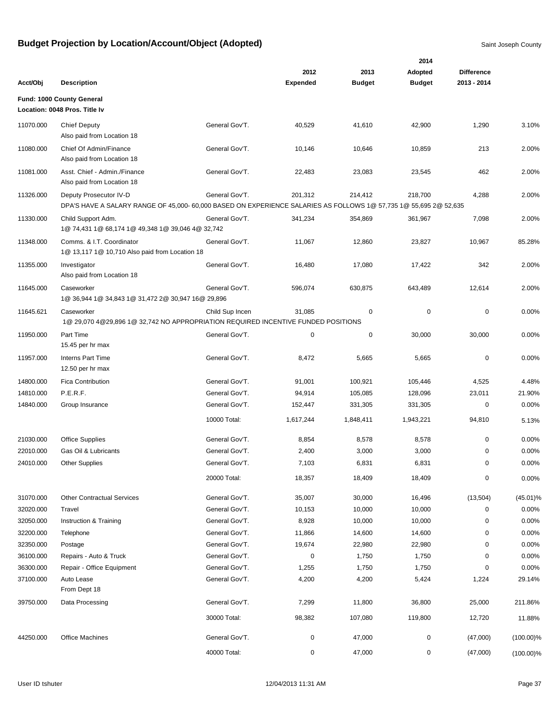|           |                                                                                                                                             |                 |                 |               | 2014          |                   |              |
|-----------|---------------------------------------------------------------------------------------------------------------------------------------------|-----------------|-----------------|---------------|---------------|-------------------|--------------|
|           |                                                                                                                                             |                 | 2012            | 2013          | Adopted       | <b>Difference</b> |              |
| Acct/Obj  | <b>Description</b>                                                                                                                          |                 | <b>Expended</b> | <b>Budget</b> | <b>Budget</b> | 2013 - 2014       |              |
|           | Fund: 1000 County General                                                                                                                   |                 |                 |               |               |                   |              |
|           | Location: 0048 Pros. Title Iv                                                                                                               |                 |                 |               |               |                   |              |
| 11070.000 | <b>Chief Deputy</b><br>Also paid from Location 18                                                                                           | General Gov'T.  | 40,529          | 41,610        | 42,900        | 1,290             | 3.10%        |
| 11080.000 | Chief Of Admin/Finance<br>Also paid from Location 18                                                                                        | General Gov'T.  | 10,146          | 10,646        | 10,859        | 213               | 2.00%        |
| 11081.000 | Asst. Chief - Admin./Finance<br>Also paid from Location 18                                                                                  | General Gov'T.  | 22,483          | 23,083        | 23,545        | 462               | 2.00%        |
| 11326.000 | Deputy Prosecutor IV-D<br>DPA'S HAVE A SALARY RANGE OF 45,000- 60,000 BASED ON EXPERIENCE SALARIES AS FOLLOWS 1@ 57,735 1@ 55,695 2@ 52,635 | General Gov'T.  | 201,312         | 214,412       | 218,700       | 4,288             | 2.00%        |
| 11330.000 | Child Support Adm.<br>1@ 74,431 1@ 68,174 1@ 49,348 1@ 39,046 4@ 32,742                                                                     | General Gov'T.  | 341,234         | 354,869       | 361,967       | 7,098             | 2.00%        |
| 11348.000 | Comms. & I.T. Coordinator<br>1@ 13,117 1@ 10,710 Also paid from Location 18                                                                 | General Gov'T.  | 11,067          | 12,860        | 23,827        | 10,967            | 85.28%       |
| 11355.000 | Investigator<br>Also paid from Location 18                                                                                                  | General Gov'T.  | 16,480          | 17,080        | 17,422        | 342               | 2.00%        |
| 11645.000 | Caseworker<br>1@ 36,944 1@ 34,843 1@ 31,472 2@ 30,947 16@ 29,896                                                                            | General Gov'T.  | 596,074         | 630,875       | 643,489       | 12,614            | 2.00%        |
| 11645.621 | Caseworker<br>1@ 29,070 4@29,896 1@ 32,742 NO APPROPRIATION REQUIRED INCENTIVE FUNDED POSITIONS                                             | Child Sup Incen | 31,085          | 0             | $\mathbf 0$   | $\mathbf 0$       | 0.00%        |
| 11950.000 | Part Time<br>15.45 per hr max                                                                                                               | General Gov'T.  | 0               | $\mathbf 0$   | 30,000        | 30,000            | 0.00%        |
| 11957.000 | <b>Interns Part Time</b><br>12.50 per hr max                                                                                                | General Gov'T.  | 8,472           | 5,665         | 5,665         | $\mathbf 0$       | 0.00%        |
| 14800.000 | <b>Fica Contribution</b>                                                                                                                    | General Gov'T.  | 91,001          | 100,921       | 105,446       | 4,525             | 4.48%        |
| 14810.000 | P.E.R.F.                                                                                                                                    | General Gov'T.  | 94,914          | 105,085       | 128,096       | 23,011            | 21.90%       |
| 14840.000 | Group Insurance                                                                                                                             | General Gov'T.  | 152,447         | 331,305       | 331,305       | 0                 | 0.00%        |
|           |                                                                                                                                             | 10000 Total:    | 1,617,244       | 1,848,411     | 1,943,221     | 94,810            | 5.13%        |
| 21030.000 | <b>Office Supplies</b>                                                                                                                      | General Gov'T.  | 8,854           | 8,578         | 8,578         | 0                 | 0.00%        |
| 22010.000 | Gas Oil & Lubricants                                                                                                                        | General Gov'T.  | 2,400           | 3,000         | 3,000         | 0                 | 0.00%        |
| 24010.000 | <b>Other Supplies</b>                                                                                                                       | General Gov'T.  | 7,103           | 6,831         | 6,831         | 0                 | 0.00%        |
|           |                                                                                                                                             | 20000 Total:    | 18,357          | 18,409        | 18,409        | 0                 | 0.00%        |
| 31070.000 | <b>Other Contractual Services</b>                                                                                                           | General Gov'T.  | 35,007          | 30,000        | 16,496        | (13,504)          | $(45.01)\%$  |
| 32020.000 | Travel                                                                                                                                      | General Gov'T.  | 10,153          | 10,000        | 10,000        | 0                 | 0.00%        |
| 32050.000 | Instruction & Training                                                                                                                      | General Gov'T.  | 8,928           | 10,000        | 10,000        | $\mathbf 0$       | 0.00%        |
| 32200.000 | Telephone                                                                                                                                   | General Gov'T.  | 11,866          | 14,600        | 14,600        | 0                 | 0.00%        |
| 32350.000 | Postage                                                                                                                                     | General Gov'T.  | 19,674          | 22,980        | 22,980        | 0                 | 0.00%        |
| 36100.000 | Repairs - Auto & Truck                                                                                                                      | General Gov'T.  | 0               | 1,750         | 1,750         | 0                 | 0.00%        |
| 36300.000 | Repair - Office Equipment                                                                                                                   | General Gov'T.  | 1,255           | 1,750         | 1,750         | $\pmb{0}$         | 0.00%        |
| 37100.000 | Auto Lease<br>From Dept 18                                                                                                                  | General Gov'T.  | 4,200           | 4,200         | 5,424         | 1,224             | 29.14%       |
| 39750.000 | Data Processing                                                                                                                             | General Gov'T.  | 7,299           | 11,800        | 36,800        | 25,000            | 211.86%      |
|           |                                                                                                                                             | 30000 Total:    | 98,382          | 107,080       | 119,800       | 12,720            | 11.88%       |
| 44250.000 | <b>Office Machines</b>                                                                                                                      | General Gov'T.  | 0               | 47,000        | $\pmb{0}$     | (47,000)          | $(100.00)\%$ |
|           |                                                                                                                                             | 40000 Total:    | 0               | 47,000        | 0             | (47,000)          | $(100.00)\%$ |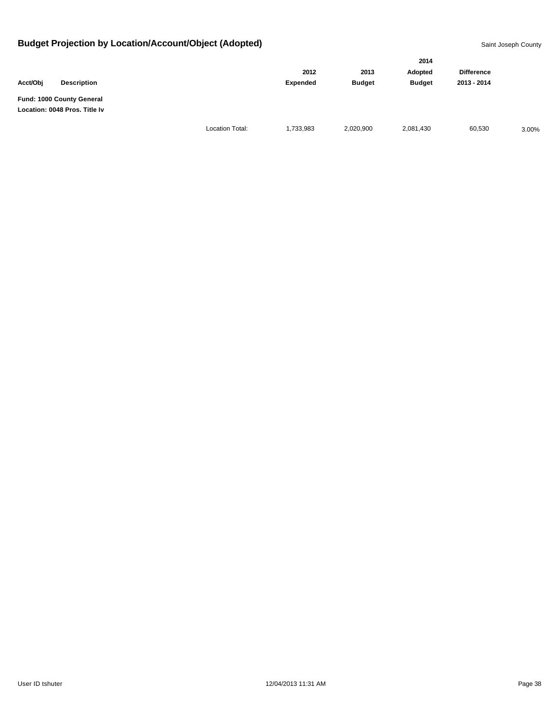|                                                            |                    |                        |           |               | 2014          |                   |       |
|------------------------------------------------------------|--------------------|------------------------|-----------|---------------|---------------|-------------------|-------|
|                                                            |                    |                        | 2012      | 2013          | Adopted       | <b>Difference</b> |       |
| Acct/Obj                                                   | <b>Description</b> |                        | Expended  | <b>Budget</b> | <b>Budget</b> | 2013 - 2014       |       |
| Fund: 1000 County General<br>Location: 0048 Pros. Title Iv |                    |                        |           |               |               |                   |       |
|                                                            |                    | <b>Location Total:</b> | 1,733,983 | 2,020,900     | 2,081,430     | 60,530            | 3.00% |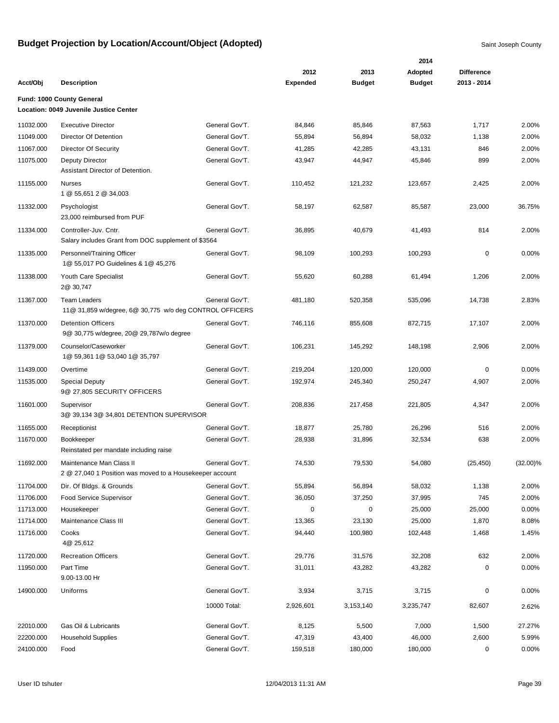|           |                                                                                      |                |                 |               | 2014          |                   |             |
|-----------|--------------------------------------------------------------------------------------|----------------|-----------------|---------------|---------------|-------------------|-------------|
|           |                                                                                      |                | 2012            | 2013          | Adopted       | <b>Difference</b> |             |
| Acct/Obj  | <b>Description</b>                                                                   |                | <b>Expended</b> | <b>Budget</b> | <b>Budget</b> | 2013 - 2014       |             |
|           | Fund: 1000 County General                                                            |                |                 |               |               |                   |             |
|           | Location: 0049 Juvenile Justice Center                                               |                |                 |               |               |                   |             |
| 11032.000 | <b>Executive Director</b>                                                            | General Gov'T. | 84,846          | 85,846        | 87,563        | 1,717             | 2.00%       |
| 11049.000 | Director Of Detention                                                                | General Gov'T. | 55,894          | 56,894        | 58,032        | 1,138             | 2.00%       |
| 11067.000 | Director Of Security                                                                 | General Gov'T. | 41,285          | 42,285        | 43,131        | 846               | 2.00%       |
| 11075.000 | Deputy Director<br>Assistant Director of Detention.                                  | General Gov'T. | 43,947          | 44,947        | 45,846        | 899               | 2.00%       |
| 11155.000 | <b>Nurses</b><br>1 @ 55,651 2 @ 34,003                                               | General Gov'T. | 110,452         | 121,232       | 123,657       | 2,425             | 2.00%       |
| 11332.000 | Psychologist<br>23,000 reimbursed from PUF                                           | General Gov'T. | 58,197          | 62,587        | 85,587        | 23,000            | 36.75%      |
| 11334.000 | Controller-Juv. Cntr.<br>Salary includes Grant from DOC supplement of \$3564         | General Gov'T. | 36,895          | 40,679        | 41,493        | 814               | 2.00%       |
| 11335.000 | Personnel/Training Officer<br>1@ 55,017 PO Guidelines & 1@ 45,276                    | General Gov'T. | 98,109          | 100,293       | 100,293       | 0                 | 0.00%       |
| 11338.000 | Youth Care Specialist<br>2@ 30,747                                                   | General Gov'T. | 55,620          | 60,288        | 61,494        | 1,206             | 2.00%       |
| 11367.000 | <b>Team Leaders</b><br>11@ 31,859 w/degree, 6@ 30,775 w/o deg CONTROL OFFICERS       | General Gov'T. | 481,180         | 520,358       | 535,096       | 14,738            | 2.83%       |
| 11370.000 | <b>Detention Officers</b><br>9@ 30,775 w/degree, 20@ 29,787w/o degree                | General Gov'T. | 746,116         | 855,608       | 872,715       | 17,107            | 2.00%       |
| 11379.000 | Counselor/Caseworker<br>1@ 59,361 1@ 53,040 1@ 35,797                                | General Gov'T. | 106,231         | 145,292       | 148,198       | 2,906             | 2.00%       |
| 11439.000 | Overtime                                                                             | General Gov'T. | 219,204         | 120,000       | 120,000       | 0                 | 0.00%       |
| 11535.000 | <b>Special Deputy</b><br>9@ 27,805 SECURITY OFFICERS                                 | General Gov'T. | 192,974         | 245,340       | 250,247       | 4,907             | 2.00%       |
| 11601.000 | Supervisor<br>3@ 39,134 3@ 34,801 DETENTION SUPERVISOR                               | General Gov'T. | 208,836         | 217,458       | 221,805       | 4,347             | 2.00%       |
| 11655.000 | Receptionist                                                                         | General Gov'T. | 18,877          | 25,780        | 26,296        | 516               | 2.00%       |
| 11670.000 | Bookkeeper<br>Reinstated per mandate including raise                                 | General Gov'T. | 28,938          | 31,896        | 32,534        | 638               | 2.00%       |
| 11692.000 | Maintenance Man Class II<br>2 @ 27,040 1 Position was moved to a Housekeeper account | General Gov'T. | 74,530          | 79,530        | 54,080        | (25, 450)         | $(32.00)\%$ |
| 11704.000 | Dir. Of Bldgs. & Grounds                                                             | General Gov'T. | 55,894          | 56,894        | 58,032        | 1,138             | 2.00%       |
| 11706.000 | Food Service Supervisor                                                              | General Gov'T. | 36,050          | 37,250        | 37,995        | 745               | 2.00%       |
| 11713.000 | Housekeeper                                                                          | General Gov'T. | 0               | $\mathbf 0$   | 25,000        | 25,000            | 0.00%       |
| 11714.000 | Maintenance Class III                                                                | General Gov'T. | 13,365          | 23,130        | 25,000        | 1,870             | 8.08%       |
| 11716.000 | Cooks<br>4@ 25,612                                                                   | General Gov'T. | 94,440          | 100,980       | 102,448       | 1,468             | 1.45%       |
| 11720.000 | <b>Recreation Officers</b>                                                           | General Gov'T. | 29,776          | 31,576        | 32,208        | 632               | 2.00%       |
| 11950.000 | Part Time<br>9.00-13.00 Hr                                                           | General Gov'T. | 31,011          | 43,282        | 43,282        | 0                 | 0.00%       |
| 14900.000 | Uniforms                                                                             | General Gov'T. | 3,934           | 3,715         | 3,715         | 0                 | 0.00%       |
|           |                                                                                      | 10000 Total:   | 2,926,601       | 3,153,140     | 3,235,747     | 82,607            | 2.62%       |
| 22010.000 | Gas Oil & Lubricants                                                                 | General Gov'T. | 8,125           | 5,500         | 7,000         | 1,500             | 27.27%      |
| 22200.000 | <b>Household Supplies</b>                                                            | General Gov'T. | 47,319          | 43,400        | 46,000        | 2,600             | 5.99%       |
| 24100.000 | Food                                                                                 | General Gov'T. | 159,518         | 180,000       | 180,000       | 0                 | 0.00%       |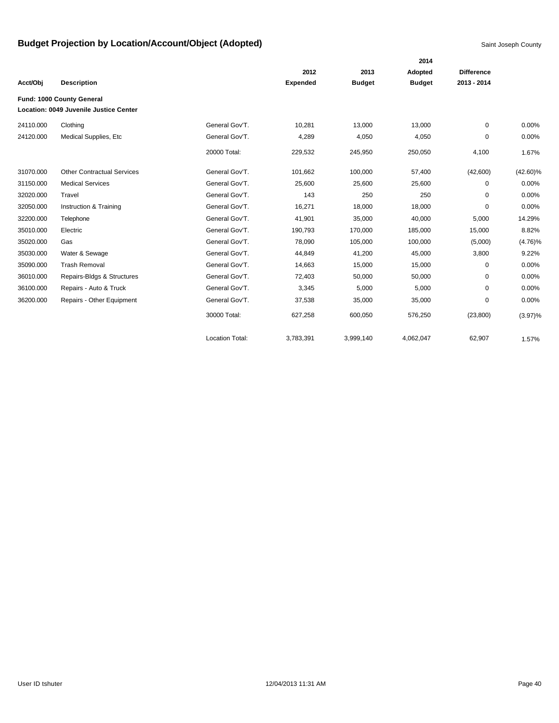|           |                                        |                        |                 |               | 2014          |                   |             |
|-----------|----------------------------------------|------------------------|-----------------|---------------|---------------|-------------------|-------------|
|           |                                        |                        | 2012            | 2013          | Adopted       | <b>Difference</b> |             |
| Acct/Obj  | <b>Description</b>                     |                        | <b>Expended</b> | <b>Budget</b> | <b>Budget</b> | 2013 - 2014       |             |
|           | Fund: 1000 County General              |                        |                 |               |               |                   |             |
|           | Location: 0049 Juvenile Justice Center |                        |                 |               |               |                   |             |
| 24110.000 | Clothing                               | General Gov'T.         | 10,281          | 13,000        | 13,000        | 0                 | 0.00%       |
| 24120.000 | Medical Supplies, Etc                  | General Gov'T.         | 4,289           | 4,050         | 4,050         | 0                 | 0.00%       |
|           |                                        | 20000 Total:           | 229,532         | 245,950       | 250,050       | 4,100             | 1.67%       |
| 31070.000 | <b>Other Contractual Services</b>      | General Gov'T.         | 101,662         | 100,000       | 57,400        | (42,600)          | $(42.60)\%$ |
| 31150.000 | <b>Medical Services</b>                | General Gov'T.         | 25,600          | 25,600        | 25,600        | 0                 | 0.00%       |
| 32020.000 | Travel                                 | General Gov'T.         | 143             | 250           | 250           | $\mathbf 0$       | 0.00%       |
| 32050.000 | Instruction & Training                 | General Gov'T.         | 16,271          | 18,000        | 18,000        | $\Omega$          | 0.00%       |
| 32200.000 | Telephone                              | General Gov'T.         | 41,901          | 35,000        | 40,000        | 5,000             | 14.29%      |
| 35010.000 | Electric                               | General Gov'T.         | 190,793         | 170,000       | 185,000       | 15,000            | 8.82%       |
| 35020.000 | Gas                                    | General Gov'T.         | 78,090          | 105,000       | 100,000       | (5,000)           | $(4.76)\%$  |
| 35030.000 | Water & Sewage                         | General Gov'T.         | 44,849          | 41,200        | 45,000        | 3,800             | 9.22%       |
| 35090.000 | <b>Trash Removal</b>                   | General Gov'T.         | 14,663          | 15,000        | 15,000        | 0                 | 0.00%       |
| 36010.000 | Repairs-Bldgs & Structures             | General Gov'T.         | 72,403          | 50,000        | 50,000        | 0                 | 0.00%       |
| 36100.000 | Repairs - Auto & Truck                 | General Gov'T.         | 3,345           | 5,000         | 5,000         | 0                 | 0.00%       |
| 36200.000 | Repairs - Other Equipment              | General Gov'T.         | 37,538          | 35,000        | 35,000        | 0                 | 0.00%       |
|           |                                        | 30000 Total:           | 627,258         | 600,050       | 576,250       | (23, 800)         | $(3.97)\%$  |
|           |                                        | <b>Location Total:</b> | 3,783,391       | 3,999,140     | 4,062,047     | 62,907            | 1.57%       |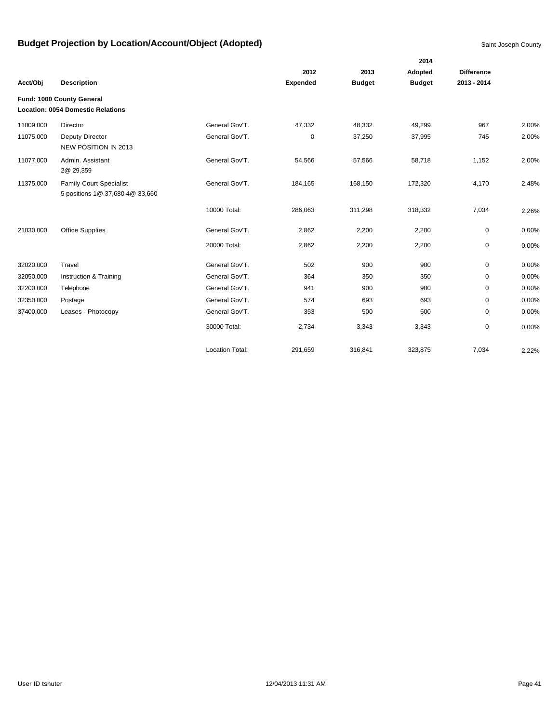|           |                                                                   |                        |                 |               | 2014          |                   |       |
|-----------|-------------------------------------------------------------------|------------------------|-----------------|---------------|---------------|-------------------|-------|
|           |                                                                   |                        | 2012            | 2013          | Adopted       | <b>Difference</b> |       |
| Acct/Obj  | <b>Description</b>                                                |                        | <b>Expended</b> | <b>Budget</b> | <b>Budget</b> | 2013 - 2014       |       |
|           | Fund: 1000 County General                                         |                        |                 |               |               |                   |       |
|           | <b>Location: 0054 Domestic Relations</b>                          |                        |                 |               |               |                   |       |
| 11009.000 | Director                                                          | General Gov'T.         | 47,332          | 48,332        | 49,299        | 967               | 2.00% |
| 11075.000 | Deputy Director<br>NEW POSITION IN 2013                           | General Gov'T.         | 0               | 37,250        | 37,995        | 745               | 2.00% |
| 11077.000 | Admin. Assistant<br>2@ 29,359                                     | General Gov'T.         | 54,566          | 57,566        | 58,718        | 1,152             | 2.00% |
| 11375.000 | <b>Family Court Specialist</b><br>5 positions 1@ 37,680 4@ 33,660 | General Gov'T.         | 184,165         | 168,150       | 172,320       | 4,170             | 2.48% |
|           |                                                                   | 10000 Total:           | 286,063         | 311,298       | 318,332       | 7,034             | 2.26% |
| 21030.000 | <b>Office Supplies</b>                                            | General Gov'T.         | 2,862           | 2,200         | 2,200         | 0                 | 0.00% |
|           |                                                                   | 20000 Total:           | 2,862           | 2,200         | 2,200         | 0                 | 0.00% |
| 32020.000 | Travel                                                            | General Gov'T.         | 502             | 900           | 900           | 0                 | 0.00% |
| 32050.000 | Instruction & Training                                            | General Gov'T.         | 364             | 350           | 350           | 0                 | 0.00% |
| 32200.000 | Telephone                                                         | General Gov'T.         | 941             | 900           | 900           | $\mathbf 0$       | 0.00% |
| 32350.000 | Postage                                                           | General Gov'T.         | 574             | 693           | 693           | 0                 | 0.00% |
| 37400.000 | Leases - Photocopy                                                | General Gov'T.         | 353             | 500           | 500           | 0                 | 0.00% |
|           |                                                                   | 30000 Total:           | 2,734           | 3,343         | 3,343         | 0                 | 0.00% |
|           |                                                                   | <b>Location Total:</b> | 291,659         | 316,841       | 323,875       | 7,034             | 2.22% |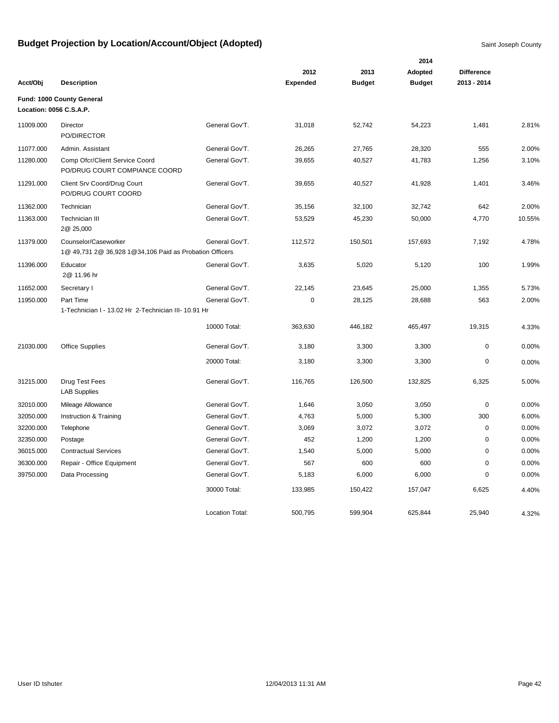|           |                                                                                 |                        |                 |               | 2014          |                   |        |
|-----------|---------------------------------------------------------------------------------|------------------------|-----------------|---------------|---------------|-------------------|--------|
|           |                                                                                 |                        | 2012            | 2013          | Adopted       | <b>Difference</b> |        |
| Acct/Obj  | <b>Description</b>                                                              |                        | <b>Expended</b> | <b>Budget</b> | <b>Budget</b> | 2013 - 2014       |        |
|           | Fund: 1000 County General<br>Location: 0056 C.S.A.P.                            |                        |                 |               |               |                   |        |
| 11009.000 | Director<br>PO/DIRECTOR                                                         | General Gov'T.         | 31,018          | 52,742        | 54,223        | 1,481             | 2.81%  |
| 11077.000 | Admin. Assistant                                                                | General Gov'T.         | 26,265          | 27,765        | 28,320        | 555               | 2.00%  |
| 11280.000 | Comp Ofcr/Client Service Coord<br>PO/DRUG COURT COMPIANCE COORD                 | General Gov'T.         | 39,655          | 40,527        | 41,783        | 1,256             | 3.10%  |
| 11291.000 | Client Srv Coord/Drug Court<br>PO/DRUG COURT COORD                              | General Gov'T.         | 39,655          | 40,527        | 41,928        | 1,401             | 3.46%  |
| 11362.000 | Technician                                                                      | General Gov'T.         | 35,156          | 32,100        | 32,742        | 642               | 2.00%  |
| 11363.000 | Technician III<br>2@ 25,000                                                     | General Gov'T.         | 53,529          | 45,230        | 50,000        | 4,770             | 10.55% |
| 11379.000 | Counselor/Caseworker<br>1@ 49,731 2@ 36,928 1@34,106 Paid as Probation Officers | General Gov'T.         | 112,572         | 150,501       | 157,693       | 7,192             | 4.78%  |
| 11396.000 | Educator<br>2@ 11.96 hr                                                         | General Gov'T.         | 3,635           | 5,020         | 5,120         | 100               | 1.99%  |
| 11652.000 | Secretary I                                                                     | General Gov'T.         | 22,145          | 23,645        | 25,000        | 1,355             | 5.73%  |
| 11950.000 | Part Time<br>1-Technician I - 13.02 Hr 2-Technician III- 10.91 Hr               | General Gov'T.         | $\mathbf 0$     | 28,125        | 28,688        | 563               | 2.00%  |
|           |                                                                                 | 10000 Total:           | 363,630         | 446,182       | 465,497       | 19,315            | 4.33%  |
| 21030.000 | <b>Office Supplies</b>                                                          | General Gov'T.         | 3,180           | 3,300         | 3,300         | 0                 | 0.00%  |
|           |                                                                                 | 20000 Total:           | 3,180           | 3,300         | 3,300         | $\mathbf 0$       | 0.00%  |
| 31215.000 | Drug Test Fees<br><b>LAB Supplies</b>                                           | General Gov'T.         | 116,765         | 126,500       | 132,825       | 6,325             | 5.00%  |
| 32010.000 | Mileage Allowance                                                               | General Gov'T.         | 1,646           | 3,050         | 3,050         | $\mathbf 0$       | 0.00%  |
| 32050.000 | Instruction & Training                                                          | General Gov'T.         | 4,763           | 5,000         | 5,300         | 300               | 6.00%  |
| 32200.000 | Telephone                                                                       | General Gov'T.         | 3,069           | 3,072         | 3,072         | $\mathbf 0$       | 0.00%  |
| 32350.000 | Postage                                                                         | General Gov'T.         | 452             | 1,200         | 1,200         | $\mathsf 0$       | 0.00%  |
| 36015.000 | <b>Contractual Services</b>                                                     | General Gov'T.         | 1,540           | 5,000         | 5,000         | 0                 | 0.00%  |
| 36300.000 | Repair - Office Equipment                                                       | General Gov'T.         | 567             | 600           | 600           | $\mathbf 0$       | 0.00%  |
| 39750.000 | Data Processing                                                                 | General Gov'T.         | 5,183           | 6,000         | 6,000         | 0                 | 0.00%  |
|           |                                                                                 | 30000 Total:           | 133,985         | 150,422       | 157,047       | 6,625             | 4.40%  |
|           |                                                                                 | <b>Location Total:</b> | 500,795         | 599,904       | 625,844       | 25,940            | 4.32%  |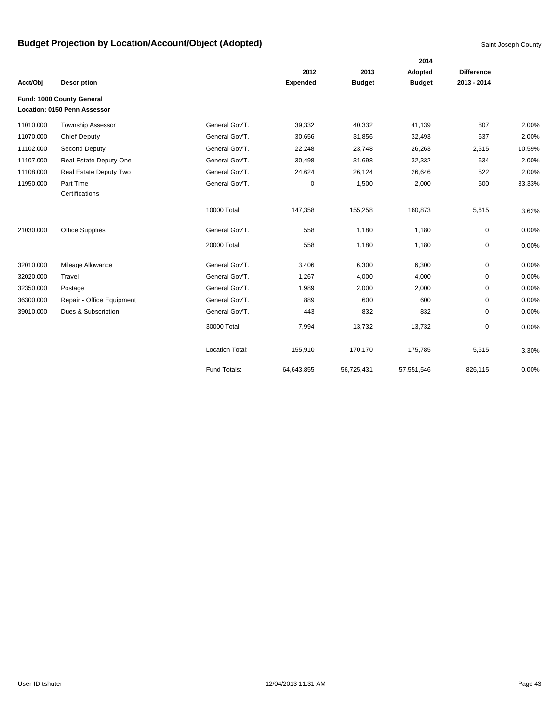|           |                                     |                        |                 |               | 2014          |                   |        |
|-----------|-------------------------------------|------------------------|-----------------|---------------|---------------|-------------------|--------|
|           |                                     |                        | 2012            | 2013          | Adopted       | <b>Difference</b> |        |
| Acct/Obj  | <b>Description</b>                  |                        | <b>Expended</b> | <b>Budget</b> | <b>Budget</b> | 2013 - 2014       |        |
|           | Fund: 1000 County General           |                        |                 |               |               |                   |        |
|           | <b>Location: 0150 Penn Assessor</b> |                        |                 |               |               |                   |        |
| 11010.000 | <b>Township Assessor</b>            | General Gov'T.         | 39,332          | 40,332        | 41,139        | 807               | 2.00%  |
| 11070.000 | <b>Chief Deputy</b>                 | General Gov'T.         | 30,656          | 31,856        | 32,493        | 637               | 2.00%  |
| 11102.000 | Second Deputy                       | General Gov'T.         | 22,248          | 23,748        | 26,263        | 2,515             | 10.59% |
| 11107.000 | Real Estate Deputy One              | General Gov'T.         | 30,498          | 31,698        | 32,332        | 634               | 2.00%  |
| 11108.000 | Real Estate Deputy Two              | General Gov'T.         | 24,624          | 26,124        | 26,646        | 522               | 2.00%  |
| 11950.000 | Part Time                           | General Gov'T.         | 0               | 1,500         | 2,000         | 500               | 33.33% |
|           | Certifications                      |                        |                 |               |               |                   |        |
|           |                                     | 10000 Total:           | 147,358         | 155,258       | 160,873       | 5,615             | 3.62%  |
| 21030.000 | <b>Office Supplies</b>              | General Gov'T.         | 558             | 1,180         | 1,180         | 0                 | 0.00%  |
|           |                                     | 20000 Total:           | 558             | 1,180         | 1,180         | 0                 | 0.00%  |
| 32010.000 | Mileage Allowance                   | General Gov'T.         | 3,406           | 6,300         | 6,300         | 0                 | 0.00%  |
| 32020.000 | Travel                              | General Gov'T.         | 1,267           | 4,000         | 4,000         | 0                 | 0.00%  |
| 32350.000 | Postage                             | General Gov'T.         | 1,989           | 2,000         | 2,000         | 0                 | 0.00%  |
| 36300.000 | Repair - Office Equipment           | General Gov'T.         | 889             | 600           | 600           | 0                 | 0.00%  |
| 39010.000 | Dues & Subscription                 | General Gov'T.         | 443             | 832           | 832           | 0                 | 0.00%  |
|           |                                     | 30000 Total:           | 7,994           | 13,732        | 13,732        | 0                 | 0.00%  |
|           |                                     | <b>Location Total:</b> | 155,910         | 170,170       | 175,785       | 5,615             | 3.30%  |
|           |                                     | Fund Totals:           | 64,643,855      | 56,725,431    | 57,551,546    | 826,115           | 0.00%  |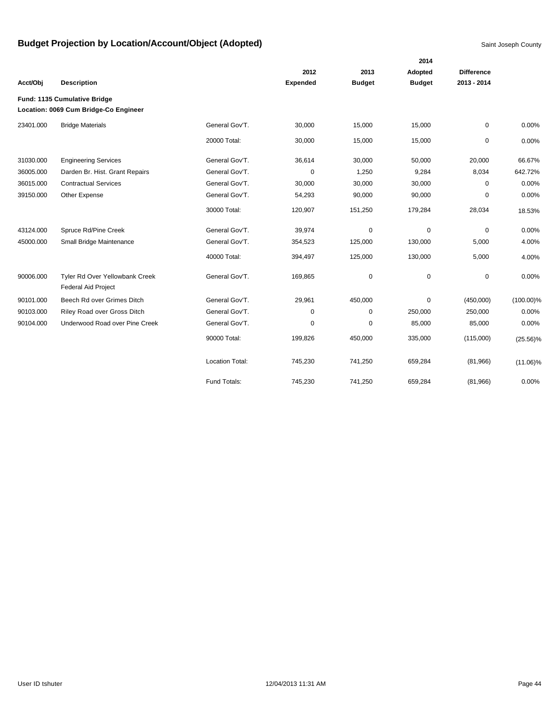|           |                                                                       |                        |                 |               | 2014          |                   |              |
|-----------|-----------------------------------------------------------------------|------------------------|-----------------|---------------|---------------|-------------------|--------------|
|           |                                                                       |                        | 2012            | 2013          | Adopted       | <b>Difference</b> |              |
| Acct/Obj  | <b>Description</b>                                                    |                        | <b>Expended</b> | <b>Budget</b> | <b>Budget</b> | 2013 - 2014       |              |
|           | Fund: 1135 Cumulative Bridge<br>Location: 0069 Cum Bridge-Co Engineer |                        |                 |               |               |                   |              |
| 23401.000 | <b>Bridge Materials</b>                                               | General Gov'T.         | 30,000          | 15,000        | 15,000        | $\mathbf 0$       | 0.00%        |
|           |                                                                       | 20000 Total:           | 30,000          | 15,000        | 15,000        | 0                 | 0.00%        |
| 31030.000 | <b>Engineering Services</b>                                           | General Gov'T.         | 36,614          | 30,000        | 50,000        | 20,000            | 66.67%       |
| 36005.000 | Darden Br. Hist. Grant Repairs                                        | General Gov'T.         | 0               | 1,250         | 9,284         | 8,034             | 642.72%      |
| 36015.000 | <b>Contractual Services</b>                                           | General Gov'T.         | 30,000          | 30,000        | 30,000        | 0                 | 0.00%        |
| 39150.000 | Other Expense                                                         | General Gov'T.         | 54,293          | 90,000        | 90,000        | 0                 | 0.00%        |
|           |                                                                       | 30000 Total:           | 120,907         | 151,250       | 179,284       | 28,034            | 18.53%       |
| 43124.000 | Spruce Rd/Pine Creek                                                  | General Gov'T.         | 39,974          | $\mathbf 0$   | $\Omega$      | $\mathbf 0$       | 0.00%        |
| 45000.000 | Small Bridge Maintenance                                              | General Gov'T.         | 354,523         | 125,000       | 130,000       | 5,000             | 4.00%        |
|           |                                                                       | 40000 Total:           | 394,497         | 125,000       | 130,000       | 5,000             | 4.00%        |
| 90006.000 | Tyler Rd Over Yellowbank Creek<br><b>Federal Aid Project</b>          | General Gov'T.         | 169,865         | $\mathbf 0$   | $\mathbf 0$   | $\mathbf 0$       | 0.00%        |
| 90101.000 | Beech Rd over Grimes Ditch                                            | General Gov'T.         | 29,961          | 450,000       | $\mathbf 0$   | (450,000)         | $(100.00)\%$ |
| 90103.000 | Riley Road over Gross Ditch                                           | General Gov'T.         | 0               | 0             | 250,000       | 250,000           | 0.00%        |
| 90104.000 | Underwood Road over Pine Creek                                        | General Gov'T.         | 0               | 0             | 85,000        | 85,000            | 0.00%        |
|           |                                                                       | 90000 Total:           | 199,826         | 450,000       | 335,000       | (115,000)         | $(25.56)\%$  |
|           |                                                                       | <b>Location Total:</b> | 745,230         | 741,250       | 659,284       | (81,966)          | $(11.06)\%$  |
|           |                                                                       | Fund Totals:           | 745,230         | 741,250       | 659,284       | (81,966)          | 0.00%        |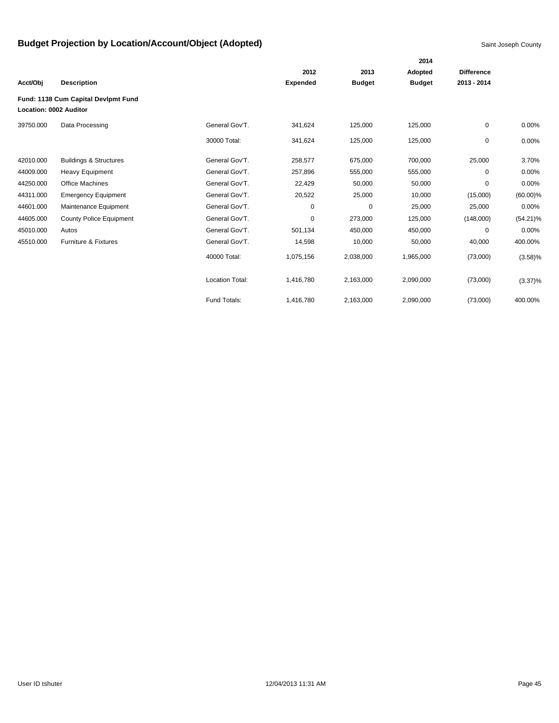|                        |                                     |                        |                 |               | 2014          |                   |             |
|------------------------|-------------------------------------|------------------------|-----------------|---------------|---------------|-------------------|-------------|
|                        |                                     |                        | 2012            | 2013          | Adopted       | <b>Difference</b> |             |
| Acct/Obj               | <b>Description</b>                  |                        | <b>Expended</b> | <b>Budget</b> | <b>Budget</b> | 2013 - 2014       |             |
| Location: 0002 Auditor | Fund: 1138 Cum Capital Devlpmt Fund |                        |                 |               |               |                   |             |
| 39750.000              | Data Processing                     | General Gov'T.         | 341,624         | 125,000       | 125,000       | 0                 | 0.00%       |
|                        |                                     | 30000 Total:           | 341,624         | 125,000       | 125,000       | 0                 | 0.00%       |
| 42010.000              | <b>Buildings &amp; Structures</b>   | General Gov'T.         | 258,577         | 675,000       | 700,000       | 25,000            | 3.70%       |
| 44009.000              | <b>Heavy Equipment</b>              | General Gov'T.         | 257,896         | 555,000       | 555,000       | 0                 | 0.00%       |
| 44250.000              | <b>Office Machines</b>              | General Gov'T.         | 22,429          | 50,000        | 50,000        | 0                 | 0.00%       |
| 44311.000              | <b>Emergency Equipment</b>          | General Gov'T.         | 20,522          | 25,000        | 10,000        | (15,000)          | $(60.00)\%$ |
| 44601.000              | Maintenance Equipment               | General Gov'T.         | 0               | 0             | 25,000        | 25,000            | 0.00%       |
| 44605.000              | <b>County Police Equipment</b>      | General Gov'T.         | 0               | 273,000       | 125,000       | (148,000)         | $(54.21)\%$ |
| 45010.000              | Autos                               | General Gov'T.         | 501,134         | 450,000       | 450,000       | 0                 | 0.00%       |
| 45510.000              | Furniture & Fixtures                | General Gov'T.         | 14,598          | 10,000        | 50,000        | 40,000            | 400.00%     |
|                        |                                     | 40000 Total:           | 1,075,156       | 2,038,000     | 1,965,000     | (73,000)          | $(3.58)\%$  |
|                        |                                     | <b>Location Total:</b> | 1,416,780       | 2,163,000     | 2,090,000     | (73,000)          | $(3.37)\%$  |
|                        |                                     | Fund Totals:           | 1,416,780       | 2,163,000     | 2,090,000     | (73,000)          | 400.00%     |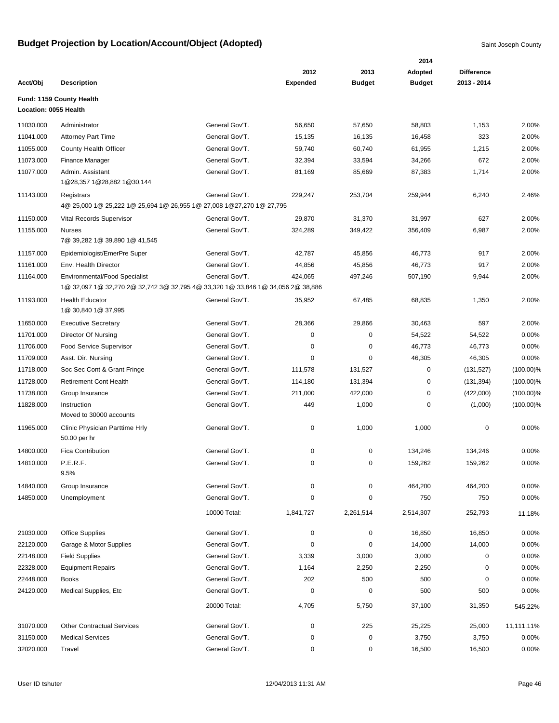|                       |                                                                                     |                |                 |               | 2014          |                   |              |
|-----------------------|-------------------------------------------------------------------------------------|----------------|-----------------|---------------|---------------|-------------------|--------------|
|                       |                                                                                     |                | 2012            | 2013          | Adopted       | <b>Difference</b> |              |
| Acct/Obi              | <b>Description</b>                                                                  |                | <b>Expended</b> | <b>Budget</b> | <b>Budget</b> | 2013 - 2014       |              |
|                       | Fund: 1159 County Health                                                            |                |                 |               |               |                   |              |
| Location: 0055 Health |                                                                                     |                |                 |               |               |                   |              |
| 11030.000             | Administrator                                                                       | General Gov'T. | 56,650          | 57,650        | 58,803        | 1,153             | 2.00%        |
| 11041.000             | <b>Attorney Part Time</b>                                                           | General Gov'T. | 15,135          | 16,135        | 16,458        | 323               | 2.00%        |
| 11055.000             | County Health Officer                                                               | General Gov'T. | 59,740          | 60,740        | 61,955        | 1,215             | 2.00%        |
| 11073.000             | Finance Manager                                                                     | General Gov'T. | 32,394          | 33,594        | 34,266        | 672               | 2.00%        |
| 11077.000             | Admin. Assistant<br>1@28,357 1@28,882 1@30,144                                      | General Gov'T. | 81,169          | 85,669        | 87,383        | 1,714             | 2.00%        |
| 11143.000             | Registrars<br>4@ 25,000 1@ 25,222 1@ 25,694 1@ 26,955 1@ 27,008 1@ 27,270 1@ 27,795 | General Gov'T. | 229,247         | 253,704       | 259,944       | 6,240             | 2.46%        |
| 11150.000             | Vital Records Supervisor                                                            | General Gov'T. | 29,870          | 31,370        | 31,997        | 627               | 2.00%        |
| 11155.000             | <b>Nurses</b>                                                                       | General Gov'T. | 324,289         | 349,422       | 356,409       | 6,987             | 2.00%        |
|                       | 7@ 39,282 1@ 39,890 1@ 41,545                                                       |                |                 |               |               |                   |              |
| 11157.000             | Epidemiologist/EmerPre Super                                                        | General Gov'T. | 42,787          | 45,856        | 46,773        | 917               | 2.00%        |
| 11161.000             | Env. Health Director                                                                | General Gov'T. | 44,856          | 45,856        | 46,773        | 917               | 2.00%        |
| 11164.000             | <b>Environmental/Food Specialist</b>                                                | General Gov'T. | 424,065         | 497,246       | 507,190       | 9,944             | 2.00%        |
|                       | 1@ 32,097 1@ 32,270 2@ 32,742 3@ 32,795 4@ 33,320 1@ 33,846 1@ 34,056 2@ 38,886     |                |                 |               |               |                   |              |
| 11193.000             | <b>Health Educator</b><br>1@ 30,840 1@ 37,995                                       | General Gov'T. | 35,952          | 67,485        | 68,835        | 1,350             | 2.00%        |
| 11650.000             | <b>Executive Secretary</b>                                                          | General Gov'T. | 28,366          | 29,866        | 30,463        | 597               | 2.00%        |
| 11701.000             | Director Of Nursing                                                                 | General Gov'T. | 0               | 0             | 54,522        | 54,522            | 0.00%        |
| 11706.000             | <b>Food Service Supervisor</b>                                                      | General Gov'T. | 0               | 0             | 46,773        | 46,773            | 0.00%        |
| 11709.000             | Asst. Dir. Nursing                                                                  | General Gov'T. | 0               | 0             | 46,305        | 46,305            | 0.00%        |
| 11718.000             | Soc Sec Cont & Grant Fringe                                                         | General Gov'T. | 111,578         | 131,527       | 0             | (131, 527)        | $(100.00)\%$ |
| 11728.000             | <b>Retirement Cont Health</b>                                                       | General Gov'T. | 114,180         | 131,394       | 0             | (131, 394)        | $(100.00)\%$ |
| 11738.000             | Group Insurance                                                                     | General Gov'T. | 211,000         | 422,000       | 0             | (422,000)         | $(100.00)\%$ |
| 11828.000             | Instruction<br>Moved to 30000 accounts                                              | General Gov'T. | 449             | 1,000         | $\mathbf 0$   | (1,000)           | $(100.00)\%$ |
| 11965.000             | Clinic Physician Parttime Hrly<br>50.00 per hr                                      | General Gov'T. | 0               | 1,000         | 1,000         | 0                 | 0.00%        |
| 14800.000             | <b>Fica Contribution</b>                                                            | General Gov'T. | 0               | 0             | 134,246       | 134,246           | 0.00%        |
| 14810.000             | P.E.R.F.<br>9.5%                                                                    | General Gov'T. | 0               | 0             | 159,262       | 159,262           | 0.00%        |
| 14840.000             | Group Insurance                                                                     | General Gov'T. | 0               | 0             | 464,200       | 464,200           | 0.00%        |
| 14850.000             | Unemployment                                                                        | General Gov'T. | 0               | 0             | 750           | 750               | 0.00%        |
|                       |                                                                                     | 10000 Total:   | 1,841,727       | 2,261,514     | 2,514,307     | 252,793           | 11.18%       |
| 21030.000             | <b>Office Supplies</b>                                                              | General Gov'T. | 0               | 0             | 16,850        | 16,850            | 0.00%        |
| 22120.000             | Garage & Motor Supplies                                                             | General Gov'T. | 0               | 0             | 14,000        | 14,000            | 0.00%        |
| 22148.000             | <b>Field Supplies</b>                                                               | General Gov'T. | 3,339           | 3,000         | 3,000         | 0                 | 0.00%        |
| 22328.000             | <b>Equipment Repairs</b>                                                            | General Gov'T. | 1,164           | 2,250         | 2,250         | $\pmb{0}$         | 0.00%        |
| 22448.000             | <b>Books</b>                                                                        | General Gov'T. | 202             | 500           | 500           | $\pmb{0}$         | 0.00%        |
| 24120.000             | Medical Supplies, Etc                                                               | General Gov'T. | 0               | 0             | 500           | 500               | 0.00%        |
|                       |                                                                                     | 20000 Total:   | 4,705           | 5,750         | 37,100        | 31,350            | 545.22%      |
| 31070.000             | <b>Other Contractual Services</b>                                                   | General Gov'T. | 0               | 225           | 25,225        | 25,000            | 11,111.11%   |
| 31150.000             | <b>Medical Services</b>                                                             | General Gov'T. | 0               | $\pmb{0}$     | 3,750         | 3,750             | 0.00%        |
| 32020.000             | Travel                                                                              | General Gov'T. | 0               | 0             | 16,500        | 16,500            | 0.00%        |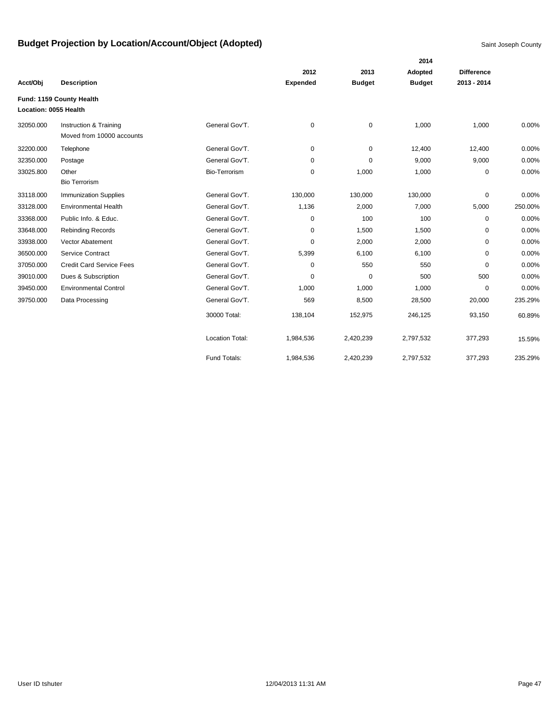|                       |                                 |                        |                 |               | 2014          |                   |         |
|-----------------------|---------------------------------|------------------------|-----------------|---------------|---------------|-------------------|---------|
|                       |                                 |                        | 2012            | 2013          | Adopted       | <b>Difference</b> |         |
| Acct/Obj              | <b>Description</b>              |                        | <b>Expended</b> | <b>Budget</b> | <b>Budget</b> | 2013 - 2014       |         |
|                       | Fund: 1159 County Health        |                        |                 |               |               |                   |         |
| Location: 0055 Health |                                 |                        |                 |               |               |                   |         |
| 32050.000             | Instruction & Training          | General Gov'T.         | 0               | $\pmb{0}$     | 1,000         | 1,000             | 0.00%   |
|                       | Moved from 10000 accounts       |                        |                 |               |               |                   |         |
| 32200.000             | Telephone                       | General Gov'T.         | 0               | $\mathbf 0$   | 12,400        | 12,400            | 0.00%   |
| 32350.000             | Postage                         | General Gov'T.         | 0               | 0             | 9,000         | 9,000             | 0.00%   |
| 33025.800             | Other                           | Bio-Terrorism          | 0               | 1,000         | 1,000         | 0                 | 0.00%   |
|                       | <b>Bio Terrorism</b>            |                        |                 |               |               |                   |         |
| 33118.000             | <b>Immunization Supplies</b>    | General Gov'T.         | 130,000         | 130,000       | 130,000       | $\mathbf 0$       | 0.00%   |
| 33128.000             | <b>Environmental Health</b>     | General Gov'T.         | 1,136           | 2,000         | 7,000         | 5,000             | 250.00% |
| 33368.000             | Public Info. & Educ.            | General Gov'T.         | 0               | 100           | 100           | 0                 | 0.00%   |
| 33648.000             | <b>Rebinding Records</b>        | General Gov'T.         | 0               | 1,500         | 1,500         | 0                 | 0.00%   |
| 33938.000             | Vector Abatement                | General Gov'T.         | 0               | 2,000         | 2,000         | 0                 | 0.00%   |
| 36500.000             | Service Contract                | General Gov'T.         | 5,399           | 6,100         | 6,100         | 0                 | 0.00%   |
| 37050.000             | <b>Credit Card Service Fees</b> | General Gov'T.         | $\mathbf 0$     | 550           | 550           | $\mathbf 0$       | 0.00%   |
| 39010.000             | Dues & Subscription             | General Gov'T.         | 0               | $\mathbf 0$   | 500           | 500               | 0.00%   |
| 39450.000             | <b>Environmental Control</b>    | General Gov'T.         | 1,000           | 1,000         | 1,000         | 0                 | 0.00%   |
| 39750.000             | Data Processing                 | General Gov'T.         | 569             | 8,500         | 28,500        | 20,000            | 235.29% |
|                       |                                 | 30000 Total:           | 138,104         | 152,975       | 246,125       | 93,150            | 60.89%  |
|                       |                                 | <b>Location Total:</b> | 1,984,536       | 2,420,239     | 2,797,532     | 377,293           | 15.59%  |
|                       |                                 | Fund Totals:           | 1,984,536       | 2,420,239     | 2,797,532     | 377,293           | 235.29% |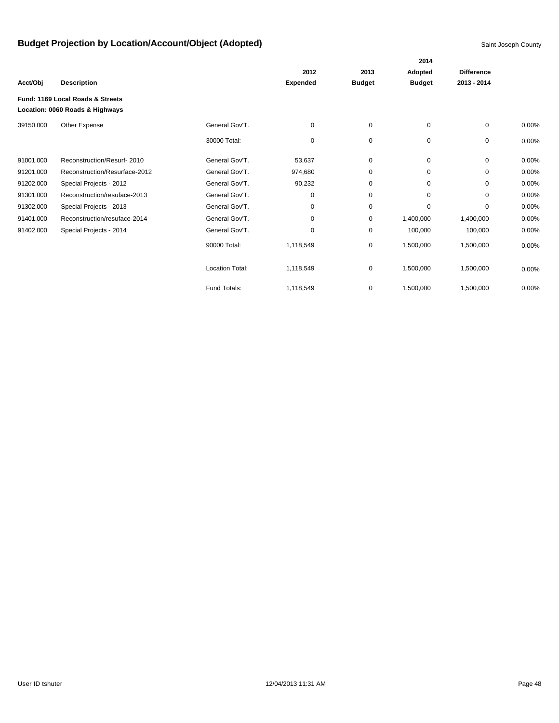|           |                                  |                        |                 |               | 2014          |                   |       |
|-----------|----------------------------------|------------------------|-----------------|---------------|---------------|-------------------|-------|
|           |                                  |                        | 2012            | 2013          | Adopted       | <b>Difference</b> |       |
| Acct/Obj  | <b>Description</b>               |                        | <b>Expended</b> | <b>Budget</b> | <b>Budget</b> | 2013 - 2014       |       |
|           | Fund: 1169 Local Roads & Streets |                        |                 |               |               |                   |       |
|           | Location: 0060 Roads & Highways  |                        |                 |               |               |                   |       |
| 39150.000 | Other Expense                    | General Gov'T.         | 0               | 0             | $\mathbf 0$   | 0                 | 0.00% |
|           |                                  | 30000 Total:           | 0               | $\mathbf 0$   | 0             | 0                 | 0.00% |
| 91001.000 | Reconstruction/Resurf-2010       | General Gov'T.         | 53,637          | 0             | 0             | $\mathbf 0$       | 0.00% |
| 91201.000 | Reconstruction/Resurface-2012    | General Gov'T.         | 974,680         | 0             | 0             | 0                 | 0.00% |
| 91202.000 | Special Projects - 2012          | General Gov'T.         | 90,232          | 0             | 0             | $\Omega$          | 0.00% |
| 91301.000 | Reconstruction/resuface-2013     | General Gov'T.         | 0               | 0             | 0             | 0                 | 0.00% |
| 91302.000 | Special Projects - 2013          | General Gov'T.         | 0               | $\mathbf 0$   | 0             | $\Omega$          | 0.00% |
| 91401.000 | Reconstruction/resuface-2014     | General Gov'T.         | 0               | 0             | 1,400,000     | 1,400,000         | 0.00% |
| 91402.000 | Special Projects - 2014          | General Gov'T.         | 0               | $\mathbf 0$   | 100,000       | 100,000           | 0.00% |
|           |                                  | 90000 Total:           | 1,118,549       | $\pmb{0}$     | 1,500,000     | 1,500,000         | 0.00% |
|           |                                  | <b>Location Total:</b> | 1,118,549       | 0             | 1,500,000     | 1,500,000         | 0.00% |
|           |                                  | Fund Totals:           | 1,118,549       | 0             | 1,500,000     | 1,500,000         | 0.00% |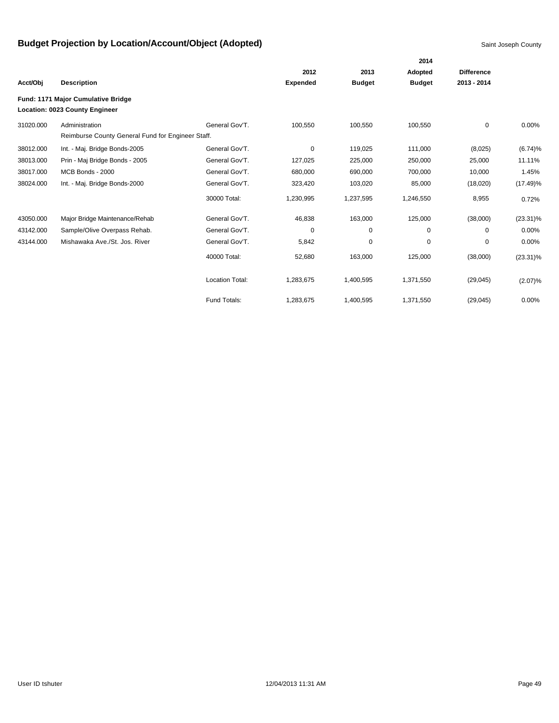|           |                                                                             |                        |                 |               | 2014          |                   |             |
|-----------|-----------------------------------------------------------------------------|------------------------|-----------------|---------------|---------------|-------------------|-------------|
|           |                                                                             |                        | 2012            | 2013          | Adopted       | <b>Difference</b> |             |
| Acct/Obj  | <b>Description</b>                                                          |                        | <b>Expended</b> | <b>Budget</b> | <b>Budget</b> | 2013 - 2014       |             |
|           | Fund: 1171 Major Cumulative Bridge<br><b>Location: 0023 County Engineer</b> |                        |                 |               |               |                   |             |
| 31020.000 | Administration                                                              | General Gov'T.         | 100,550         | 100,550       | 100,550       | 0                 | 0.00%       |
|           | Reimburse County General Fund for Engineer Staff.                           |                        |                 |               |               |                   |             |
| 38012.000 | Int. - Maj. Bridge Bonds-2005                                               | General Gov'T.         | 0               | 119,025       | 111,000       | (8,025)           | (6.74)%     |
| 38013.000 | Prin - Maj Bridge Bonds - 2005                                              | General Gov'T.         | 127,025         | 225,000       | 250,000       | 25,000            | 11.11%      |
| 38017.000 | MCB Bonds - 2000                                                            | General Gov'T.         | 680,000         | 690,000       | 700,000       | 10,000            | 1.45%       |
| 38024.000 | Int. - Maj. Bridge Bonds-2000                                               | General Gov'T.         | 323,420         | 103,020       | 85,000        | (18,020)          | $(17.49)\%$ |
|           |                                                                             | 30000 Total:           | 1,230,995       | 1,237,595     | 1,246,550     | 8,955             | 0.72%       |
| 43050.000 | Major Bridge Maintenance/Rehab                                              | General Gov'T.         | 46,838          | 163,000       | 125,000       | (38,000)          | $(23.31)\%$ |
| 43142.000 | Sample/Olive Overpass Rehab.                                                | General Gov'T.         | 0               | 0             | 0             | 0                 | 0.00%       |
| 43144.000 | Mishawaka Ave./St. Jos. River                                               | General Gov'T.         | 5,842           | 0             | 0             | 0                 | 0.00%       |
|           |                                                                             | 40000 Total:           | 52,680          | 163,000       | 125,000       | (38,000)          | $(23.31)\%$ |
|           |                                                                             | <b>Location Total:</b> | 1,283,675       | 1,400,595     | 1,371,550     | (29, 045)         | (2.07)%     |
|           |                                                                             | Fund Totals:           | 1,283,675       | 1,400,595     | 1,371,550     | (29, 045)         | 0.00%       |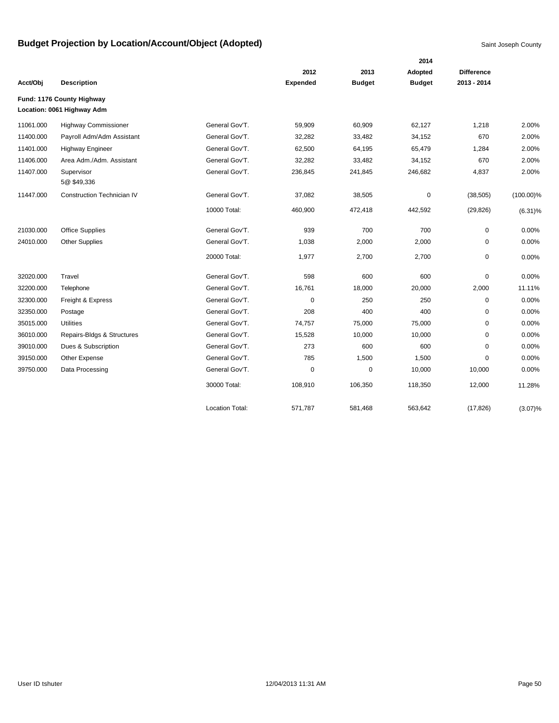|           |                                   |                        |                 |               | 2014          |                   |              |
|-----------|-----------------------------------|------------------------|-----------------|---------------|---------------|-------------------|--------------|
|           |                                   |                        | 2012            | 2013          | Adopted       | <b>Difference</b> |              |
| Acct/Obj  | <b>Description</b>                |                        | <b>Expended</b> | <b>Budget</b> | <b>Budget</b> | 2013 - 2014       |              |
|           | Fund: 1176 County Highway         |                        |                 |               |               |                   |              |
|           | Location: 0061 Highway Adm        |                        |                 |               |               |                   |              |
| 11061.000 | <b>Highway Commissioner</b>       | General Gov'T.         | 59,909          | 60,909        | 62,127        | 1,218             | 2.00%        |
| 11400.000 | Payroll Adm/Adm Assistant         | General Gov'T.         | 32,282          | 33,482        | 34,152        | 670               | 2.00%        |
| 11401.000 | <b>Highway Engineer</b>           | General Gov'T.         | 62,500          | 64,195        | 65,479        | 1,284             | 2.00%        |
| 11406.000 | Area Adm./Adm. Assistant          | General Gov'T.         | 32,282          | 33,482        | 34,152        | 670               | 2.00%        |
| 11407.000 | Supervisor<br>5@\$49,336          | General Gov'T.         | 236,845         | 241,845       | 246,682       | 4,837             | 2.00%        |
| 11447.000 | <b>Construction Technician IV</b> | General Gov'T.         | 37,082          | 38,505        | $\mathbf 0$   | (38, 505)         | $(100.00)\%$ |
|           |                                   | 10000 Total:           | 460,900         | 472,418       | 442,592       | (29, 826)         | $(6.31)\%$   |
| 21030.000 | Office Supplies                   | General Gov'T.         | 939             | 700           | 700           | $\mathbf 0$       | 0.00%        |
| 24010.000 | <b>Other Supplies</b>             | General Gov'T.         | 1,038           | 2,000         | 2,000         | 0                 | 0.00%        |
|           |                                   | 20000 Total:           | 1,977           | 2,700         | 2,700         | $\pmb{0}$         | 0.00%        |
| 32020.000 | Travel                            | General Gov'T.         | 598             | 600           | 600           | $\mathbf 0$       | 0.00%        |
| 32200.000 | Telephone                         | General Gov'T.         | 16,761          | 18,000        | 20,000        | 2,000             | 11.11%       |
| 32300.000 | Freight & Express                 | General Gov'T.         | $\mathbf 0$     | 250           | 250           | $\mathbf 0$       | 0.00%        |
| 32350.000 | Postage                           | General Gov'T.         | 208             | 400           | 400           | 0                 | 0.00%        |
| 35015.000 | Utilities                         | General Gov'T.         | 74,757          | 75,000        | 75,000        | 0                 | 0.00%        |
| 36010.000 | Repairs-Bldgs & Structures        | General Gov'T.         | 15,528          | 10,000        | 10,000        | 0                 | 0.00%        |
| 39010.000 | Dues & Subscription               | General Gov'T.         | 273             | 600           | 600           | $\Omega$          | 0.00%        |
| 39150.000 | Other Expense                     | General Gov'T.         | 785             | 1,500         | 1,500         | $\Omega$          | 0.00%        |
| 39750.000 | Data Processing                   | General Gov'T.         | $\mathbf 0$     | $\mathbf 0$   | 10,000        | 10,000            | 0.00%        |
|           |                                   | 30000 Total:           | 108,910         | 106,350       | 118,350       | 12,000            | 11.28%       |
|           |                                   | <b>Location Total:</b> | 571,787         | 581,468       | 563,642       | (17, 826)         | $(3.07)\%$   |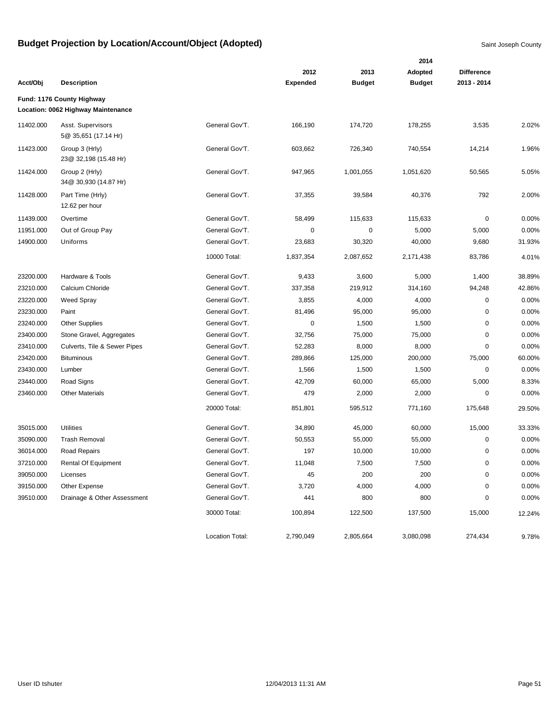|           |                                                                 |                 |                 | 2014          |               |                   |        |  |  |  |  |
|-----------|-----------------------------------------------------------------|-----------------|-----------------|---------------|---------------|-------------------|--------|--|--|--|--|
|           |                                                                 |                 | 2012            | 2013          | Adopted       | <b>Difference</b> |        |  |  |  |  |
| Acct/Obj  | <b>Description</b>                                              |                 | <b>Expended</b> | <b>Budget</b> | <b>Budget</b> | 2013 - 2014       |        |  |  |  |  |
|           | Fund: 1176 County Highway<br>Location: 0062 Highway Maintenance |                 |                 |               |               |                   |        |  |  |  |  |
| 11402.000 | Asst. Supervisors                                               | General Gov'T.  | 166,190         | 174,720       | 178,255       | 3,535             | 2.02%  |  |  |  |  |
|           | 5@ 35,651 (17.14 Hr)                                            |                 |                 |               |               |                   |        |  |  |  |  |
| 11423.000 | Group 3 (Hrly)<br>23@ 32,198 (15.48 Hr)                         | General Gov'T.  | 603,662         | 726,340       | 740,554       | 14,214            | 1.96%  |  |  |  |  |
| 11424.000 | Group 2 (Hrly)<br>34@ 30,930 (14.87 Hr)                         | General Gov'T.  | 947,965         | 1,001,055     | 1,051,620     | 50,565            | 5.05%  |  |  |  |  |
| 11428.000 | Part Time (Hrly)<br>12.62 per hour                              | General Gov'T.  | 37,355          | 39,584        | 40,376        | 792               | 2.00%  |  |  |  |  |
| 11439.000 | Overtime                                                        | General Gov'T.  | 58,499          | 115,633       | 115,633       | 0                 | 0.00%  |  |  |  |  |
| 11951.000 | Out of Group Pay                                                | General Gov'T.  | 0               | 0             | 5,000         | 5,000             | 0.00%  |  |  |  |  |
| 14900.000 | Uniforms                                                        | General Gov'T.  | 23,683          | 30,320        | 40,000        | 9,680             | 31.93% |  |  |  |  |
|           |                                                                 | 10000 Total:    | 1,837,354       | 2,087,652     | 2,171,438     | 83,786            | 4.01%  |  |  |  |  |
| 23200.000 | Hardware & Tools                                                | General Gov'T.  | 9,433           | 3,600         | 5,000         | 1,400             | 38.89% |  |  |  |  |
| 23210.000 | Calcium Chloride                                                | General Gov'T.  | 337,358         | 219,912       | 314,160       | 94,248            | 42.86% |  |  |  |  |
| 23220.000 | Weed Spray                                                      | General Gov'T.  | 3,855           | 4,000         | 4,000         | 0                 | 0.00%  |  |  |  |  |
| 23230.000 | Paint                                                           | General Gov'T.  | 81,496          | 95,000        | 95,000        | 0                 | 0.00%  |  |  |  |  |
| 23240.000 | <b>Other Supplies</b>                                           | General Gov'T.  | 0               | 1,500         | 1,500         | 0                 | 0.00%  |  |  |  |  |
| 23400.000 | Stone Gravel, Aggregates                                        | General Gov'T.  | 32,756          | 75,000        | 75,000        | 0                 | 0.00%  |  |  |  |  |
| 23410.000 | Culverts, Tile & Sewer Pipes                                    | General Gov'T.  | 52,283          | 8,000         | 8,000         | 0                 | 0.00%  |  |  |  |  |
| 23420.000 | <b>Bituminous</b>                                               | General Gov'T.  | 289,866         | 125,000       | 200,000       | 75,000            | 60.00% |  |  |  |  |
| 23430.000 | Lumber                                                          | General Gov'T.  | 1,566           | 1,500         | 1,500         | $\mathbf 0$       | 0.00%  |  |  |  |  |
| 23440.000 | Road Signs                                                      | General Gov'T.  | 42,709          | 60,000        | 65,000        | 5,000             | 8.33%  |  |  |  |  |
| 23460.000 | <b>Other Materials</b>                                          | General Gov'T.  | 479             | 2,000         | 2,000         | $\mathbf 0$       | 0.00%  |  |  |  |  |
|           |                                                                 | 20000 Total:    | 851,801         | 595,512       | 771,160       | 175,648           | 29.50% |  |  |  |  |
| 35015.000 | Utilities                                                       | General Gov'T.  | 34,890          | 45,000        | 60,000        | 15,000            | 33.33% |  |  |  |  |
| 35090.000 | <b>Trash Removal</b>                                            | General Gov'T.  | 50,553          | 55,000        | 55,000        | 0                 | 0.00%  |  |  |  |  |
| 36014.000 | Road Repairs                                                    | General Gov'T.  | 197             | 10,000        | 10,000        | 0                 | 0.00%  |  |  |  |  |
| 37210.000 | Rental Of Equipment                                             | General Gov'T.  | 11,048          | 7,500         | 7,500         | 0                 | 0.00%  |  |  |  |  |
| 39050.000 | Licenses                                                        | General Gov'T.  | 45              | 200           | 200           | $\mathsf 0$       | 0.00%  |  |  |  |  |
| 39150.000 | Other Expense                                                   | General Gov'T.  | 3,720           | 4,000         | 4,000         | 0                 | 0.00%  |  |  |  |  |
| 39510.000 | Drainage & Other Assessment                                     | General Gov'T.  | 441             | 800           | 800           | 0                 | 0.00%  |  |  |  |  |
|           |                                                                 | 30000 Total:    | 100,894         | 122,500       | 137,500       | 15,000            | 12.24% |  |  |  |  |
|           |                                                                 | Location Total: | 2,790,049       | 2,805,664     | 3,080,098     | 274,434           | 9.78%  |  |  |  |  |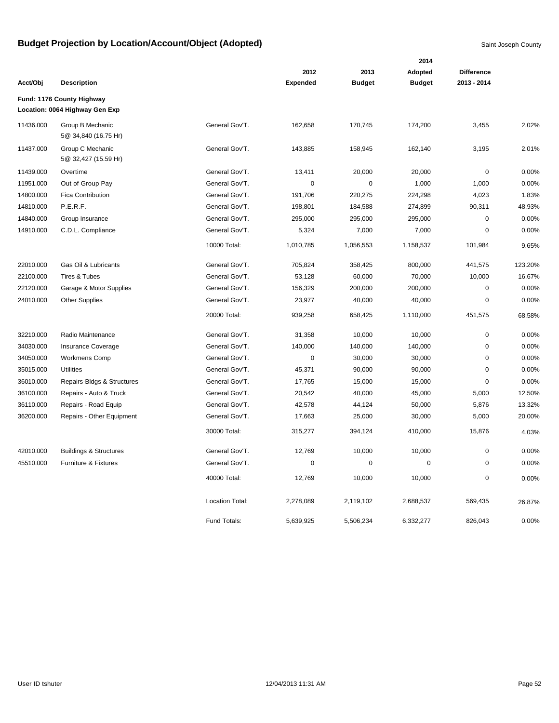|           |                                                             |                        |                 |               | 2014          |                   |         |
|-----------|-------------------------------------------------------------|------------------------|-----------------|---------------|---------------|-------------------|---------|
|           |                                                             |                        | 2012            | 2013          | Adopted       | <b>Difference</b> |         |
| Acct/Obj  | <b>Description</b>                                          |                        | <b>Expended</b> | <b>Budget</b> | <b>Budget</b> | 2013 - 2014       |         |
|           | Fund: 1176 County Highway<br>Location: 0064 Highway Gen Exp |                        |                 |               |               |                   |         |
| 11436.000 | Group B Mechanic<br>5@ 34,840 (16.75 Hr)                    | General Gov'T.         | 162,658         | 170,745       | 174,200       | 3,455             | 2.02%   |
| 11437.000 | Group C Mechanic<br>5@ 32,427 (15.59 Hr)                    | General Gov'T.         | 143,885         | 158,945       | 162,140       | 3,195             | 2.01%   |
| 11439.000 | Overtime                                                    | General Gov'T.         | 13,411          | 20,000        | 20,000        | $\pmb{0}$         | 0.00%   |
| 11951.000 | Out of Group Pay                                            | General Gov'T.         | 0               | $\pmb{0}$     | 1,000         | 1,000             | 0.00%   |
| 14800.000 | <b>Fica Contribution</b>                                    | General Gov'T.         | 191,706         | 220,275       | 224,298       | 4,023             | 1.83%   |
| 14810.000 | P.E.R.F.                                                    | General Gov'T.         | 198,801         | 184,588       | 274,899       | 90,311            | 48.93%  |
| 14840.000 | Group Insurance                                             | General Gov'T.         | 295,000         | 295,000       | 295,000       | $\mathbf 0$       | 0.00%   |
| 14910.000 | C.D.L. Compliance                                           | General Gov'T.         | 5,324           | 7,000         | 7,000         | $\mathbf 0$       | 0.00%   |
|           |                                                             | 10000 Total:           | 1,010,785       | 1,056,553     | 1,158,537     | 101,984           | 9.65%   |
| 22010.000 | Gas Oil & Lubricants                                        | General Gov'T.         | 705,824         | 358,425       | 800,000       | 441,575           | 123.20% |
| 22100.000 | <b>Tires &amp; Tubes</b>                                    | General Gov'T.         | 53,128          | 60,000        | 70,000        | 10,000            | 16.67%  |
| 22120.000 | Garage & Motor Supplies                                     | General Gov'T.         | 156,329         | 200,000       | 200,000       | $\pmb{0}$         | 0.00%   |
| 24010.000 | <b>Other Supplies</b>                                       | General Gov'T.         | 23,977          | 40,000        | 40,000        | $\mathbf 0$       | 0.00%   |
|           |                                                             | 20000 Total:           | 939,258         | 658,425       | 1,110,000     | 451,575           | 68.58%  |
| 32210.000 | Radio Maintenance                                           | General Gov'T.         | 31,358          | 10,000        | 10,000        | $\mathbf 0$       | 0.00%   |
| 34030.000 | <b>Insurance Coverage</b>                                   | General Gov'T.         | 140,000         | 140,000       | 140,000       | $\pmb{0}$         | 0.00%   |
| 34050.000 | <b>Workmens Comp</b>                                        | General Gov'T.         | $\mathbf 0$     | 30,000        | 30,000        | $\mathbf 0$       | 0.00%   |
| 35015.000 | <b>Utilities</b>                                            | General Gov'T.         | 45,371          | 90,000        | 90,000        | $\mathbf 0$       | 0.00%   |
| 36010.000 | Repairs-Bldgs & Structures                                  | General Gov'T.         | 17,765          | 15,000        | 15,000        | $\mathbf 0$       | 0.00%   |
| 36100.000 | Repairs - Auto & Truck                                      | General Gov'T.         | 20,542          | 40,000        | 45,000        | 5,000             | 12.50%  |
| 36110.000 | Repairs - Road Equip                                        | General Gov'T.         | 42,578          | 44,124        | 50,000        | 5,876             | 13.32%  |
| 36200.000 | Repairs - Other Equipment                                   | General Gov'T.         | 17,663          | 25,000        | 30,000        | 5,000             | 20.00%  |
|           |                                                             | 30000 Total:           | 315,277         | 394,124       | 410,000       | 15,876            | 4.03%   |
| 42010.000 | <b>Buildings &amp; Structures</b>                           | General Gov'T.         | 12,769          | 10,000        | 10,000        | $\pmb{0}$         | 0.00%   |
| 45510.000 | Furniture & Fixtures                                        | General Gov'T.         | 0               | 0             | $\mathbf 0$   | $\mathbf 0$       | 0.00%   |
|           |                                                             | 40000 Total:           | 12,769          | 10,000        | 10,000        | $\pmb{0}$         | 0.00%   |
|           |                                                             | <b>Location Total:</b> | 2,278,089       | 2,119,102     | 2,688,537     | 569,435           | 26.87%  |
|           |                                                             | Fund Totals:           | 5,639,925       | 5,506,234     | 6,332,277     | 826,043           | 0.00%   |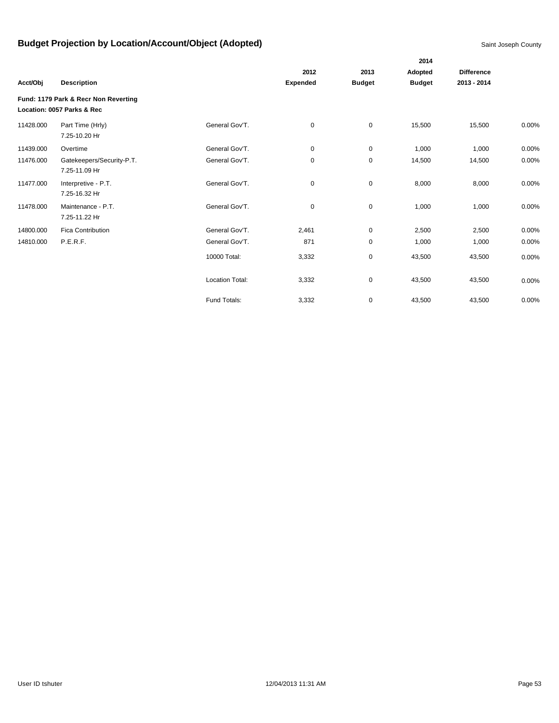|           |                                                                    |                        |                 |               | 2014          |                   |          |
|-----------|--------------------------------------------------------------------|------------------------|-----------------|---------------|---------------|-------------------|----------|
|           |                                                                    |                        | 2012            | 2013          | Adopted       | <b>Difference</b> |          |
| Acct/Obj  | <b>Description</b>                                                 |                        | <b>Expended</b> | <b>Budget</b> | <b>Budget</b> | 2013 - 2014       |          |
|           | Fund: 1179 Park & Recr Non Reverting<br>Location: 0057 Parks & Rec |                        |                 |               |               |                   |          |
| 11428.000 | Part Time (Hrly)<br>7.25-10.20 Hr                                  | General Gov'T.         | 0               | $\mathbf 0$   | 15,500        | 15,500            | $0.00\%$ |
| 11439.000 | Overtime                                                           | General Gov'T.         | 0               | 0             | 1,000         | 1,000             | 0.00%    |
| 11476.000 | Gatekeepers/Security-P.T.<br>7.25-11.09 Hr                         | General Gov'T.         | 0               | 0             | 14,500        | 14,500            | 0.00%    |
| 11477.000 | Interpretive - P.T.<br>7.25-16.32 Hr                               | General Gov'T.         | 0               | $\pmb{0}$     | 8,000         | 8,000             | 0.00%    |
| 11478.000 | Maintenance - P.T.<br>7.25-11.22 Hr                                | General Gov'T.         | 0               | $\pmb{0}$     | 1,000         | 1,000             | $0.00\%$ |
| 14800.000 | <b>Fica Contribution</b>                                           | General Gov'T.         | 2,461           | $\mathbf 0$   | 2,500         | 2,500             | 0.00%    |
| 14810.000 | P.E.R.F.                                                           | General Gov'T.         | 871             | 0             | 1,000         | 1,000             | 0.00%    |
|           |                                                                    | 10000 Total:           | 3,332           | $\pmb{0}$     | 43,500        | 43,500            | 0.00%    |
|           |                                                                    | <b>Location Total:</b> | 3,332           | $\pmb{0}$     | 43,500        | 43,500            | 0.00%    |
|           |                                                                    | Fund Totals:           | 3,332           | 0             | 43,500        | 43,500            | 0.00%    |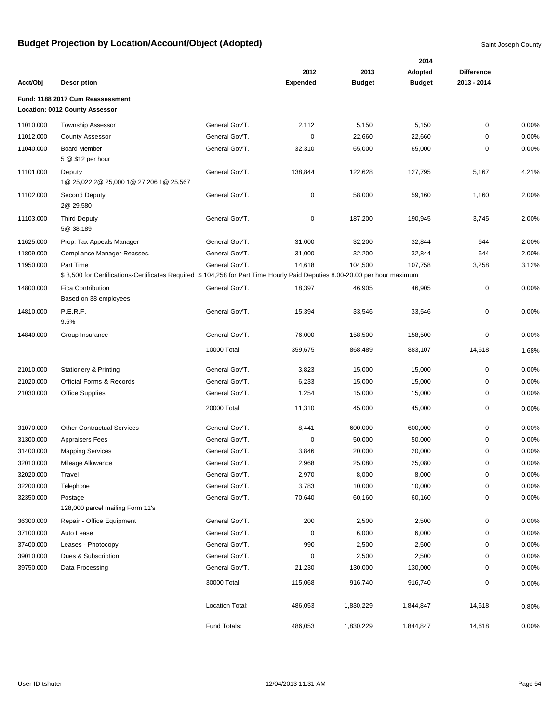|           |                                                                                                                           |                 |                 |               | 2014          |                   |       |
|-----------|---------------------------------------------------------------------------------------------------------------------------|-----------------|-----------------|---------------|---------------|-------------------|-------|
|           |                                                                                                                           |                 | 2012            | 2013          | Adopted       | <b>Difference</b> |       |
| Acct/Obj  | <b>Description</b>                                                                                                        |                 | <b>Expended</b> | <b>Budget</b> | <b>Budget</b> | 2013 - 2014       |       |
|           | Fund: 1188 2017 Cum Reassessment                                                                                          |                 |                 |               |               |                   |       |
|           | Location: 0012 County Assessor                                                                                            |                 |                 |               |               |                   |       |
| 11010.000 | <b>Township Assessor</b>                                                                                                  | General Gov'T.  | 2,112           | 5,150         | 5,150         | 0                 | 0.00% |
| 11012.000 | <b>County Assessor</b>                                                                                                    | General Gov'T.  | $\mathbf 0$     | 22,660        | 22,660        | $\mathbf 0$       | 0.00% |
| 11040.000 | <b>Board Member</b>                                                                                                       | General Gov'T.  | 32,310          | 65,000        | 65,000        | 0                 | 0.00% |
|           | 5 @ \$12 per hour                                                                                                         |                 |                 |               |               |                   |       |
| 11101.000 | Deputy                                                                                                                    | General Gov'T.  | 138,844         | 122,628       | 127,795       | 5,167             | 4.21% |
|           | 1@ 25,022 2@ 25,000 1@ 27,206 1@ 25,567                                                                                   |                 |                 |               |               |                   |       |
| 11102.000 | Second Deputy                                                                                                             | General Gov'T.  | 0               | 58,000        | 59,160        | 1,160             | 2.00% |
|           | 2@ 29,580                                                                                                                 |                 |                 |               |               |                   |       |
| 11103.000 | <b>Third Deputy</b>                                                                                                       | General Gov'T.  | 0               | 187,200       | 190,945       | 3,745             | 2.00% |
|           | 5@ 38,189                                                                                                                 |                 |                 |               |               |                   |       |
| 11625.000 | Prop. Tax Appeals Manager                                                                                                 | General Gov'T.  | 31,000          | 32,200        | 32,844        | 644               | 2.00% |
| 11809.000 | Compliance Manager-Reasses.                                                                                               | General Gov'T.  | 31,000          | 32,200        | 32,844        | 644               | 2.00% |
| 11950.000 | Part Time                                                                                                                 | General Gov'T.  | 14,618          | 104,500       | 107,758       | 3,258             | 3.12% |
|           | \$3,500 for Certifications-Certificates Required \$104,258 for Part Time Hourly Paid Deputies 8.00-20.00 per hour maximum |                 |                 |               |               |                   |       |
| 14800.000 | <b>Fica Contribution</b>                                                                                                  | General Gov'T.  | 18,397          | 46,905        | 46,905        | $\pmb{0}$         | 0.00% |
|           | Based on 38 employees                                                                                                     |                 |                 |               |               |                   |       |
| 14810.000 | P.E.R.F.                                                                                                                  | General Gov'T.  | 15,394          | 33,546        | 33,546        | $\mathbf 0$       | 0.00% |
|           | 9.5%                                                                                                                      |                 |                 |               |               |                   |       |
| 14840.000 | Group Insurance                                                                                                           | General Gov'T.  | 76,000          | 158,500       | 158,500       | 0                 | 0.00% |
|           |                                                                                                                           | 10000 Total:    | 359,675         | 868,489       | 883,107       | 14,618            | 1.68% |
|           |                                                                                                                           |                 |                 |               |               |                   |       |
| 21010.000 | <b>Stationery &amp; Printing</b>                                                                                          | General Gov'T.  | 3,823           | 15,000        | 15,000        | $\mathbf 0$       | 0.00% |
| 21020.000 | <b>Official Forms &amp; Records</b>                                                                                       | General Gov'T.  | 6,233           | 15,000        | 15,000        | 0                 | 0.00% |
| 21030.000 | <b>Office Supplies</b>                                                                                                    | General Gov'T.  | 1,254           | 15,000        | 15,000        | $\mathbf 0$       | 0.00% |
|           |                                                                                                                           | 20000 Total:    | 11,310          | 45,000        | 45,000        | $\pmb{0}$         | 0.00% |
|           |                                                                                                                           |                 |                 |               |               |                   |       |
| 31070.000 | <b>Other Contractual Services</b>                                                                                         | General Gov'T.  | 8,441           | 600,000       | 600,000       | $\mathbf 0$       | 0.00% |
| 31300.000 | <b>Appraisers Fees</b>                                                                                                    | General Gov'T.  | 0               | 50,000        | 50,000        | 0                 | 0.00% |
| 31400.000 | <b>Mapping Services</b>                                                                                                   | General Gov'T.  | 3,846           | 20,000        | 20,000        | 0                 | 0.00% |
| 32010.000 | Mileage Allowance                                                                                                         | General Gov'T.  | 2,968           | 25,080        | 25,080        | $\mathbf 0$       | 0.00% |
| 32020.000 | Travel                                                                                                                    | General Gov'T.  | 2,970           | 8,000         | 8,000         | $\pmb{0}$         | 0.00% |
| 32200.000 | Telephone                                                                                                                 | General Gov'T.  | 3,783           | 10,000        | 10,000        | 0                 | 0.00% |
| 32350.000 | Postage                                                                                                                   | General Gov'T.  | 70,640          | 60,160        | 60,160        | 0                 | 0.00% |
|           | 128,000 parcel mailing Form 11's                                                                                          |                 |                 |               |               |                   |       |
| 36300.000 | Repair - Office Equipment                                                                                                 | General Gov'T.  | 200             | 2,500         | 2,500         | 0                 | 0.00% |
| 37100.000 | Auto Lease                                                                                                                | General Gov'T.  | $\mathbf 0$     | 6,000         | 6,000         | 0                 | 0.00% |
| 37400.000 | Leases - Photocopy                                                                                                        | General Gov'T.  | 990             | 2,500         | 2,500         | 0                 | 0.00% |
| 39010.000 | Dues & Subscription                                                                                                       | General Gov'T.  | 0               | 2,500         | 2,500         | 0                 | 0.00% |
| 39750.000 | Data Processing                                                                                                           | General Gov'T.  | 21,230          | 130,000       | 130,000       | 0                 | 0.00% |
|           |                                                                                                                           |                 |                 |               |               |                   |       |
|           |                                                                                                                           | 30000 Total:    | 115,068         | 916,740       | 916,740       | 0                 | 0.00% |
|           |                                                                                                                           |                 |                 |               |               |                   |       |
|           |                                                                                                                           | Location Total: | 486,053         | 1,830,229     | 1,844,847     | 14,618            | 0.80% |
|           |                                                                                                                           | Fund Totals:    | 486,053         | 1,830,229     | 1,844,847     | 14,618            | 0.00% |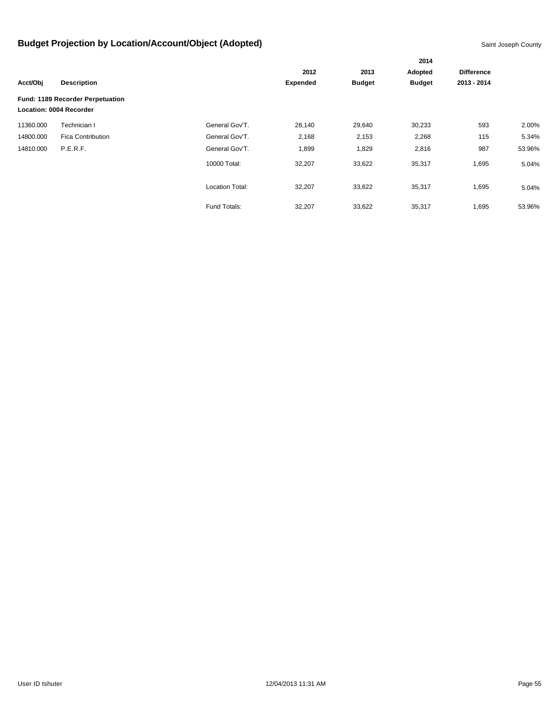|           |                                                             |                        |                 | 2014          |               |                   |        |
|-----------|-------------------------------------------------------------|------------------------|-----------------|---------------|---------------|-------------------|--------|
|           |                                                             |                        | 2012            | 2013          | Adopted       | <b>Difference</b> |        |
| Acct/Obj  | <b>Description</b>                                          |                        | <b>Expended</b> | <b>Budget</b> | <b>Budget</b> | 2013 - 2014       |        |
|           | Fund: 1189 Recorder Perpetuation<br>Location: 0004 Recorder |                        |                 |               |               |                   |        |
| 11360.000 | Technician I                                                | General Gov'T.         | 28,140          | 29,640        | 30,233        | 593               | 2.00%  |
| 14800.000 | <b>Fica Contribution</b>                                    | General Gov'T.         | 2,168           | 2,153         | 2,268         | 115               | 5.34%  |
| 14810.000 | P.E.R.F.                                                    | General Gov'T.         | 1,899           | 1,829         | 2,816         | 987               | 53.96% |
|           |                                                             | 10000 Total:           | 32,207          | 33,622        | 35,317        | 1,695             | 5.04%  |
|           |                                                             | <b>Location Total:</b> | 32,207          | 33,622        | 35,317        | 1,695             | 5.04%  |
|           |                                                             | Fund Totals:           | 32,207          | 33,622        | 35,317        | 1,695             | 53.96% |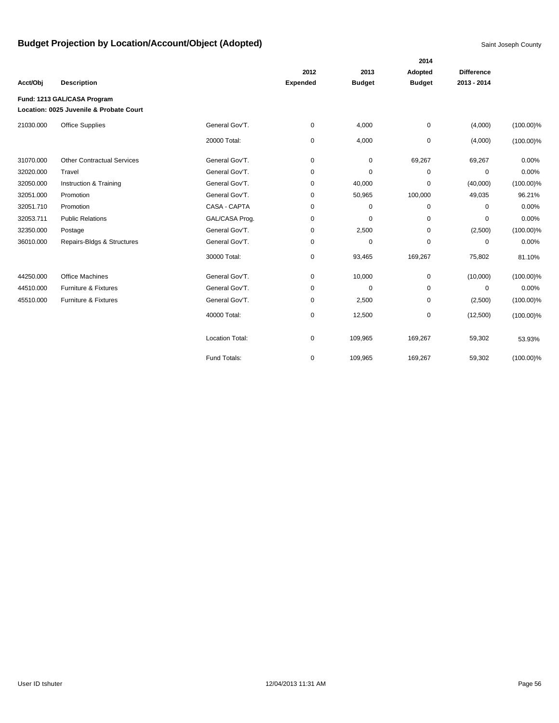|           |                                                                        |                        |                 |               | 2014          |                   |              |
|-----------|------------------------------------------------------------------------|------------------------|-----------------|---------------|---------------|-------------------|--------------|
|           |                                                                        |                        | 2012            | 2013          | Adopted       | <b>Difference</b> |              |
| Acct/Obj  | <b>Description</b>                                                     |                        | <b>Expended</b> | <b>Budget</b> | <b>Budget</b> | 2013 - 2014       |              |
|           | Fund: 1213 GAL/CASA Program<br>Location: 0025 Juvenile & Probate Court |                        |                 |               |               |                   |              |
| 21030.000 | <b>Office Supplies</b>                                                 | General Gov'T.         | $\mathbf 0$     | 4,000         | $\pmb{0}$     | (4,000)           | $(100.00)\%$ |
|           |                                                                        | 20000 Total:           | 0               | 4,000         | $\pmb{0}$     | (4,000)           | $(100.00)\%$ |
| 31070.000 | <b>Other Contractual Services</b>                                      | General Gov'T.         | $\mathbf 0$     | $\pmb{0}$     | 69,267        | 69,267            | 0.00%        |
| 32020.000 | Travel                                                                 | General Gov'T.         | $\mathbf 0$     | $\mathbf 0$   | $\mathbf 0$   | $\mathbf 0$       | 0.00%        |
| 32050.000 | Instruction & Training                                                 | General Gov'T.         | 0               | 40,000        | $\mathbf 0$   | (40,000)          | $(100.00)\%$ |
| 32051.000 | Promotion                                                              | General Gov'T.         | 0               | 50,965        | 100,000       | 49,035            | 96.21%       |
| 32051.710 | Promotion                                                              | CASA - CAPTA           | $\mathbf 0$     | $\mathbf 0$   | $\mathbf 0$   | $\mathbf 0$       | 0.00%        |
| 32053.711 | <b>Public Relations</b>                                                | GAL/CASA Prog.         | 0               | 0             | 0             | 0                 | 0.00%        |
| 32350.000 | Postage                                                                | General Gov'T.         | 0               | 2,500         | $\mathbf 0$   | (2,500)           | $(100.00)\%$ |
| 36010.000 | Repairs-Bldgs & Structures                                             | General Gov'T.         | $\mathbf 0$     | $\pmb{0}$     | $\mathbf 0$   | $\mathbf 0$       | 0.00%        |
|           |                                                                        | 30000 Total:           | 0               | 93,465        | 169,267       | 75,802            | 81.10%       |
| 44250.000 | <b>Office Machines</b>                                                 | General Gov'T.         | 0               | 10,000        | $\pmb{0}$     | (10,000)          | $(100.00)\%$ |
| 44510.000 | <b>Furniture &amp; Fixtures</b>                                        | General Gov'T.         | $\mathbf 0$     | $\mathbf 0$   | $\mathbf 0$   | 0                 | 0.00%        |
| 45510.000 | Furniture & Fixtures                                                   | General Gov'T.         | 0               | 2,500         | 0             | (2,500)           | $(100.00)\%$ |
|           |                                                                        | 40000 Total:           | 0               | 12,500        | $\mathbf 0$   | (12,500)          | $(100.00)\%$ |
|           |                                                                        | <b>Location Total:</b> | 0               | 109,965       | 169,267       | 59,302            | 53.93%       |
|           |                                                                        | Fund Totals:           | $\mathbf 0$     | 109,965       | 169,267       | 59,302            | $(100.00)\%$ |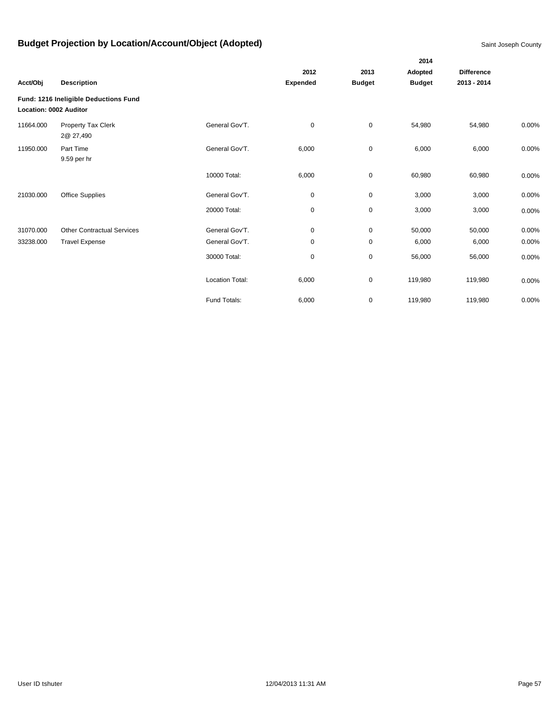|                        |                                       |                        |                 |               | 2014          |                   |          |
|------------------------|---------------------------------------|------------------------|-----------------|---------------|---------------|-------------------|----------|
|                        |                                       |                        | 2012            | 2013          | Adopted       | <b>Difference</b> |          |
| Acct/Obj               | <b>Description</b>                    |                        | <b>Expended</b> | <b>Budget</b> | <b>Budget</b> | 2013 - 2014       |          |
| Location: 0002 Auditor | Fund: 1216 Ineligible Deductions Fund |                        |                 |               |               |                   |          |
| 11664.000              | Property Tax Clerk<br>2@ 27,490       | General Gov'T.         | 0               | $\mathbf 0$   | 54,980        | 54,980            | 0.00%    |
| 11950.000              | Part Time<br>9.59 per hr              | General Gov'T.         | 6,000           | $\mathbf 0$   | 6,000         | 6,000             | 0.00%    |
|                        |                                       | 10000 Total:           | 6,000           | $\mathbf 0$   | 60,980        | 60,980            | 0.00%    |
| 21030.000              | Office Supplies                       | General Gov'T.         | $\mathbf 0$     | $\mathbf 0$   | 3,000         | 3,000             | 0.00%    |
|                        |                                       | 20000 Total:           | 0               | $\mathbf 0$   | 3,000         | 3,000             | 0.00%    |
| 31070.000              | <b>Other Contractual Services</b>     | General Gov'T.         | 0               | $\mathbf 0$   | 50,000        | 50,000            | 0.00%    |
| 33238.000              | <b>Travel Expense</b>                 | General Gov'T.         | 0               | $\mathbf 0$   | 6,000         | 6,000             | 0.00%    |
|                        |                                       | 30000 Total:           | 0               | $\mathsf 0$   | 56,000        | 56,000            | 0.00%    |
|                        |                                       | <b>Location Total:</b> | 6,000           | $\pmb{0}$     | 119,980       | 119,980           | 0.00%    |
|                        |                                       | Fund Totals:           | 6,000           | $\pmb{0}$     | 119,980       | 119,980           | $0.00\%$ |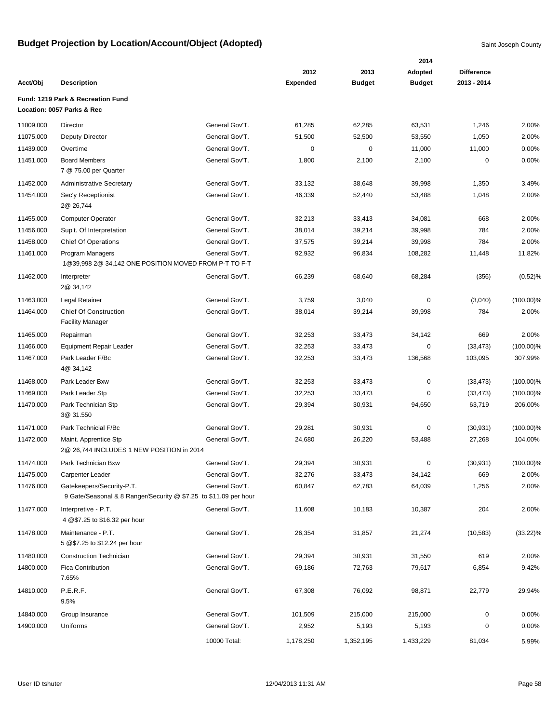|           |                                                                                               |                |                 |               | 2014          |                   |              |
|-----------|-----------------------------------------------------------------------------------------------|----------------|-----------------|---------------|---------------|-------------------|--------------|
|           |                                                                                               |                | 2012            | 2013          | Adopted       | <b>Difference</b> |              |
| Acct/Obj  | <b>Description</b>                                                                            |                | <b>Expended</b> | <b>Budget</b> | <b>Budget</b> | 2013 - 2014       |              |
|           | Fund: 1219 Park & Recreation Fund                                                             |                |                 |               |               |                   |              |
|           | Location: 0057 Parks & Rec                                                                    |                |                 |               |               |                   |              |
| 11009.000 | Director                                                                                      | General Gov'T. | 61,285          | 62,285        | 63,531        | 1,246             | 2.00%        |
| 11075.000 | Deputy Director                                                                               | General Gov'T. | 51,500          | 52,500        | 53,550        | 1,050             | 2.00%        |
| 11439.000 | Overtime                                                                                      | General Gov'T. | 0               | 0             | 11,000        | 11,000            | 0.00%        |
| 11451.000 | <b>Board Members</b><br>7 @ 75.00 per Quarter                                                 | General Gov'T. | 1,800           | 2,100         | 2,100         | 0                 | 0.00%        |
| 11452.000 | <b>Administrative Secretary</b>                                                               | General Gov'T. | 33,132          | 38,648        | 39,998        | 1,350             | 3.49%        |
| 11454.000 | Sec'y Receptionist<br>2@ 26,744                                                               | General Gov'T. | 46,339          | 52,440        | 53,488        | 1,048             | 2.00%        |
| 11455.000 | <b>Computer Operator</b>                                                                      | General Gov'T. | 32,213          | 33,413        | 34,081        | 668               | 2.00%        |
| 11456.000 | Sup't. Of Interpretation                                                                      | General Gov'T. | 38,014          | 39,214        | 39,998        | 784               | 2.00%        |
| 11458.000 | <b>Chief Of Operations</b>                                                                    | General Gov'T. | 37,575          | 39,214        | 39,998        | 784               | 2.00%        |
| 11461.000 | Program Managers<br>1@39,998 2@ 34,142 ONE POSITION MOVED FROM P-T TO F-T                     | General Gov'T. | 92,932          | 96,834        | 108,282       | 11,448            | 11.82%       |
| 11462.000 | Interpreter<br>2@ 34,142                                                                      | General Gov'T. | 66,239          | 68,640        | 68,284        | (356)             | (0.52)%      |
| 11463.000 | Legal Retainer                                                                                | General Gov'T. | 3,759           | 3,040         | 0             | (3,040)           | $(100.00)\%$ |
| 11464.000 | <b>Chief Of Construction</b><br><b>Facility Manager</b>                                       | General Gov'T. | 38,014          | 39,214        | 39,998        | 784               | 2.00%        |
| 11465.000 | Repairman                                                                                     | General Gov'T. | 32,253          | 33,473        | 34,142        | 669               | 2.00%        |
| 11466.000 | Equipment Repair Leader                                                                       | General Gov'T. | 32,253          | 33,473        | 0             | (33, 473)         | $(100.00)\%$ |
| 11467.000 | Park Leader F/Bc<br>4@ 34,142                                                                 | General Gov'T. | 32,253          | 33,473        | 136,568       | 103,095           | 307.99%      |
| 11468.000 | Park Leader Bxw                                                                               | General Gov'T. | 32,253          | 33,473        | $\pmb{0}$     | (33, 473)         | $(100.00)\%$ |
| 11469.000 | Park Leader Stp                                                                               | General Gov'T. | 32,253          | 33,473        | 0             | (33, 473)         | $(100.00)\%$ |
| 11470.000 | Park Technician Stp<br>3@ 31.550                                                              | General Gov'T. | 29,394          | 30,931        | 94,650        | 63,719            | 206.00%      |
| 11471.000 | Park Technicial F/Bc                                                                          | General Gov'T. | 29,281          | 30,931        | 0             | (30, 931)         | $(100.00)\%$ |
| 11472.000 | Maint. Apprentice Stp<br>2@ 26,744 INCLUDES 1 NEW POSITION in 2014                            | General Gov'T. | 24,680          | 26,220        | 53,488        | 27,268            | 104.00%      |
| 11474.000 | Park Technician Bxw                                                                           | General Gov'T. | 29,394          | 30,931        | 0             | (30, 931)         | $(100.00)\%$ |
| 11475.000 | Carpenter Leader                                                                              | General Gov'T. | 32,276          | 33,473        | 34,142        | 669               | 2.00%        |
| 11476.000 | Gatekeepers/Security-P.T.<br>9 Gate/Seasonal & 8 Ranger/Security @ \$7.25 to \$11.09 per hour | General Gov'T. | 60,847          | 62,783        | 64,039        | 1,256             | 2.00%        |
| 11477.000 | Interpretive - P.T.<br>4 @\$7.25 to \$16.32 per hour                                          | General Gov'T. | 11,608          | 10,183        | 10,387        | 204               | 2.00%        |
| 11478.000 | Maintenance - P.T.<br>5 @\$7.25 to \$12.24 per hour                                           | General Gov'T. | 26,354          | 31,857        | 21,274        | (10, 583)         | $(33.22)\%$  |
| 11480.000 | <b>Construction Technician</b>                                                                | General Gov'T. | 29,394          | 30,931        | 31,550        | 619               | 2.00%        |
| 14800.000 | Fica Contribution<br>7.65%                                                                    | General Gov'T. | 69,186          | 72,763        | 79,617        | 6,854             | 9.42%        |
| 14810.000 | P.E.R.F.<br>9.5%                                                                              | General Gov'T. | 67,308          | 76,092        | 98,871        | 22,779            | 29.94%       |
| 14840.000 | Group Insurance                                                                               | General Gov'T. | 101,509         | 215,000       | 215,000       | 0                 | 0.00%        |
| 14900.000 | Uniforms                                                                                      | General Gov'T. | 2,952           | 5,193         | 5,193         | 0                 | 0.00%        |
|           |                                                                                               | 10000 Total:   | 1,178,250       | 1,352,195     | 1,433,229     | 81,034            | 5.99%        |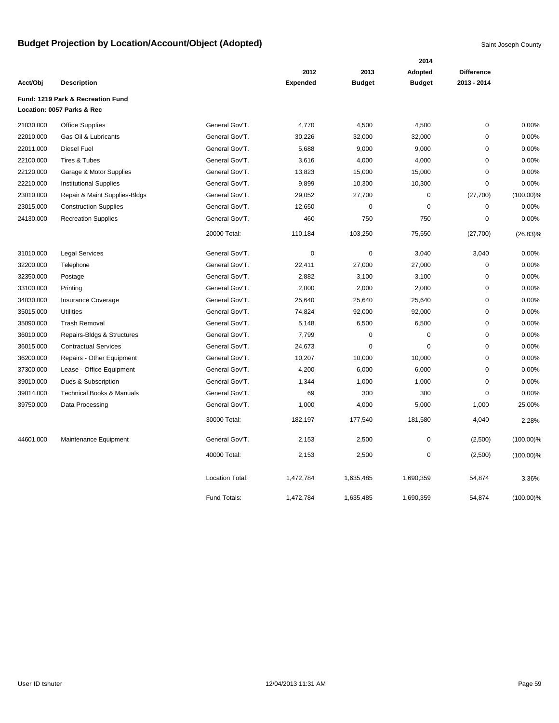|           |                                                                 |                        |                 | 2014          |               |                   |              |  |  |
|-----------|-----------------------------------------------------------------|------------------------|-----------------|---------------|---------------|-------------------|--------------|--|--|
|           |                                                                 |                        | 2012            | 2013          | Adopted       | <b>Difference</b> |              |  |  |
| Acct/Obj  | <b>Description</b>                                              |                        | <b>Expended</b> | <b>Budget</b> | <b>Budget</b> | 2013 - 2014       |              |  |  |
|           | Fund: 1219 Park & Recreation Fund<br>Location: 0057 Parks & Rec |                        |                 |               |               |                   |              |  |  |
| 21030.000 | <b>Office Supplies</b>                                          | General Gov'T.         | 4,770           | 4,500         | 4,500         | $\pmb{0}$         | 0.00%        |  |  |
| 22010.000 | Gas Oil & Lubricants                                            | General Gov'T.         | 30,226          | 32,000        | 32,000        | $\mathbf 0$       | 0.00%        |  |  |
| 22011.000 | <b>Diesel Fuel</b>                                              | General Gov'T.         | 5,688           | 9,000         | 9,000         | 0                 | 0.00%        |  |  |
| 22100.000 | Tires & Tubes                                                   | General Gov'T.         | 3,616           | 4,000         | 4,000         | 0                 | 0.00%        |  |  |
| 22120.000 | Garage & Motor Supplies                                         | General Gov'T.         | 13,823          | 15,000        | 15,000        | $\mathbf 0$       | 0.00%        |  |  |
| 22210.000 | <b>Institutional Supplies</b>                                   | General Gov'T.         | 9,899           | 10,300        | 10,300        | 0                 | 0.00%        |  |  |
| 23010.000 | Repair & Maint Supplies-Bldgs                                   | General Gov'T.         | 29,052          | 27,700        | $\mathbf 0$   | (27, 700)         | $(100.00)\%$ |  |  |
| 23015.000 | <b>Construction Supplies</b>                                    | General Gov'T.         | 12,650          | $\mathbf 0$   | $\mathbf 0$   | 0                 | 0.00%        |  |  |
| 24130.000 | <b>Recreation Supplies</b>                                      | General Gov'T.         | 460             | 750           | 750           | 0                 | 0.00%        |  |  |
|           |                                                                 | 20000 Total:           | 110,184         | 103,250       | 75,550        | (27,700)          | $(26.83)\%$  |  |  |
| 31010.000 | <b>Legal Services</b>                                           | General Gov'T.         | $\mathbf 0$     | $\mathbf 0$   | 3,040         | 3,040             | 0.00%        |  |  |
| 32200.000 | Telephone                                                       | General Gov'T.         | 22,411          | 27,000        | 27,000        | $\mathbf 0$       | 0.00%        |  |  |
| 32350.000 | Postage                                                         | General Gov'T.         | 2,882           | 3,100         | 3,100         | $\mathbf 0$       | 0.00%        |  |  |
| 33100.000 | Printing                                                        | General Gov'T.         | 2,000           | 2,000         | 2,000         | 0                 | 0.00%        |  |  |
| 34030.000 | Insurance Coverage                                              | General Gov'T.         | 25,640          | 25,640        | 25,640        | 0                 | 0.00%        |  |  |
| 35015.000 | <b>Utilities</b>                                                | General Gov'T.         | 74,824          | 92,000        | 92,000        | $\pmb{0}$         | 0.00%        |  |  |
| 35090.000 | <b>Trash Removal</b>                                            | General Gov'T.         | 5,148           | 6,500         | 6,500         | 0                 | 0.00%        |  |  |
| 36010.000 | Repairs-Bldgs & Structures                                      | General Gov'T.         | 7,799           | $\pmb{0}$     | 0             | 0                 | 0.00%        |  |  |
| 36015.000 | <b>Contractual Services</b>                                     | General Gov'T.         | 24,673          | 0             | $\mathbf 0$   | 0                 | 0.00%        |  |  |
| 36200.000 | Repairs - Other Equipment                                       | General Gov'T.         | 10,207          | 10,000        | 10,000        | 0                 | 0.00%        |  |  |
| 37300.000 | Lease - Office Equipment                                        | General Gov'T.         | 4,200           | 6,000         | 6,000         | 0                 | 0.00%        |  |  |
| 39010.000 | Dues & Subscription                                             | General Gov'T.         | 1,344           | 1,000         | 1,000         | $\pmb{0}$         | 0.00%        |  |  |
| 39014.000 | <b>Technical Books &amp; Manuals</b>                            | General Gov'T.         | 69              | 300           | 300           | 0                 | 0.00%        |  |  |
| 39750.000 | Data Processing                                                 | General Gov'T.         | 1,000           | 4,000         | 5,000         | 1,000             | 25.00%       |  |  |
|           |                                                                 | 30000 Total:           | 182,197         | 177,540       | 181,580       | 4,040             | 2.28%        |  |  |
| 44601.000 | Maintenance Equipment                                           | General Gov'T.         | 2,153           | 2,500         | 0             | (2,500)           | $(100.00)\%$ |  |  |
|           |                                                                 | 40000 Total:           | 2,153           | 2,500         | $\mathbf 0$   | (2,500)           | $(100.00)\%$ |  |  |
|           |                                                                 | <b>Location Total:</b> | 1,472,784       | 1,635,485     | 1,690,359     | 54,874            | 3.36%        |  |  |
|           |                                                                 | Fund Totals:           | 1,472,784       | 1,635,485     | 1,690,359     | 54,874            | $(100.00)\%$ |  |  |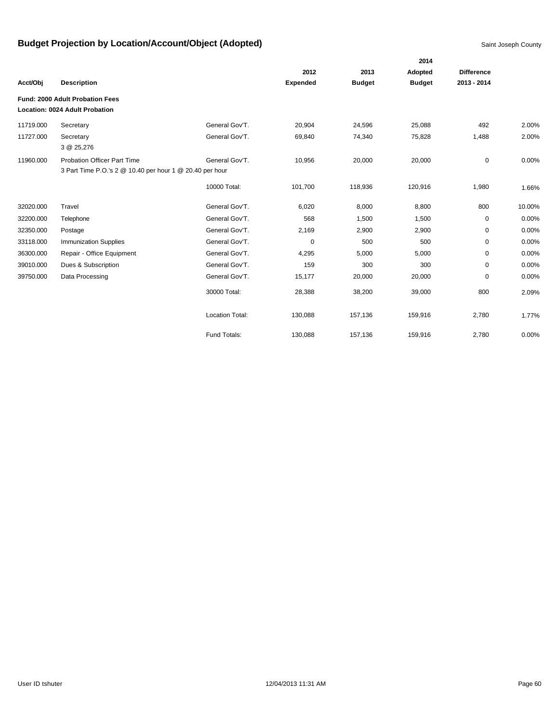|           |                                                                                                |                        |                 |               | 2014          |                   |        |
|-----------|------------------------------------------------------------------------------------------------|------------------------|-----------------|---------------|---------------|-------------------|--------|
|           |                                                                                                |                        | 2012            | 2013          | Adopted       | <b>Difference</b> |        |
| Acct/Obj  | <b>Description</b>                                                                             |                        | <b>Expended</b> | <b>Budget</b> | <b>Budget</b> | 2013 - 2014       |        |
|           | Fund: 2000 Adult Probation Fees                                                                |                        |                 |               |               |                   |        |
|           | Location: 0024 Adult Probation                                                                 |                        |                 |               |               |                   |        |
| 11719.000 | Secretary                                                                                      | General Gov'T.         | 20,904          | 24,596        | 25,088        | 492               | 2.00%  |
| 11727.000 | Secretary<br>3 @ 25,276                                                                        | General Gov'T.         | 69,840          | 74,340        | 75,828        | 1,488             | 2.00%  |
| 11960.000 | <b>Probation Officer Part Time</b><br>3 Part Time P.O.'s 2 @ 10.40 per hour 1 @ 20.40 per hour | General Gov'T.         | 10,956          | 20,000        | 20,000        | 0                 | 0.00%  |
|           |                                                                                                | 10000 Total:           | 101,700         | 118,936       | 120,916       | 1,980             | 1.66%  |
| 32020.000 | Travel                                                                                         | General Gov'T.         | 6,020           | 8,000         | 8,800         | 800               | 10.00% |
| 32200.000 | Telephone                                                                                      | General Gov'T.         | 568             | 1,500         | 1,500         | 0                 | 0.00%  |
| 32350.000 | Postage                                                                                        | General Gov'T.         | 2,169           | 2,900         | 2,900         | 0                 | 0.00%  |
| 33118.000 | <b>Immunization Supplies</b>                                                                   | General Gov'T.         | 0               | 500           | 500           | $\mathbf 0$       | 0.00%  |
| 36300.000 | Repair - Office Equipment                                                                      | General Gov'T.         | 4,295           | 5,000         | 5,000         | $\mathbf 0$       | 0.00%  |
| 39010.000 | Dues & Subscription                                                                            | General Gov'T.         | 159             | 300           | 300           | 0                 | 0.00%  |
| 39750.000 | Data Processing                                                                                | General Gov'T.         | 15,177          | 20,000        | 20,000        | 0                 | 0.00%  |
|           |                                                                                                | 30000 Total:           | 28,388          | 38,200        | 39,000        | 800               | 2.09%  |
|           |                                                                                                | <b>Location Total:</b> | 130,088         | 157,136       | 159,916       | 2,780             | 1.77%  |
|           |                                                                                                | Fund Totals:           | 130,088         | 157,136       | 159,916       | 2,780             | 0.00%  |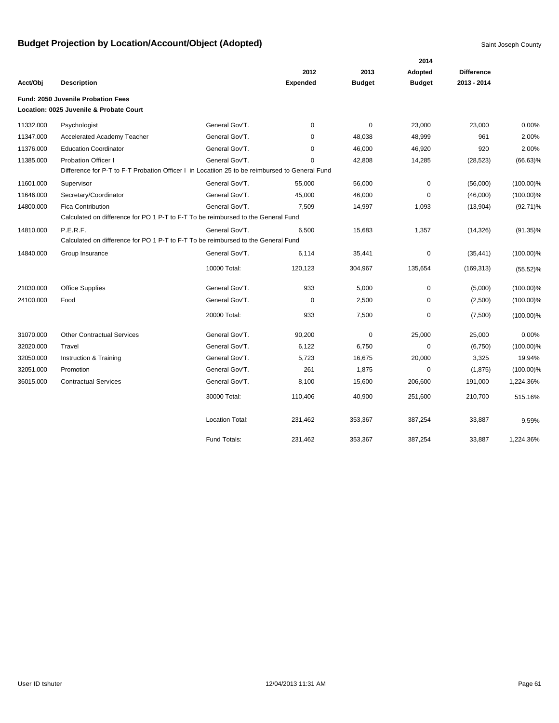|           |                                                                                                |                        |                 |               | 2014          |                   |              |
|-----------|------------------------------------------------------------------------------------------------|------------------------|-----------------|---------------|---------------|-------------------|--------------|
|           |                                                                                                |                        | 2012            | 2013          | Adopted       | <b>Difference</b> |              |
| Acct/Obi  | <b>Description</b>                                                                             |                        | <b>Expended</b> | <b>Budget</b> | <b>Budget</b> | 2013 - 2014       |              |
|           | <b>Fund: 2050 Juvenile Probation Fees</b>                                                      |                        |                 |               |               |                   |              |
|           | Location: 0025 Juvenile & Probate Court                                                        |                        |                 |               |               |                   |              |
| 11332.000 | Psychologist                                                                                   | General Gov'T.         | $\mathbf 0$     | 0             | 23,000        | 23,000            | 0.00%        |
| 11347.000 | <b>Accelerated Academy Teacher</b>                                                             | General Gov'T.         | 0               | 48,038        | 48,999        | 961               | 2.00%        |
| 11376.000 | <b>Education Coordinator</b>                                                                   | General Gov'T.         | $\mathbf 0$     | 46,000        | 46,920        | 920               | 2.00%        |
| 11385.000 | <b>Probation Officer I</b>                                                                     | General Gov'T.         | 0               | 42,808        | 14,285        | (28, 523)         | $(66.63)\%$  |
|           | Difference for P-T to F-T Probation Officer I in Locatiion 25 to be reimbursed to General Fund |                        |                 |               |               |                   |              |
| 11601.000 | Supervisor                                                                                     | General Gov'T.         | 55,000          | 56,000        | $\mathbf 0$   | (56,000)          | $(100.00)\%$ |
| 11646.000 | Secretary/Coordinator                                                                          | General Gov'T.         | 45,000          | 46,000        | $\mathbf 0$   | (46,000)          | $(100.00)\%$ |
| 14800.000 | Fica Contribution                                                                              | General Gov'T.         | 7,509           | 14,997        | 1,093         | (13,904)          | $(92.71)\%$  |
|           | Calculated on difference for PO 1 P-T to F-T To be reimbursed to the General Fund              |                        |                 |               |               |                   |              |
| 14810.000 | P.E.R.F.                                                                                       | General Gov'T.         | 6,500           | 15,683        | 1,357         | (14, 326)         | $(91.35)\%$  |
|           | Calculated on difference for PO 1 P-T to F-T To be reimbursed to the General Fund              |                        |                 |               |               |                   |              |
| 14840.000 | Group Insurance                                                                                | General Gov'T.         | 6,114           | 35,441        | $\pmb{0}$     | (35, 441)         | $(100.00)\%$ |
|           |                                                                                                | 10000 Total:           | 120,123         | 304,967       | 135,654       | (169, 313)        | $(55.52)\%$  |
| 21030.000 | <b>Office Supplies</b>                                                                         | General Gov'T.         | 933             | 5,000         | 0             | (5,000)           | $(100.00)\%$ |
| 24100.000 | Food                                                                                           | General Gov'T.         | 0               | 2,500         | 0             | (2,500)           | $(100.00)\%$ |
|           |                                                                                                | 20000 Total:           | 933             | 7,500         | 0             | (7,500)           | $(100.00)\%$ |
| 31070.000 | <b>Other Contractual Services</b>                                                              | General Gov'T.         | 90,200          | $\mathbf 0$   | 25,000        | 25,000            | 0.00%        |
| 32020.000 | Travel                                                                                         | General Gov'T.         | 6,122           | 6,750         | 0             | (6,750)           | $(100.00)\%$ |
| 32050.000 | Instruction & Training                                                                         | General Gov'T.         | 5,723           | 16,675        | 20,000        | 3,325             | 19.94%       |
| 32051.000 | Promotion                                                                                      | General Gov'T.         | 261             | 1,875         | 0             | (1,875)           | $(100.00)\%$ |
| 36015.000 | <b>Contractual Services</b>                                                                    | General Gov'T.         | 8,100           | 15,600        | 206,600       | 191,000           | 1,224.36%    |
|           |                                                                                                | 30000 Total:           | 110,406         | 40,900        | 251,600       | 210,700           | 515.16%      |
|           |                                                                                                | <b>Location Total:</b> | 231,462         | 353,367       | 387,254       | 33,887            | 9.59%        |
|           |                                                                                                | Fund Totals:           | 231,462         | 353,367       | 387,254       | 33,887            | 1,224.36%    |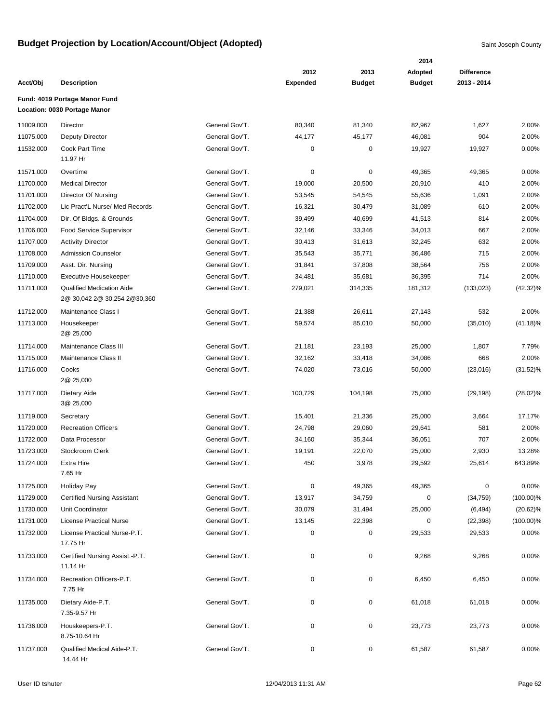|           |                                                                   |                |                 |               | 2014          |                   |              |
|-----------|-------------------------------------------------------------------|----------------|-----------------|---------------|---------------|-------------------|--------------|
|           |                                                                   |                | 2012            | 2013          | Adopted       | <b>Difference</b> |              |
| Acct/Obj  | <b>Description</b>                                                |                | <b>Expended</b> | <b>Budget</b> | <b>Budget</b> | 2013 - 2014       |              |
|           | Fund: 4019 Portage Manor Fund<br>Location: 0030 Portage Manor     |                |                 |               |               |                   |              |
| 11009.000 | Director                                                          | General Gov'T. | 80,340          | 81,340        | 82,967        | 1,627             | 2.00%        |
| 11075.000 | <b>Deputy Director</b>                                            | General Gov'T. | 44,177          | 45,177        | 46,081        | 904               | 2.00%        |
| 11532.000 | Cook Part Time                                                    | General Gov'T. | 0               | $\pmb{0}$     | 19,927        | 19,927            | 0.00%        |
|           | 11.97 Hr                                                          |                |                 |               |               |                   |              |
| 11571.000 | Overtime                                                          | General Gov'T. | 0               | 0             | 49,365        | 49,365            | 0.00%        |
| 11700.000 | <b>Medical Director</b>                                           | General Gov'T. | 19,000          | 20,500        | 20,910        | 410               | 2.00%        |
| 11701.000 | Director Of Nursing                                               | General Gov'T. | 53,545          | 54,545        | 55,636        | 1,091             | 2.00%        |
| 11702.000 | Lic Pract'L Nurse/ Med Records                                    | General Gov'T. | 16,321          | 30,479        | 31,089        | 610               | 2.00%        |
| 11704.000 | Dir. Of Bldgs. & Grounds                                          | General Gov'T. | 39,499          | 40,699        | 41,513        | 814               | 2.00%        |
| 11706.000 | Food Service Supervisor                                           | General Gov'T. | 32,146          | 33,346        | 34,013        | 667               | 2.00%        |
| 11707.000 | <b>Activity Director</b>                                          | General Gov'T. | 30,413          | 31,613        | 32,245        | 632               | 2.00%        |
| 11708.000 | <b>Admission Counselor</b>                                        | General Gov'T. | 35,543          | 35,771        | 36,486        | 715               | 2.00%        |
| 11709.000 | Asst. Dir. Nursing                                                | General Gov'T. | 31,841          | 37,808        | 38,564        | 756               | 2.00%        |
| 11710.000 | <b>Executive Housekeeper</b>                                      | General Gov'T. | 34,481          | 35,681        | 36,395        | 714               | 2.00%        |
| 11711.000 | <b>Qualified Medication Aide</b><br>2@ 30,042 2@ 30,254 2@ 30,360 | General Gov'T. | 279,021         | 314,335       | 181,312       | (133, 023)        | $(42.32)\%$  |
| 11712.000 | Maintenance Class I                                               | General Gov'T. | 21,388          | 26,611        | 27,143        | 532               | 2.00%        |
| 11713.000 | Housekeeper<br>2@ 25,000                                          | General Gov'T. | 59,574          | 85,010        | 50,000        | (35,010)          | $(41.18)\%$  |
| 11714.000 | Maintenance Class III                                             | General Gov'T. | 21,181          | 23,193        | 25,000        | 1,807             | 7.79%        |
| 11715.000 | Maintenance Class II                                              | General Gov'T. | 32,162          | 33,418        | 34,086        | 668               | 2.00%        |
| 11716.000 | Cooks<br>2@ 25,000                                                | General Gov'T. | 74,020          | 73,016        | 50,000        | (23,016)          | $(31.52)\%$  |
| 11717.000 | Dietary Aide<br>3@ 25,000                                         | General Gov'T. | 100,729         | 104,198       | 75,000        | (29, 198)         | $(28.02)\%$  |
| 11719.000 | Secretary                                                         | General Gov'T. | 15,401          | 21,336        | 25,000        | 3,664             | 17.17%       |
| 11720.000 | <b>Recreation Officers</b>                                        | General Gov'T. | 24,798          | 29,060        | 29,641        | 581               | 2.00%        |
| 11722.000 | Data Processor                                                    | General Gov'T. | 34,160          | 35,344        | 36,051        | 707               | 2.00%        |
| 11723.000 | Stockroom Clerk                                                   | General Gov'T. | 19,191          | 22,070        | 25,000        | 2,930             | 13.28%       |
| 11724.000 | Extra Hire<br>7.65 Hr                                             | General Gov'T. | 450             | 3,978         | 29,592        | 25,614            | 643.89%      |
| 11725.000 | Holiday Pay                                                       | General Gov'T. | 0               | 49,365        | 49,365        | 0                 | 0.00%        |
| 11729.000 | <b>Certified Nursing Assistant</b>                                | General Gov'T. | 13,917          | 34,759        | 0             | (34, 759)         | $(100.00)\%$ |
| 11730.000 | Unit Coordinator                                                  | General Gov'T. | 30,079          | 31,494        | 25,000        | (6, 494)          | $(20.62)\%$  |
| 11731.000 | <b>License Practical Nurse</b>                                    | General Gov'T. | 13,145          | 22,398        | 0             | (22, 398)         | $(100.00)\%$ |
| 11732.000 | License Practical Nurse-P.T.<br>17.75 Hr                          | General Gov'T. | 0               | $\pmb{0}$     | 29,533        | 29,533            | 0.00%        |
| 11733.000 | Certified Nursing Assist.-P.T.<br>11.14 Hr                        | General Gov'T. | 0               | $\pmb{0}$     | 9,268         | 9,268             | 0.00%        |
| 11734.000 | Recreation Officers-P.T.<br>7.75 Hr                               | General Gov'T. | 0               | $\pmb{0}$     | 6,450         | 6,450             | 0.00%        |
| 11735.000 | Dietary Aide-P.T.<br>7.35-9.57 Hr                                 | General Gov'T. | 0               | $\pmb{0}$     | 61,018        | 61,018            | 0.00%        |
| 11736.000 | Houskeepers-P.T.<br>8.75-10.64 Hr                                 | General Gov'T. | 0               | 0             | 23,773        | 23,773            | 0.00%        |
| 11737.000 | Qualified Medical Aide-P.T.<br>14.44 Hr                           | General Gov'T. | 0               | $\pmb{0}$     | 61,587        | 61,587            | 0.00%        |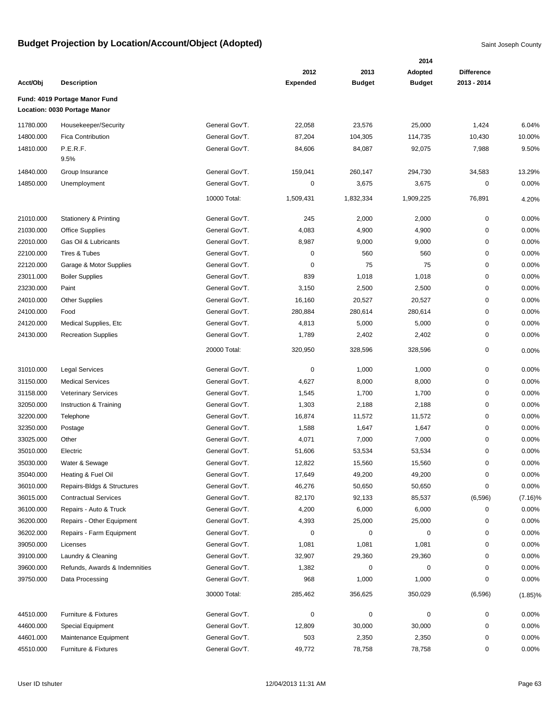|           |                                                               |                                  |                 |               | 2014          |                   |            |
|-----------|---------------------------------------------------------------|----------------------------------|-----------------|---------------|---------------|-------------------|------------|
|           |                                                               |                                  | 2012            | 2013          | Adopted       | <b>Difference</b> |            |
| Acct/Obj  | <b>Description</b>                                            |                                  | <b>Expended</b> | <b>Budget</b> | <b>Budget</b> | 2013 - 2014       |            |
|           | Fund: 4019 Portage Manor Fund<br>Location: 0030 Portage Manor |                                  |                 |               |               |                   |            |
|           |                                                               |                                  |                 |               |               |                   |            |
| 11780.000 | Housekeeper/Security                                          | General Gov'T.                   | 22,058          | 23,576        | 25,000        | 1,424             | 6.04%      |
| 14800.000 | Fica Contribution                                             | General Gov'T.<br>General Gov'T. | 87,204          | 104,305       | 114,735       | 10,430            | 10.00%     |
| 14810.000 | P.E.R.F.<br>9.5%                                              |                                  | 84,606          | 84,087        | 92,075        | 7,988             | 9.50%      |
| 14840.000 | Group Insurance                                               | General Gov'T.                   | 159,041         | 260,147       | 294,730       | 34,583            | 13.29%     |
| 14850.000 | Unemployment                                                  | General Gov'T.                   | 0               | 3,675         | 3,675         | 0                 | 0.00%      |
|           |                                                               | 10000 Total:                     | 1,509,431       | 1,832,334     | 1,909,225     | 76,891            | 4.20%      |
| 21010.000 | <b>Stationery &amp; Printing</b>                              | General Gov'T.                   | 245             | 2,000         | 2,000         | 0                 | 0.00%      |
| 21030.000 | <b>Office Supplies</b>                                        | General Gov'T.                   | 4,083           | 4,900         | 4,900         | 0                 | 0.00%      |
| 22010.000 | Gas Oil & Lubricants                                          | General Gov'T.                   | 8,987           | 9,000         | 9,000         | 0                 | 0.00%      |
| 22100.000 | Tires & Tubes                                                 | General Gov'T.                   | $\pmb{0}$       | 560           | 560           | 0                 | 0.00%      |
| 22120.000 | Garage & Motor Supplies                                       | General Gov'T.                   | $\mathbf 0$     | 75            | 75            | 0                 | 0.00%      |
| 23011.000 | <b>Boiler Supplies</b>                                        | General Gov'T.                   | 839             | 1,018         | 1,018         | 0                 | 0.00%      |
| 23230.000 | Paint                                                         | General Gov'T.                   | 3,150           | 2,500         | 2,500         | 0                 | 0.00%      |
| 24010.000 | <b>Other Supplies</b>                                         | General Gov'T.                   | 16,160          | 20,527        | 20,527        | 0                 | 0.00%      |
| 24100.000 | Food                                                          | General Gov'T.                   | 280,884         | 280,614       | 280,614       | 0                 | 0.00%      |
| 24120.000 | Medical Supplies, Etc                                         | General Gov'T.                   | 4,813           | 5,000         | 5,000         | 0                 | 0.00%      |
| 24130.000 | <b>Recreation Supplies</b>                                    | General Gov'T.                   | 1,789           | 2,402         | 2,402         | 0                 | 0.00%      |
|           |                                                               | 20000 Total:                     | 320,950         | 328,596       | 328,596       | 0                 | 0.00%      |
| 31010.000 | <b>Legal Services</b>                                         | General Gov'T.                   | $\pmb{0}$       | 1,000         | 1,000         | 0                 | 0.00%      |
| 31150.000 | <b>Medical Services</b>                                       | General Gov'T.                   | 4,627           | 8,000         | 8,000         | 0                 | 0.00%      |
| 31158.000 | <b>Veterinary Services</b>                                    | General Gov'T.                   | 1,545           | 1,700         | 1,700         | 0                 | 0.00%      |
| 32050.000 | Instruction & Training                                        | General Gov'T.                   | 1,303           | 2,188         | 2,188         | 0                 | 0.00%      |
| 32200.000 | Telephone                                                     | General Gov'T.                   | 16,874          | 11,572        | 11,572        | 0                 | 0.00%      |
| 32350.000 | Postage                                                       | General Gov'T.                   | 1,588           | 1,647         | 1,647         | 0                 | 0.00%      |
| 33025.000 | Other                                                         | General Gov'T.                   | 4,071           | 7,000         | 7,000         | 0                 | 0.00%      |
| 35010.000 | Electric                                                      | General Gov'T.                   | 51,606          | 53,534        | 53,534        | 0                 | 0.00%      |
| 35030.000 | Water & Sewage                                                | General Gov'T.                   | 12,822          | 15,560        | 15,560        | 0                 | 0.00%      |
| 35040.000 | Heating & Fuel Oil                                            | General Gov'T.                   | 17,649          | 49,200        | 49,200        | 0                 | 0.00%      |
| 36010.000 | Repairs-Bldgs & Structures                                    | General Gov'T.                   | 46,276          | 50,650        | 50,650        | 0                 | 0.00%      |
| 36015.000 | <b>Contractual Services</b>                                   | General Gov'T.                   | 82,170          | 92,133        | 85,537        | (6,596)           | $(7.16)\%$ |
| 36100.000 | Repairs - Auto & Truck                                        | General Gov'T.                   | 4,200           | 6,000         | 6,000         | 0                 | 0.00%      |
| 36200.000 | Repairs - Other Equipment                                     | General Gov'T.                   | 4,393           | 25,000        | 25,000        | 0                 | 0.00%      |
| 36202.000 | Repairs - Farm Equipment                                      | General Gov'T.                   | $\pmb{0}$       | 0             | 0             | 0                 | 0.00%      |
| 39050.000 | Licenses                                                      | General Gov'T.                   | 1,081           | 1,081         | 1,081         | 0                 | 0.00%      |
| 39100.000 | Laundry & Cleaning                                            | General Gov'T.                   | 32,907          | 29,360        | 29,360        | 0                 | 0.00%      |
| 39600.000 | Refunds, Awards & Indemnities                                 | General Gov'T.                   | 1,382           | $\pmb{0}$     | 0             | 0                 | 0.00%      |
| 39750.000 | Data Processing                                               | General Gov'T.                   | 968             | 1,000         | 1,000         | 0                 | 0.00%      |
|           |                                                               | 30000 Total:                     | 285,462         | 356,625       | 350,029       | (6,596)           | $(1.85)\%$ |
| 44510.000 | Furniture & Fixtures                                          | General Gov'T.                   | $\pmb{0}$       | $\pmb{0}$     | 0             | 0                 | 0.00%      |
| 44600.000 | Special Equipment                                             | General Gov'T.                   | 12,809          | 30,000        | 30,000        | 0                 | 0.00%      |
| 44601.000 | Maintenance Equipment                                         | General Gov'T.                   | 503             | 2,350         | 2,350         | 0                 | 0.00%      |
| 45510.000 | Furniture & Fixtures                                          | General Gov'T.                   | 49,772          | 78,758        | 78,758        | 0                 | 0.00%      |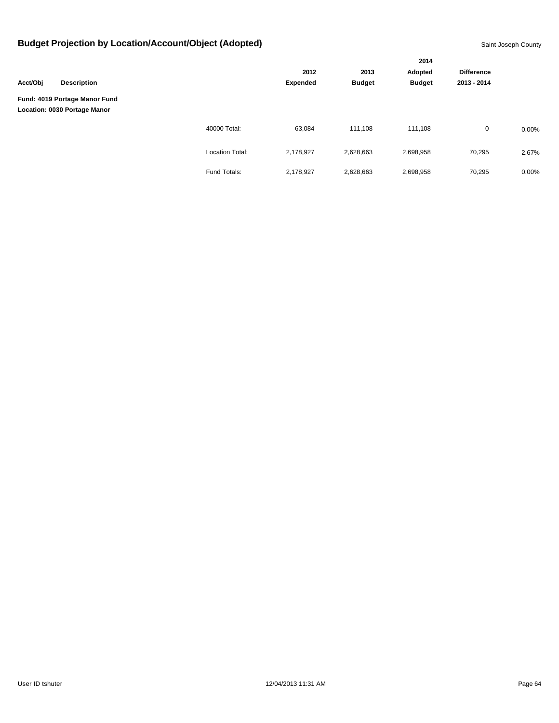|                                                               |                    |                        |                 |                       | 2014<br>Adopted<br><b>Budget</b> | <b>Difference</b> |       |
|---------------------------------------------------------------|--------------------|------------------------|-----------------|-----------------------|----------------------------------|-------------------|-------|
|                                                               |                    |                        | 2012            | 2013<br><b>Budget</b> |                                  |                   |       |
| Acct/Obj                                                      | <b>Description</b> |                        | <b>Expended</b> |                       |                                  | 2013 - 2014       |       |
| Fund: 4019 Portage Manor Fund<br>Location: 0030 Portage Manor |                    |                        |                 |                       |                                  |                   |       |
|                                                               |                    | 40000 Total:           | 63,084          | 111,108               | 111,108                          | $\mathbf 0$       | 0.00% |
|                                                               |                    | <b>Location Total:</b> | 2,178,927       | 2,628,663             | 2,698,958                        | 70,295            | 2.67% |
|                                                               |                    | Fund Totals:           | 2,178,927       | 2,628,663             | 2,698,958                        | 70,295            | 0.00% |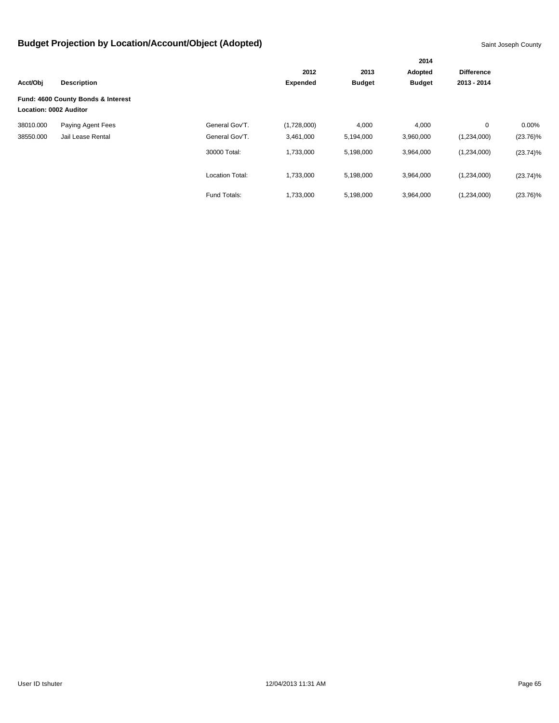|                        |                                    |                        |                 | 2014          |               |                   |             |
|------------------------|------------------------------------|------------------------|-----------------|---------------|---------------|-------------------|-------------|
|                        |                                    |                        | 2012            | 2013          | Adopted       | <b>Difference</b> |             |
| Acct/Obj               | <b>Description</b>                 |                        | <b>Expended</b> | <b>Budget</b> | <b>Budget</b> | 2013 - 2014       |             |
| Location: 0002 Auditor | Fund: 4600 County Bonds & Interest |                        |                 |               |               |                   |             |
| 38010.000              | Paying Agent Fees                  | General Gov'T.         | (1,728,000)     | 4,000         | 4,000         | 0                 | $0.00\%$    |
| 38550.000              | Jail Lease Rental                  | General Gov'T.         | 3,461,000       | 5,194,000     | 3,960,000     | (1,234,000)       | $(23.76)\%$ |
|                        |                                    | 30000 Total:           | 1,733,000       | 5,198,000     | 3,964,000     | (1,234,000)       | $(23.74)\%$ |
|                        |                                    | <b>Location Total:</b> | 1,733,000       | 5,198,000     | 3,964,000     | (1,234,000)       | $(23.74)\%$ |
|                        |                                    | Fund Totals:           | 1,733,000       | 5,198,000     | 3,964,000     | (1,234,000)       | $(23.76)\%$ |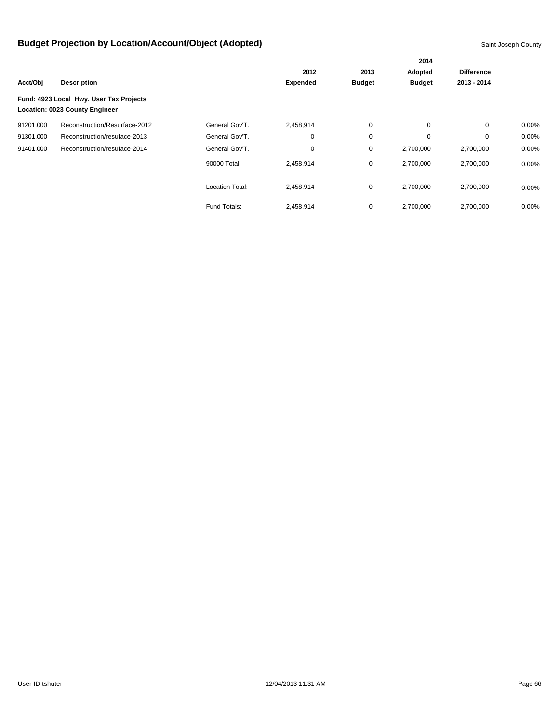|           |                                         |                 |                 |               | 2014          |                   |          |
|-----------|-----------------------------------------|-----------------|-----------------|---------------|---------------|-------------------|----------|
|           |                                         |                 | 2012            | 2013          | Adopted       | <b>Difference</b> |          |
| Acct/Obj  | <b>Description</b>                      |                 | <b>Expended</b> | <b>Budget</b> | <b>Budget</b> | 2013 - 2014       |          |
|           | Fund: 4923 Local Hwy. User Tax Projects |                 |                 |               |               |                   |          |
|           | Location: 0023 County Engineer          |                 |                 |               |               |                   |          |
| 91201.000 | Reconstruction/Resurface-2012           | General Gov'T.  | 2,458,914       | 0             | 0             | $\mathbf 0$       | $0.00\%$ |
| 91301.000 | Reconstruction/resuface-2013            | General Gov'T.  | $\mathbf 0$     | $\mathbf 0$   | 0             | $\mathbf 0$       | 0.00%    |
| 91401.000 | Reconstruction/resuface-2014            | General Gov'T.  | 0               | 0             | 2,700,000     | 2,700,000         | 0.00%    |
|           |                                         | 90000 Total:    | 2,458,914       | 0             | 2,700,000     | 2,700,000         | $0.00\%$ |
|           |                                         | Location Total: | 2,458,914       | $\mathbf 0$   | 2,700,000     | 2,700,000         | $0.00\%$ |
|           |                                         | Fund Totals:    | 2,458,914       | 0             | 2,700,000     | 2,700,000         | 0.00%    |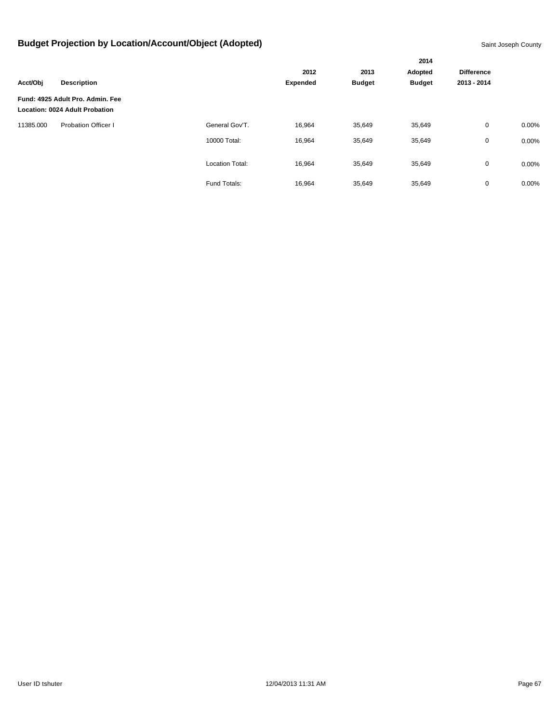|           |                                                                           |                        |                 |               | 2014          |                   |          |
|-----------|---------------------------------------------------------------------------|------------------------|-----------------|---------------|---------------|-------------------|----------|
|           |                                                                           |                        | 2012            |               | Adopted       | <b>Difference</b> |          |
| Acct/Obj  | <b>Description</b>                                                        |                        | <b>Expended</b> | <b>Budget</b> | <b>Budget</b> | 2013 - 2014       |          |
|           | Fund: 4925 Adult Pro. Admin. Fee<br><b>Location: 0024 Adult Probation</b> |                        |                 |               |               |                   |          |
| 11385.000 | <b>Probation Officer I</b>                                                | General Gov'T.         | 16,964          | 35,649        | 35,649        | $\mathbf 0$       | $0.00\%$ |
|           |                                                                           | 10000 Total:           | 16,964          | 35,649        | 35,649        | $\mathbf 0$       | 0.00%    |
|           |                                                                           | <b>Location Total:</b> | 16,964          | 35,649        | 35,649        | $\mathbf 0$       | $0.00\%$ |
|           |                                                                           | Fund Totals:           | 16,964          | 35,649        | 35,649        | $\mathbf 0$       | 0.00%    |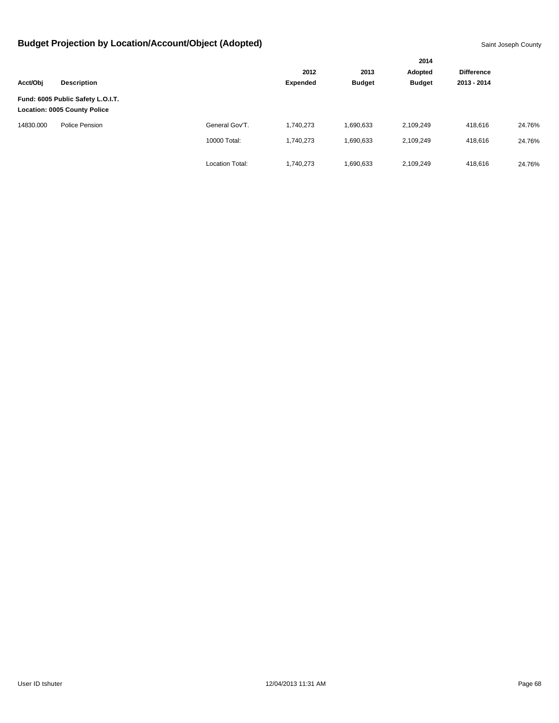|           |                                                                          |                        |                 |                       | 2014                     |                                  |        |
|-----------|--------------------------------------------------------------------------|------------------------|-----------------|-----------------------|--------------------------|----------------------------------|--------|
|           |                                                                          |                        | 2012            | 2013<br><b>Budget</b> | Adopted<br><b>Budget</b> | <b>Difference</b><br>2013 - 2014 |        |
| Acct/Obj  | <b>Description</b>                                                       |                        | <b>Expended</b> |                       |                          |                                  |        |
|           | Fund: 6005 Public Safety L.O.I.T.<br><b>Location: 0005 County Police</b> |                        |                 |                       |                          |                                  |        |
| 14830.000 | Police Pension                                                           | General Gov'T.         | 1,740,273       | 1,690,633             | 2,109,249                | 418,616                          | 24.76% |
|           |                                                                          | 10000 Total:           | 1,740,273       | 1,690,633             | 2,109,249                | 418,616                          | 24.76% |
|           |                                                                          | <b>Location Total:</b> | 1,740,273       | 1,690,633             | 2,109,249                | 418,616                          | 24.76% |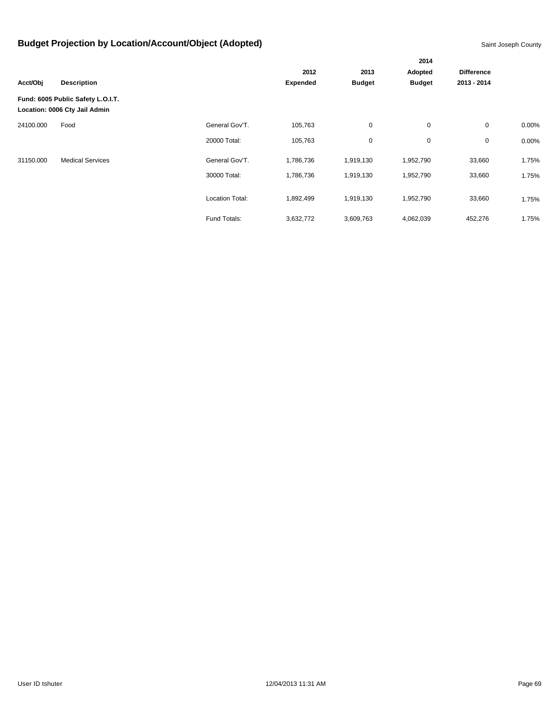|           |                                                                    |                        |                 |               | 2014          |                   |       |
|-----------|--------------------------------------------------------------------|------------------------|-----------------|---------------|---------------|-------------------|-------|
|           |                                                                    |                        | 2012            | 2013          | Adopted       | <b>Difference</b> |       |
| Acct/Obj  | <b>Description</b>                                                 |                        | <b>Expended</b> | <b>Budget</b> | <b>Budget</b> | 2013 - 2014       |       |
|           | Fund: 6005 Public Safety L.O.I.T.<br>Location: 0006 Cty Jail Admin |                        |                 |               |               |                   |       |
| 24100.000 | Food                                                               | General Gov'T.         | 105,763         | $\mathbf 0$   | $\mathbf 0$   | $\mathbf 0$       | 0.00% |
|           |                                                                    | 20000 Total:           | 105,763         | 0             | 0             | $\mathbf 0$       | 0.00% |
| 31150.000 | <b>Medical Services</b>                                            | General Gov'T.         | 1,786,736       | 1,919,130     | 1,952,790     | 33,660            | 1.75% |
|           |                                                                    | 30000 Total:           | 1,786,736       | 1,919,130     | 1,952,790     | 33,660            | 1.75% |
|           |                                                                    | <b>Location Total:</b> | 1,892,499       | 1,919,130     | 1,952,790     | 33,660            | 1.75% |
|           |                                                                    | Fund Totals:           | 3,632,772       | 3,609,763     | 4,062,039     | 452,276           | 1.75% |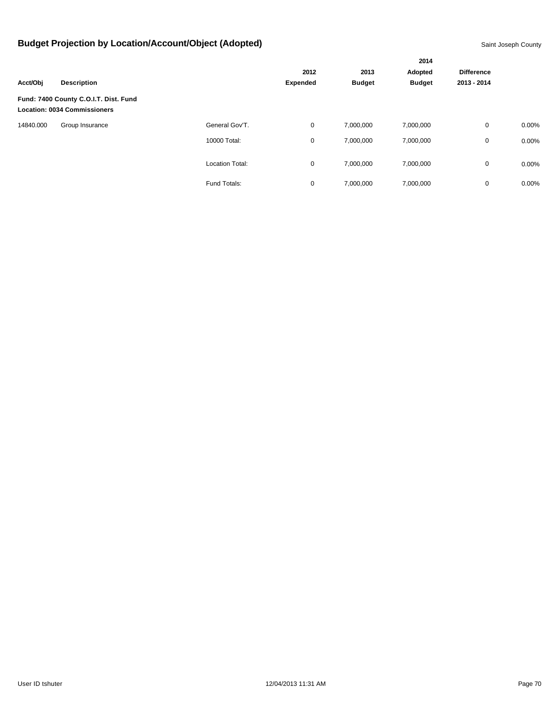|           |                                                                              |                 |                 |               | 2014          |                   |          |
|-----------|------------------------------------------------------------------------------|-----------------|-----------------|---------------|---------------|-------------------|----------|
|           |                                                                              |                 | 2012            | 2013          | Adopted       | <b>Difference</b> |          |
| Acct/Obj  | <b>Description</b>                                                           |                 | <b>Expended</b> | <b>Budget</b> | <b>Budget</b> | 2013 - 2014       |          |
|           | Fund: 7400 County C.O.I.T. Dist. Fund<br><b>Location: 0034 Commissioners</b> |                 |                 |               |               |                   |          |
| 14840.000 | Group Insurance                                                              | General Gov'T.  | $\mathbf 0$     | 7,000,000     | 7,000,000     | $\mathbf 0$       | $0.00\%$ |
|           |                                                                              | 10000 Total:    | 0               | 7,000,000     | 7,000,000     | 0                 | 0.00%    |
|           |                                                                              | Location Total: | 0               | 7,000,000     | 7,000,000     | 0                 | $0.00\%$ |
|           |                                                                              | Fund Totals:    | 0               | 7,000,000     | 7,000,000     | $\mathbf 0$       | 0.00%    |